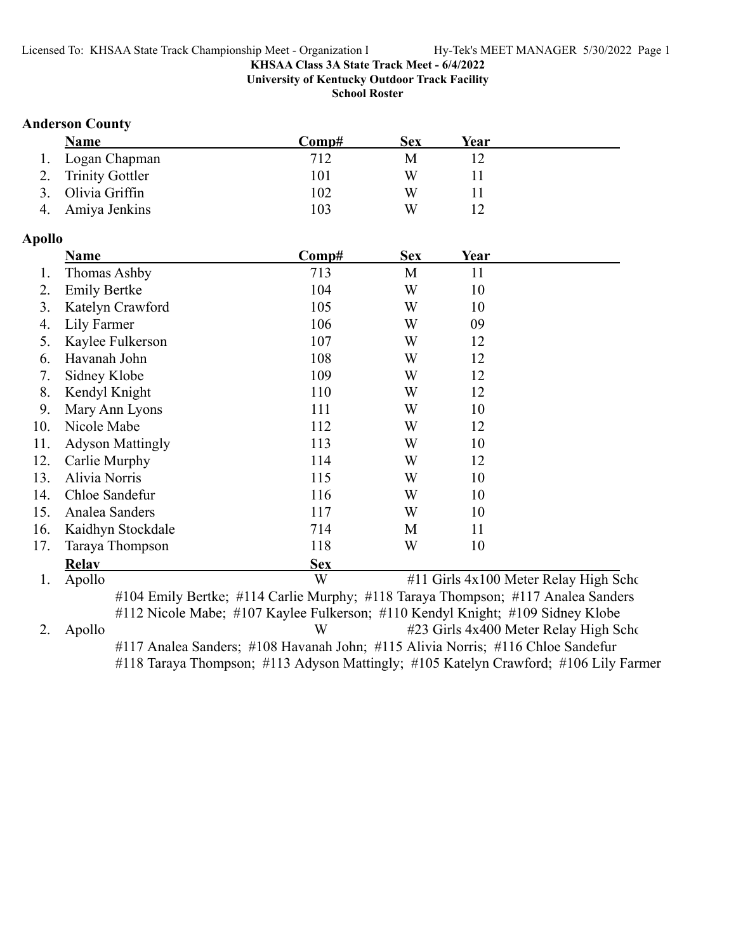**University of Kentucky Outdoor Track Facility**

**School Roster**

### **Anderson County**

| <b>Name</b>        | Comp# | Sex | Year |  |
|--------------------|-------|-----|------|--|
| 1. Logan Chapman   | 712   | M   |      |  |
| 2. Trinity Gottler | 101   | W   |      |  |
| 3. Olivia Griffin  | 102   | W   |      |  |
| 4. Amiya Jenkins   | 103   | W   |      |  |

### **Apollo**

|     | <b>Name</b>             | Comp#      | <b>Sex</b> | Year                                  |  |
|-----|-------------------------|------------|------------|---------------------------------------|--|
| 1.  | Thomas Ashby            | 713        | M          | 11                                    |  |
| 2.  | <b>Emily Bertke</b>     | 104        | W          | 10                                    |  |
| 3.  | Katelyn Crawford        | 105        | W          | 10                                    |  |
| 4.  | Lily Farmer             | 106        | W          | 09                                    |  |
| 5.  | Kaylee Fulkerson        | 107        | W          | 12                                    |  |
| 6.  | Havanah John            | 108        | W          | 12                                    |  |
| 7.  | Sidney Klobe            | 109        | W          | 12                                    |  |
| 8.  | Kendyl Knight           | 110        | W          | 12                                    |  |
| 9.  | Mary Ann Lyons          | 111        | W          | 10                                    |  |
| 10. | Nicole Mabe             | 112        | W          | 12                                    |  |
| 11. | <b>Adyson Mattingly</b> | 113        | W          | 10                                    |  |
| 12. | Carlie Murphy           | 114        | W          | 12                                    |  |
| 13. | Alivia Norris           | 115        | W          | 10                                    |  |
| 14. | Chloe Sandefur          | 116        | W          | 10                                    |  |
| 15. | Analea Sanders          | 117        | W          | 10                                    |  |
| 16. | Kaidhyn Stockdale       | 714        | M          | 11                                    |  |
| 17. | Taraya Thompson         | 118        | W          | 10                                    |  |
|     | <b>Relav</b>            | <b>Sex</b> |            |                                       |  |
| 1.  | Apollo                  | W          |            | #11 Girls 4x100 Meter Relay High Scho |  |

#112 Nicole Mabe; #107 Kaylee Fulkerson; #110 Kendyl Knight; #109 Sidney Klobe 2. Apollo W #23 Girls 4x400 Meter Relay High Scho #117 Analea Sanders; #108 Havanah John; #115 Alivia Norris; #116 Chloe Sandefur #118 Taraya Thompson; #113 Adyson Mattingly; #105 Katelyn Crawford; #106 Lily Farmer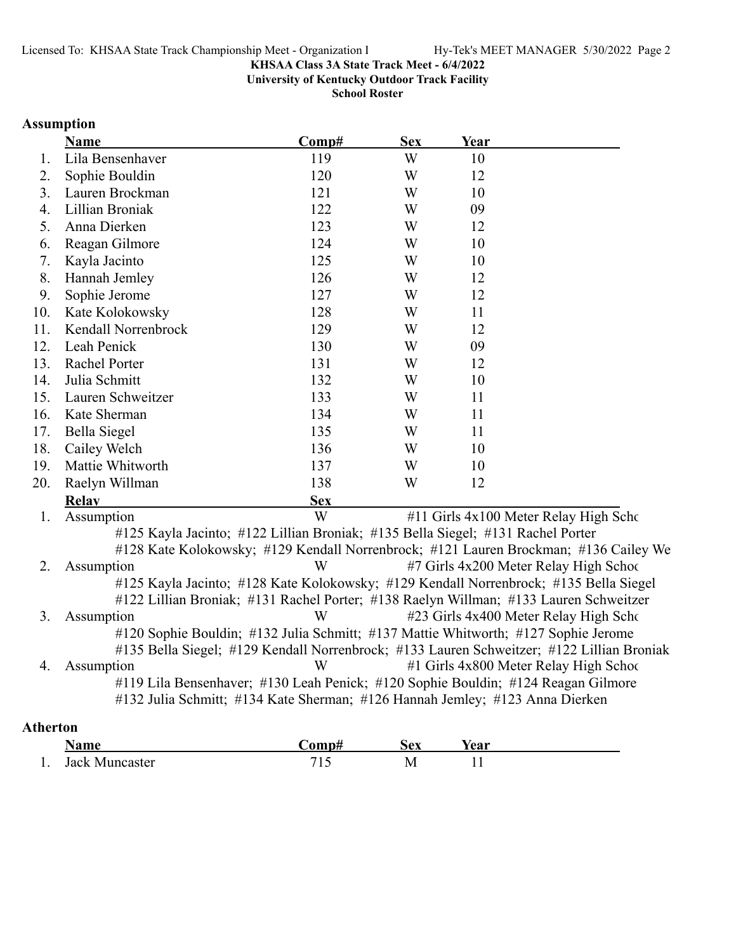**University of Kentucky Outdoor Track Facility**

**School Roster**

# **Assumption**

|                 | <b>Name</b>                                                                               | Comp#      | <b>Sex</b> | Year |                                        |
|-----------------|-------------------------------------------------------------------------------------------|------------|------------|------|----------------------------------------|
| 1.              | Lila Bensenhaver                                                                          | 119        | W          | 10   |                                        |
| 2.              | Sophie Bouldin                                                                            | 120        | W          | 12   |                                        |
| 3.              | Lauren Brockman                                                                           | 121        | W          | 10   |                                        |
| 4.              | Lillian Broniak                                                                           | 122        | W          | 09   |                                        |
| 5.              | Anna Dierken                                                                              | 123        | W          | 12   |                                        |
| 6.              | Reagan Gilmore                                                                            | 124        | W          | 10   |                                        |
| 7.              | Kayla Jacinto                                                                             | 125        | W          | 10   |                                        |
| 8.              | Hannah Jemley                                                                             | 126        | W          | 12   |                                        |
| 9.              | Sophie Jerome                                                                             | 127        | W          | 12   |                                        |
| 10.             | Kate Kolokowsky                                                                           | 128        | W          | 11   |                                        |
| 11.             | Kendall Norrenbrock                                                                       | 129        | W          | 12   |                                        |
| 12.             | Leah Penick                                                                               | 130        | W          | 09   |                                        |
| 13.             | Rachel Porter                                                                             | 131        | W          | 12   |                                        |
| 14.             | Julia Schmitt                                                                             | 132        | W          | 10   |                                        |
| 15.             | Lauren Schweitzer                                                                         | 133        | W          | 11   |                                        |
| 16.             | Kate Sherman                                                                              | 134        | W          | 11   |                                        |
| 17.             | <b>Bella Siegel</b>                                                                       | 135        | W          | 11   |                                        |
| 18.             | Cailey Welch                                                                              | 136        | W          | 10   |                                        |
| 19.             | Mattie Whitworth                                                                          | 137        | W          | 10   |                                        |
| 20.             | Raelyn Willman                                                                            | 138        | W          | 12   |                                        |
|                 | <b>Relay</b>                                                                              | <b>Sex</b> |            |      |                                        |
| 1.              | Assumption                                                                                | W          |            |      | #11 Girls 4x100 Meter Relay High Scho  |
|                 | #125 Kayla Jacinto; #122 Lillian Broniak; #135 Bella Siegel; #131 Rachel Porter           |            |            |      |                                        |
|                 | #128 Kate Kolokowsky; #129 Kendall Norrenbrock; #121 Lauren Brockman; #136 Cailey We      |            |            |      |                                        |
| 2.              | Assumption                                                                                | W          |            |      | #7 Girls 4x200 Meter Relay High School |
|                 | #125 Kayla Jacinto; #128 Kate Kolokowsky; #129 Kendall Norrenbrock; #135 Bella Siegel     |            |            |      |                                        |
|                 | #122 Lillian Broniak; #131 Rachel Porter; #138 Raelyn Willman; #133 Lauren Schweitzer     |            |            |      |                                        |
| 3.              | Assumption                                                                                | W          |            |      | #23 Girls 4x400 Meter Relay High Scho  |
|                 | #120 Sophie Bouldin; #132 Julia Schmitt; #137 Mattie Whitworth; #127 Sophie Jerome        |            |            |      |                                        |
|                 | #135 Bella Siegel; #129 Kendall Norrenbrock; #133 Lauren Schweitzer; #122 Lillian Broniak |            |            |      |                                        |
| 4.              | Assumption                                                                                | W          |            |      | #1 Girls 4x800 Meter Relay High School |
|                 | #119 Lila Bensenhaver; #130 Leah Penick; #120 Sophie Bouldin; #124 Reagan Gilmore         |            |            |      |                                        |
|                 | #132 Julia Schmitt; #134 Kate Sherman; #126 Hannah Jemley; #123 Anna Dierken              |            |            |      |                                        |
| <b>Atherton</b> |                                                                                           |            |            |      |                                        |
|                 |                                                                                           |            |            |      |                                        |

|     | Name           | `omn# | Sex          | rear |
|-----|----------------|-------|--------------|------|
| . . | Jack Muncaster | ن 1   | IVI<br>- - - | . .  |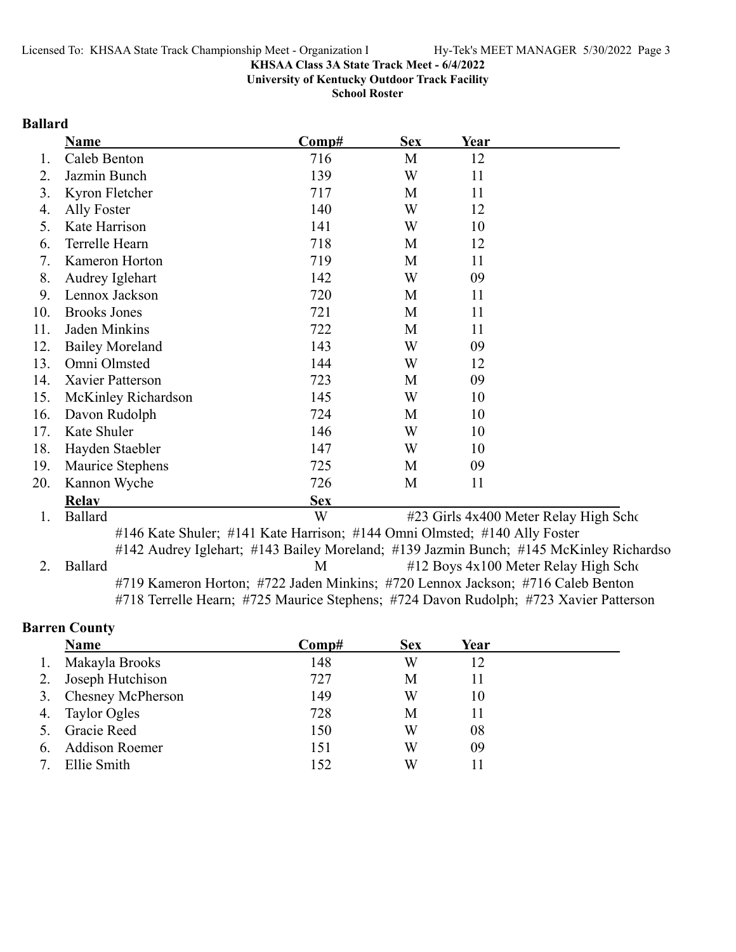**University of Kentucky Outdoor Track Facility**

**School Roster**

### **Ballard**

|     | <b>Name</b>                                                               | Comp#      | <b>Sex</b> | Year |                                                                                                               |
|-----|---------------------------------------------------------------------------|------------|------------|------|---------------------------------------------------------------------------------------------------------------|
| Ι.  | Caleb Benton                                                              | 716        | M          | 12   |                                                                                                               |
| 2.  | Jazmin Bunch                                                              | 139        | W          | 11   |                                                                                                               |
| 3.  | Kyron Fletcher                                                            | 717        | M          | 11   |                                                                                                               |
| 4.  | Ally Foster                                                               | 140        | W          | 12   |                                                                                                               |
| 5.  | Kate Harrison                                                             | 141        | W          | 10   |                                                                                                               |
| 6.  | Terrelle Hearn                                                            | 718        | M          | 12   |                                                                                                               |
| 7.  | Kameron Horton                                                            | 719        | M          | 11   |                                                                                                               |
| 8.  | Audrey Iglehart                                                           | 142        | W          | 09   |                                                                                                               |
| 9.  | Lennox Jackson                                                            | 720        | M          | 11   |                                                                                                               |
| 10. | <b>Brooks Jones</b>                                                       | 721        | M          | 11   |                                                                                                               |
| 11. | Jaden Minkins                                                             | 722        | M          | 11   |                                                                                                               |
| 12. | <b>Bailey Moreland</b>                                                    | 143        | W          | 09   |                                                                                                               |
| 13. | Omni Olmsted                                                              | 144        | W          | 12   |                                                                                                               |
| 14. | Xavier Patterson                                                          | 723        | M          | 09   |                                                                                                               |
| 15. | McKinley Richardson                                                       | 145        | W          | 10   |                                                                                                               |
| 16. | Davon Rudolph                                                             | 724        | M          | 10   |                                                                                                               |
| 17. | Kate Shuler                                                               | 146        | W          | 10   |                                                                                                               |
| 18. | Hayden Staebler                                                           | 147        | W          | 10   |                                                                                                               |
| 19. | Maurice Stephens                                                          | 725        | M          | 09   |                                                                                                               |
| 20. | Kannon Wyche                                                              | 726        | M          | 11   |                                                                                                               |
|     | <b>Relay</b>                                                              | <b>Sex</b> |            |      |                                                                                                               |
| 1.  | <b>Ballard</b>                                                            | W          |            |      | #23 Girls 4x400 Meter Relay High Scho                                                                         |
|     | #146 Kate Shuler; #141 Kate Harrison; #144 Omni Olmsted; #140 Ally Foster |            |            |      |                                                                                                               |
|     |                                                                           |            |            |      | #142 Audrey Iglehart; #143 Bailey Moreland; #139 Jazmin Bunch; #145 McKinley Richardso                        |
| ◠   | D <sub>0</sub> 11 <sub>0</sub> 44                                         |            |            |      | $M = #12 \text{ D}_{\text{OVE}} / 4 \pi 100 M_{\text{atom}} \text{ D}_{\text{olov}}$ II. al. $S_{\text{obs}}$ |

2. Ballard M #12 Boys 4x100 Meter Relay High Scho #719 Kameron Horton; #722 Jaden Minkins; #720 Lennox Jackson; #716 Caleb Benton #718 Terrelle Hearn; #725 Maurice Stephens; #724 Davon Rudolph; #723 Xavier Patterson

# **Barren County**

|    | Name                  | Comp# | <b>Sex</b> | Year |  |
|----|-----------------------|-------|------------|------|--|
| 1. | Makayla Brooks        | 148   | W          | 12   |  |
|    | Joseph Hutchison      | 727   | М          | 11   |  |
|    | 3. Chesney McPherson  | 149   | W          | 10   |  |
|    | 4. Taylor Ogles       | 728   | М          | 11   |  |
|    | <b>Gracie Reed</b>    | 150   | W          | 08   |  |
| 6. | <b>Addison Roemer</b> | 151   | W          | 09   |  |
|    | Ellie Smith           | 152   | W          |      |  |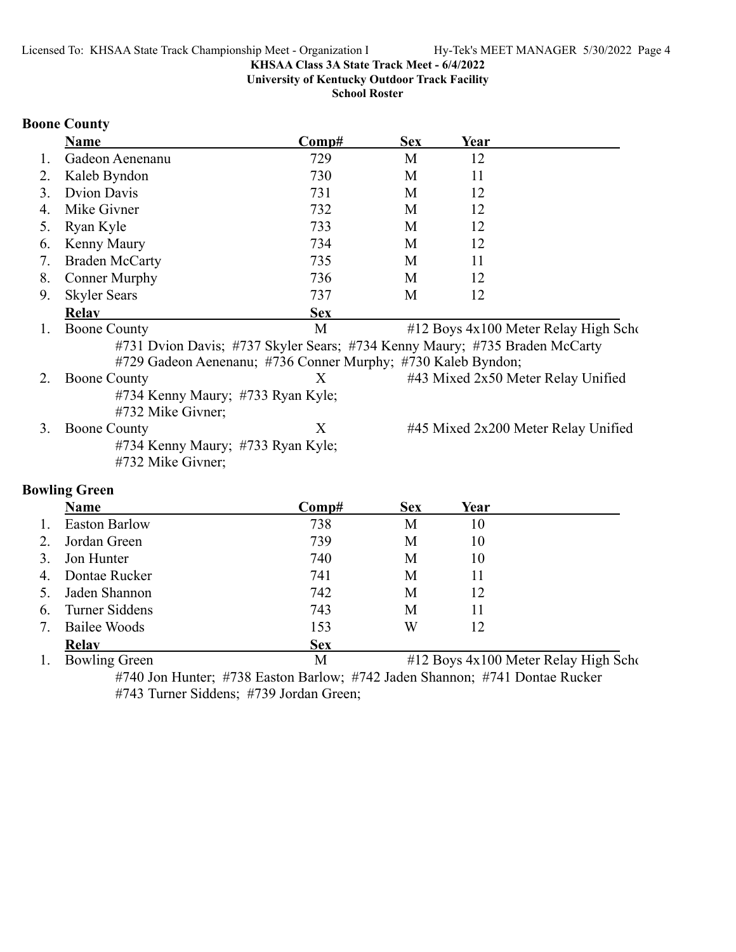**University of Kentucky Outdoor Track Facility**

**School Roster**

### **Boone County**

|    | <b>Name</b>                                                                | Comp#      | <b>Sex</b> | Year |                                      |
|----|----------------------------------------------------------------------------|------------|------------|------|--------------------------------------|
| 1. | Gadeon Aenenanu                                                            | 729        | M          | 12   |                                      |
| 2. | Kaleb Byndon                                                               | 730        | M          | 11   |                                      |
| 3. | <b>Dvion Davis</b>                                                         | 731        | M          | 12   |                                      |
| 4. | Mike Givner                                                                | 732        | M          | 12   |                                      |
| 5. | Ryan Kyle                                                                  | 733        | M          | 12   |                                      |
| 6. | Kenny Maury                                                                | 734        | M          | 12   |                                      |
| 7. | <b>Braden McCarty</b>                                                      | 735        | M          | 11   |                                      |
| 8. | <b>Conner Murphy</b>                                                       | 736        | M          | 12   |                                      |
| 9. | <b>Skyler Sears</b>                                                        | 737        | M          | 12   |                                      |
|    | <b>Relav</b>                                                               | <b>Sex</b> |            |      |                                      |
| 1. | <b>Boone County</b>                                                        | M          |            |      | #12 Boys 4x100 Meter Relay High Scho |
|    | #731 Dvion Davis; #737 Skyler Sears; #734 Kenny Maury; #735 Braden McCarty |            |            |      |                                      |
|    | #729 Gadeon Aenenanu; #736 Conner Murphy; #730 Kaleb Byndon;               |            |            |      |                                      |
| 2. | <b>Boone County</b>                                                        | X          |            |      | #43 Mixed 2x50 Meter Relay Unified   |
|    | #734 Kenny Maury; #733 Ryan Kyle;<br>#732 Mike Givner;                     |            |            |      |                                      |
| 3. | <b>Boone County</b>                                                        | X          |            |      | #45 Mixed 2x200 Meter Relay Unified  |
|    | #734 Kenny Maury; #733 Ryan Kyle;<br>#732 Mike Givner;                     |            |            |      |                                      |
|    | <b>Bowling Green</b>                                                       |            |            |      |                                      |
|    | <b>Name</b>                                                                | Comp#      | <b>Sex</b> | Year |                                      |
| 1. | <b>Easton Barlow</b>                                                       | 738        | M          | 10   |                                      |
| 2. | Jordan Green                                                               | 739        | M          | 10   |                                      |
| 3. | Jon Hunter                                                                 | 740        | M          | 10   |                                      |
| 4. | Dontae Rucker                                                              | 741        | M          | 11   |                                      |
| 5. | Jaden Shannon                                                              | 742        | M          | 12   |                                      |
| 6. | Turner Siddens                                                             | 743        | M          | 11   |                                      |
| 7. | <b>Bailee Woods</b>                                                        | 153        | W          | 12   |                                      |

**Relay**<br>
1. Bowling Green Sex<br>
M  $M$  #12 Boys 4x100 Meter Relay High Scho #740 Jon Hunter; #738 Easton Barlow; #742 Jaden Shannon; #741 Dontae Rucker #743 Turner Siddens; #739 Jordan Green;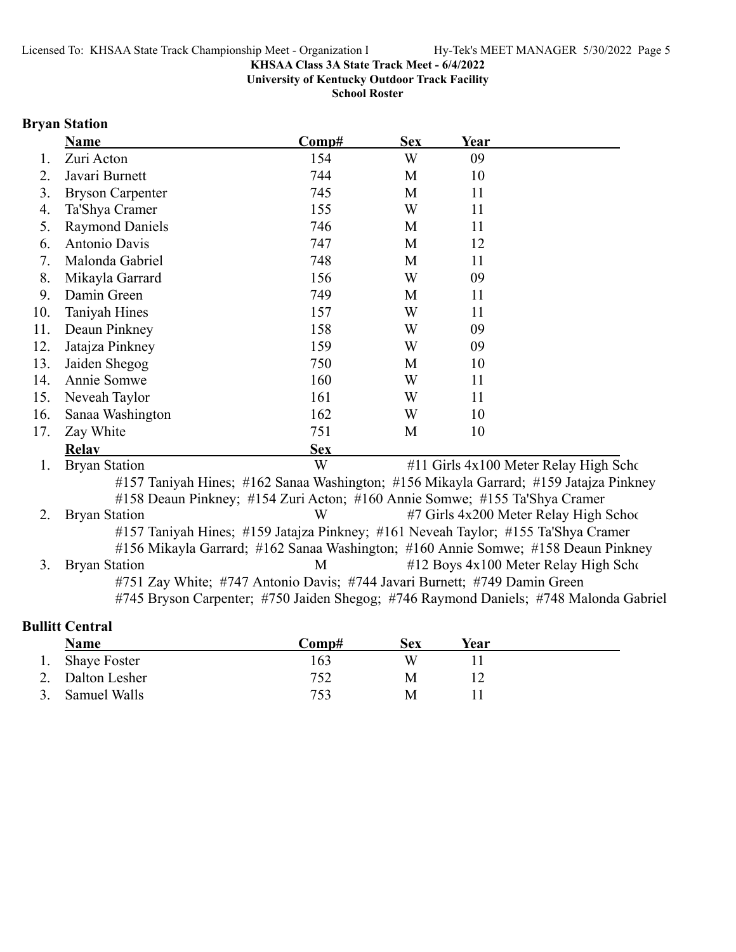**University of Kentucky Outdoor Track Facility**

**School Roster**

# **Bryan Station**

|     | <b>Name</b>                                                                           | Comp#      | <b>Sex</b> | Year |                                                                                       |
|-----|---------------------------------------------------------------------------------------|------------|------------|------|---------------------------------------------------------------------------------------|
| 1.  | Zuri Acton                                                                            | 154        | W          | 09   |                                                                                       |
| 2.  | Javari Burnett                                                                        | 744        | M          | 10   |                                                                                       |
| 3.  | <b>Bryson Carpenter</b>                                                               | 745        | M          | 11   |                                                                                       |
| 4.  | Ta'Shya Cramer                                                                        | 155        | W          | 11   |                                                                                       |
| 5.  | <b>Raymond Daniels</b>                                                                | 746        | M          | 11   |                                                                                       |
| 6.  | Antonio Davis                                                                         | 747        | M          | 12   |                                                                                       |
| 7.  | Malonda Gabriel                                                                       | 748        | M          | 11   |                                                                                       |
| 8.  | Mikayla Garrard                                                                       | 156        | W          | 09   |                                                                                       |
| 9.  | Damin Green                                                                           | 749        | M          | 11   |                                                                                       |
| 10. | Taniyah Hines                                                                         | 157        | W          | 11   |                                                                                       |
| 11. | Deaun Pinkney                                                                         | 158        | W          | 09   |                                                                                       |
| 12. | Jatajza Pinkney                                                                       | 159        | W          | 09   |                                                                                       |
| 13. | Jaiden Shegog                                                                         | 750        | M          | 10   |                                                                                       |
| 14. | Annie Somwe                                                                           | 160        | W          | 11   |                                                                                       |
| 15. | Neveah Taylor                                                                         | 161        | W          | 11   |                                                                                       |
| 16. | Sanaa Washington                                                                      | 162        | W          | 10   |                                                                                       |
| 17. | Zay White                                                                             | 751        | M          | 10   |                                                                                       |
|     | <b>Relav</b>                                                                          | <b>Sex</b> |            |      |                                                                                       |
| 1.  | <b>Bryan Station</b>                                                                  | W          |            |      | #11 Girls 4x100 Meter Relay High Scho                                                 |
|     | #157 Taniyah Hines; #162 Sanaa Washington; #156 Mikayla Garrard; #159 Jatajza Pinkney |            |            |      |                                                                                       |
|     | #158 Deaun Pinkney; #154 Zuri Acton; #160 Annie Somwe; #155 Ta'Shya Cramer            |            |            |      |                                                                                       |
| 2.  | <b>Bryan Station</b>                                                                  | W          |            |      | #7 Girls 4x200 Meter Relay High Schoo                                                 |
|     | #157 Taniyah Hines; #159 Jatajza Pinkney; #161 Neveah Taylor; #155 Ta'Shya Cramer     |            |            |      |                                                                                       |
|     | #156 Mikayla Garrard; #162 Sanaa Washington; #160 Annie Somwe; #158 Deaun Pinkney     |            |            |      |                                                                                       |
| 3.  | <b>Bryan Station</b>                                                                  | M          |            |      | $#12$ Boys $4x100$ Meter Relay High Scho                                              |
|     | #751 Zay White; #747 Antonio Davis; #744 Javari Burnett; #749 Damin Green             |            |            |      | #745 Bryson Carpenter; #750 Jaiden Shegog; #746 Raymond Daniels; #748 Malonda Gabriel |
|     | <b>Bullitt Central</b>                                                                |            |            |      |                                                                                       |

|               | Name             | C <b>omp#</b> | Sex | Year |  |
|---------------|------------------|---------------|-----|------|--|
|               | 1. Shaye Foster  | 163           | W   |      |  |
|               | 2. Dalton Lesher | 752           | Μ   |      |  |
| $\mathcal{R}$ | Samuel Walls     | 753           | М   |      |  |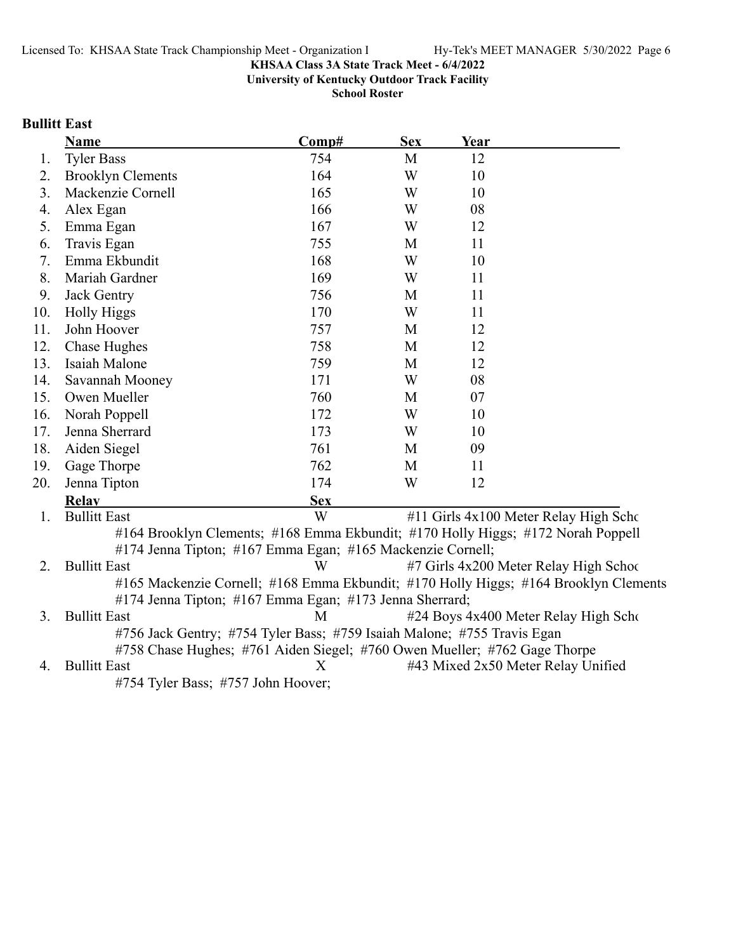**University of Kentucky Outdoor Track Facility**

**School Roster**

# **Bullitt East**

|     | <b>Name</b>                                                                      | Comp#      | <b>Sex</b> | Year |                                                                                      |
|-----|----------------------------------------------------------------------------------|------------|------------|------|--------------------------------------------------------------------------------------|
| 1.  | <b>Tyler Bass</b>                                                                | 754        | M          | 12   |                                                                                      |
| 2.  | <b>Brooklyn Clements</b>                                                         | 164        | W          | 10   |                                                                                      |
| 3.  | Mackenzie Cornell                                                                | 165        | W          | 10   |                                                                                      |
| 4.  | Alex Egan                                                                        | 166        | W          | 08   |                                                                                      |
| 5.  | Emma Egan                                                                        | 167        | W          | 12   |                                                                                      |
| 6.  | Travis Egan                                                                      | 755        | M          | 11   |                                                                                      |
| 7.  | Emma Ekbundit                                                                    | 168        | W          | 10   |                                                                                      |
| 8.  | Mariah Gardner                                                                   | 169        | W          | 11   |                                                                                      |
| 9.  | Jack Gentry                                                                      | 756        | M          | 11   |                                                                                      |
| 10. | <b>Holly Higgs</b>                                                               | 170        | W          | 11   |                                                                                      |
| 11. | John Hoover                                                                      | 757        | M          | 12   |                                                                                      |
| 12. | <b>Chase Hughes</b>                                                              | 758        | M          | 12   |                                                                                      |
| 13. | Isaiah Malone                                                                    | 759        | M          | 12   |                                                                                      |
| 14. | Savannah Mooney                                                                  | 171        | W          | 08   |                                                                                      |
| 15. | Owen Mueller                                                                     | 760        | M          | 07   |                                                                                      |
| 16. | Norah Poppell                                                                    | 172        | W          | 10   |                                                                                      |
| 17. | Jenna Sherrard                                                                   | 173        | W          | 10   |                                                                                      |
| 18. | Aiden Siegel                                                                     | 761        | M          | 09   |                                                                                      |
| 19. | Gage Thorpe                                                                      | 762        | M          | 11   |                                                                                      |
| 20. | Jenna Tipton                                                                     | 174        | W          | 12   |                                                                                      |
|     | Relav                                                                            | <b>Sex</b> |            |      |                                                                                      |
| 1.  | <b>Bullitt East</b>                                                              | W          |            |      | #11 Girls 4x100 Meter Relay High Scho                                                |
|     | #164 Brooklyn Clements; #168 Emma Ekbundit; #170 Holly Higgs; #172 Norah Poppell |            |            |      |                                                                                      |
|     | #174 Jenna Tipton; #167 Emma Egan; #165 Mackenzie Cornell;                       |            |            |      |                                                                                      |
| 2.  | <b>Bullitt East</b>                                                              | W          |            |      | #7 Girls 4x200 Meter Relay High School                                               |
|     |                                                                                  |            |            |      | #165 Mackenzie Cornell; #168 Emma Ekbundit; #170 Holly Higgs; #164 Brooklyn Clements |
|     | #174 Jenna Tipton; #167 Emma Egan; #173 Jenna Sherrard;                          |            |            |      |                                                                                      |
| 3.  | <b>Bullitt East</b>                                                              | M          |            |      | #24 Boys 4x400 Meter Relay High Scho                                                 |
|     | #756 Jack Gentry; #754 Tyler Bass; #759 Isaiah Malone; #755 Travis Egan          |            |            |      |                                                                                      |
|     | #758 Chase Hughes; #761 Aiden Siegel; #760 Owen Mueller; #762 Gage Thorpe        |            |            |      |                                                                                      |
| 4.  | <b>Bullitt East</b>                                                              | X          |            |      | #43 Mixed 2x50 Meter Relay Unified                                                   |

#754 Tyler Bass; #757 John Hoover;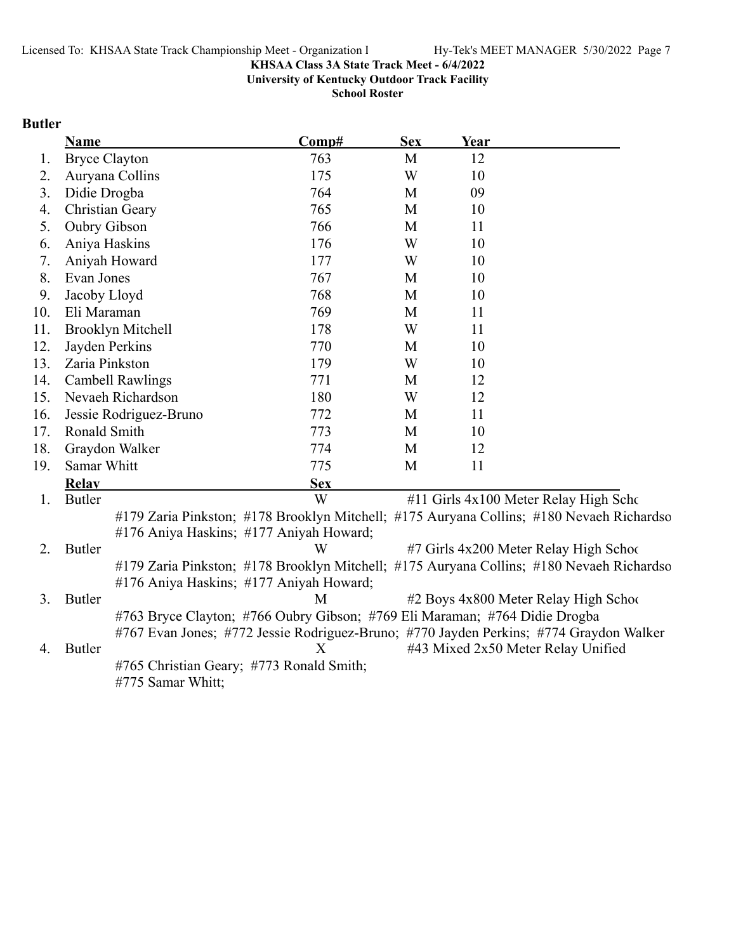**University of Kentucky Outdoor Track Facility**

**School Roster**

# **Butler**

|     | <b>Name</b>              | Comp#                                                                                                                               | <b>Sex</b> | Year |                                        |
|-----|--------------------------|-------------------------------------------------------------------------------------------------------------------------------------|------------|------|----------------------------------------|
| 1.  | <b>Bryce Clayton</b>     | 763                                                                                                                                 | M          | 12   |                                        |
| 2.  | Auryana Collins          | 175                                                                                                                                 | W          | 10   |                                        |
| 3.  | Didie Drogba             | 764                                                                                                                                 | M          | 09   |                                        |
| 4.  | <b>Christian Geary</b>   | 765                                                                                                                                 | M          | 10   |                                        |
| 5.  | Oubry Gibson             | 766                                                                                                                                 | M          | 11   |                                        |
| 6.  | Aniya Haskins            | 176                                                                                                                                 | W          | 10   |                                        |
| 7.  | Aniyah Howard            | 177                                                                                                                                 | W          | 10   |                                        |
| 8.  | Evan Jones               | 767                                                                                                                                 | M          | 10   |                                        |
| 9.  | Jacoby Lloyd             | 768                                                                                                                                 | M          | 10   |                                        |
| 10. | Eli Maraman              | 769                                                                                                                                 | M          | 11   |                                        |
| 11. | <b>Brooklyn Mitchell</b> | 178                                                                                                                                 | W          | 11   |                                        |
| 12. | Jayden Perkins           | 770                                                                                                                                 | M          | 10   |                                        |
| 13. | Zaria Pinkston           | 179                                                                                                                                 | W          | 10   |                                        |
| 14. | <b>Cambell Rawlings</b>  | 771                                                                                                                                 | M          | 12   |                                        |
| 15. | Nevaeh Richardson        | 180                                                                                                                                 | W          | 12   |                                        |
| 16. | Jessie Rodriguez-Bruno   | 772                                                                                                                                 | M          | 11   |                                        |
| 17. | Ronald Smith             | 773                                                                                                                                 | M          | 10   |                                        |
| 18. | Graydon Walker           | 774                                                                                                                                 | M          | 12   |                                        |
| 19. | Samar Whitt              | 775                                                                                                                                 | M          | 11   |                                        |
|     | <b>Relay</b>             | <b>Sex</b>                                                                                                                          |            |      |                                        |
| 1.  | <b>Butler</b>            | W                                                                                                                                   |            |      | #11 Girls 4x100 Meter Relay High Scho  |
|     |                          | #179 Zaria Pinkston; #178 Brooklyn Mitchell; #175 Auryana Collins; #180 Nevaeh Richardso<br>#176 Aniya Haskins; #177 Aniyah Howard; |            |      |                                        |
| 2.  | <b>Butler</b>            | W                                                                                                                                   |            |      | #7 Girls 4x200 Meter Relay High School |
|     |                          | #179 Zaria Pinkston; #178 Brooklyn Mitchell; #175 Auryana Collins; #180 Nevaeh Richardso<br>#176 Aniya Haskins; #177 Aniyah Howard; |            |      |                                        |
| 3.  | <b>Butler</b>            | M                                                                                                                                   |            |      | #2 Boys 4x800 Meter Relay High School  |
|     |                          | #763 Bryce Clayton; #766 Oubry Gibson; #769 Eli Maraman; #764 Didie Drogba                                                          |            |      |                                        |
|     |                          | #767 Evan Jones; #772 Jessie Rodriguez-Bruno; #770 Jayden Perkins; #774 Graydon Walker                                              |            |      |                                        |
| 4.  | <b>Butler</b>            | Х                                                                                                                                   |            |      | #43 Mixed 2x50 Meter Relay Unified     |
|     | #775 Samar Whitt;        | #765 Christian Geary; #773 Ronald Smith;                                                                                            |            |      |                                        |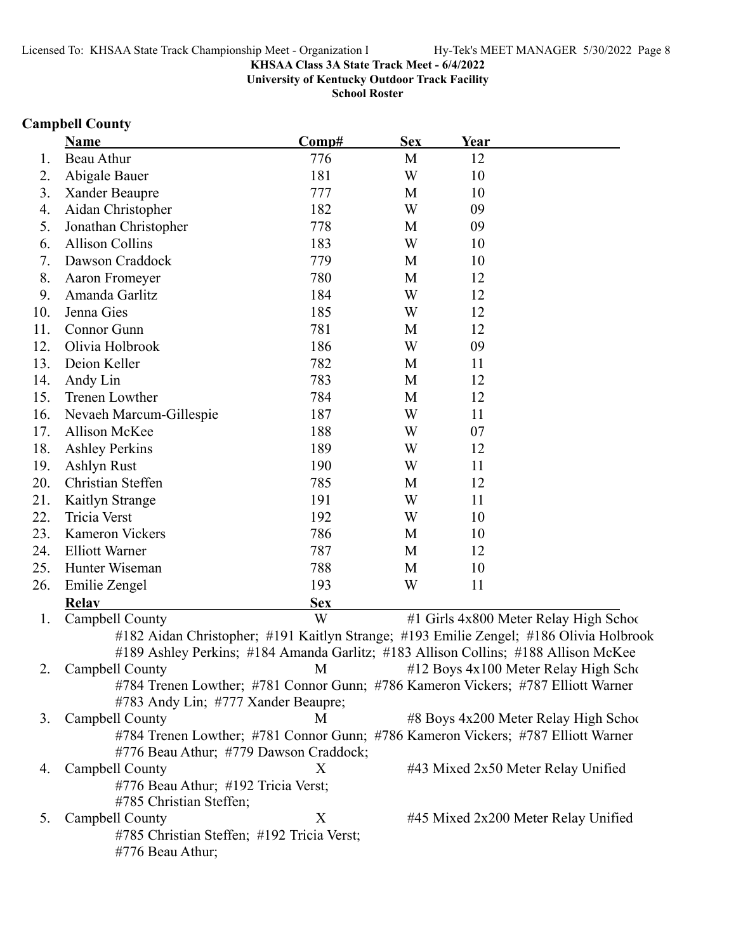**University of Kentucky Outdoor Track Facility**

**School Roster**

# **Campbell County**

|     | <b>Name</b>                                                                            | Comp#      | <b>Sex</b> | Year |                                           |
|-----|----------------------------------------------------------------------------------------|------------|------------|------|-------------------------------------------|
| 1.  | Beau Athur                                                                             | 776        | M          | 12   |                                           |
| 2.  | Abigale Bauer                                                                          | 181        | W          | 10   |                                           |
| 3.  | Xander Beaupre                                                                         | 777        | M          | 10   |                                           |
| 4.  | Aidan Christopher                                                                      | 182        | W          | 09   |                                           |
| 5.  | Jonathan Christopher                                                                   | 778        | M          | 09   |                                           |
| 6.  | <b>Allison Collins</b>                                                                 | 183        | W          | 10   |                                           |
| 7.  | Dawson Craddock                                                                        | 779        | M          | 10   |                                           |
| 8.  | Aaron Fromeyer                                                                         | 780        | M          | 12   |                                           |
| 9.  | Amanda Garlitz                                                                         | 184        | W          | 12   |                                           |
| 10. | Jenna Gies                                                                             | 185        | W          | 12   |                                           |
| 11. | Connor Gunn                                                                            | 781        | M          | 12   |                                           |
| 12. | Olivia Holbrook                                                                        | 186        | W          | 09   |                                           |
| 13. | Deion Keller                                                                           | 782        | M          | 11   |                                           |
| 14. | Andy Lin                                                                               | 783        | M          | 12   |                                           |
| 15. | Trenen Lowther                                                                         | 784        | M          | 12   |                                           |
| 16. | Nevaeh Marcum-Gillespie                                                                | 187        | W          | 11   |                                           |
| 17. | Allison McKee                                                                          | 188        | W          | 07   |                                           |
| 18. | <b>Ashley Perkins</b>                                                                  | 189        | W          | 12   |                                           |
| 19. | Ashlyn Rust                                                                            | 190        | W          | 11   |                                           |
| 20. | Christian Steffen                                                                      | 785        | M          | 12   |                                           |
| 21. | Kaitlyn Strange                                                                        | 191        | W          | 11   |                                           |
| 22. | Tricia Verst                                                                           | 192        | W          | 10   |                                           |
| 23. | <b>Kameron Vickers</b>                                                                 | 786        | M          | 10   |                                           |
| 24. | <b>Elliott Warner</b>                                                                  | 787        | M          | 12   |                                           |
| 25. | Hunter Wiseman                                                                         | 788        | M          | 10   |                                           |
| 26. | Emilie Zengel                                                                          | 193        | W          | 11   |                                           |
|     | <b>Relay</b>                                                                           | <b>Sex</b> |            |      |                                           |
| 1.  | Campbell County                                                                        | W          |            |      | #1 Girls 4x800 Meter Relay High Schoo     |
|     | #182 Aidan Christopher; #191 Kaitlyn Strange; #193 Emilie Zengel; #186 Olivia Holbrook |            |            |      |                                           |
|     | #189 Ashley Perkins; #184 Amanda Garlitz; #183 Allison Collins; #188 Allison McKee     |            |            |      |                                           |
| 2.  | Campbell County                                                                        | M          |            |      | $\#12$ Boys $4x100$ Meter Relay High Scho |
|     | #784 Trenen Lowther; #781 Connor Gunn; #786 Kameron Vickers; #787 Elliott Warner       |            |            |      |                                           |
|     | #783 Andy Lin; #777 Xander Beaupre;                                                    |            |            |      |                                           |
| 3.  | Campbell County                                                                        | M          |            |      | #8 Boys 4x200 Meter Relay High School     |
|     | #784 Trenen Lowther; #781 Connor Gunn; #786 Kameron Vickers; #787 Elliott Warner       |            |            |      |                                           |
|     | #776 Beau Athur; #779 Dawson Craddock;                                                 |            |            |      |                                           |
| 4.  | Campbell County                                                                        | X          |            |      | #43 Mixed 2x50 Meter Relay Unified        |
|     | #776 Beau Athur; #192 Tricia Verst;                                                    |            |            |      |                                           |
|     | #785 Christian Steffen;                                                                |            |            |      |                                           |
| 5.  | Campbell County                                                                        | X          |            |      | #45 Mixed 2x200 Meter Relay Unified       |
|     | #785 Christian Steffen; #192 Tricia Verst;                                             |            |            |      |                                           |
|     | #776 Beau Athur;                                                                       |            |            |      |                                           |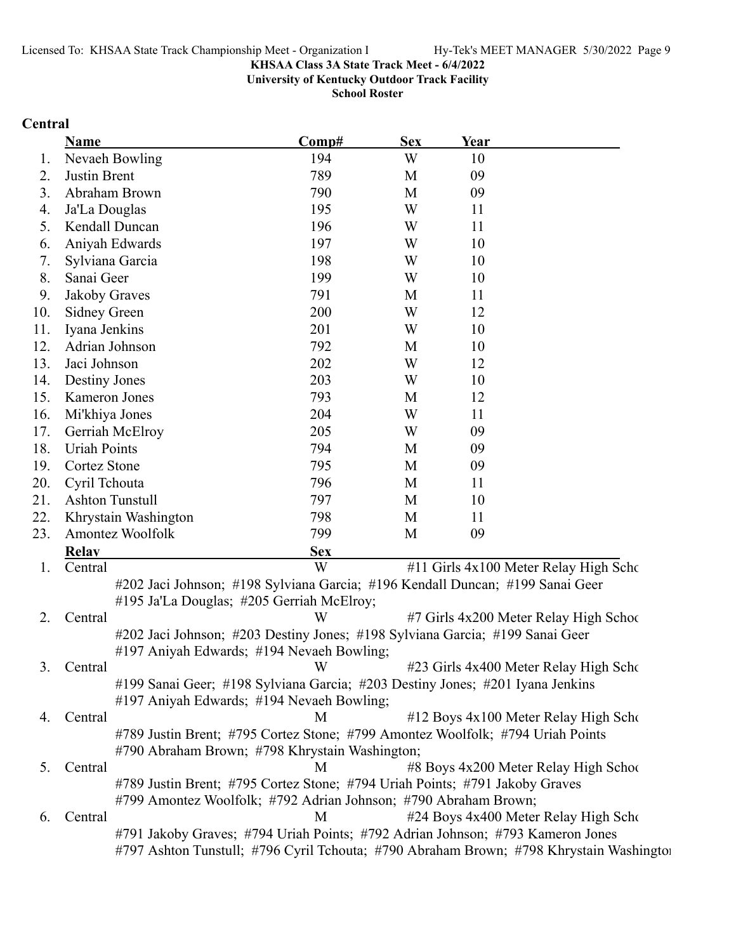**University of Kentucky Outdoor Track Facility**

**School Roster**

# **Central**

|     | <b>Name</b>                                                                                                                | Comp#      | <b>Sex</b> | Year |                                                                                         |
|-----|----------------------------------------------------------------------------------------------------------------------------|------------|------------|------|-----------------------------------------------------------------------------------------|
| 1.  | Nevaeh Bowling                                                                                                             | 194        | W          | 10   |                                                                                         |
| 2.  | Justin Brent                                                                                                               | 789        | M          | 09   |                                                                                         |
| 3.  | Abraham Brown                                                                                                              | 790        | M          | 09   |                                                                                         |
| 4.  | Ja'La Douglas                                                                                                              | 195        | W          | 11   |                                                                                         |
| 5.  | Kendall Duncan                                                                                                             | 196        | W          | 11   |                                                                                         |
| 6.  | Aniyah Edwards                                                                                                             | 197        | W          | 10   |                                                                                         |
| 7.  | Sylviana Garcia                                                                                                            | 198        | W          | 10   |                                                                                         |
| 8.  | Sanai Geer                                                                                                                 | 199        | W          | 10   |                                                                                         |
| 9.  | Jakoby Graves                                                                                                              | 791        | M          | 11   |                                                                                         |
| 10. | <b>Sidney Green</b>                                                                                                        | 200        | W          | 12   |                                                                                         |
| 11. | Iyana Jenkins                                                                                                              | 201        | W          | 10   |                                                                                         |
| 12. | Adrian Johnson                                                                                                             | 792        | M          | 10   |                                                                                         |
| 13. | Jaci Johnson                                                                                                               | 202        | W          | 12   |                                                                                         |
| 14. | <b>Destiny Jones</b>                                                                                                       | 203        | W          | 10   |                                                                                         |
| 15. | Kameron Jones                                                                                                              | 793        | M          | 12   |                                                                                         |
| 16. | Mi'khiya Jones                                                                                                             | 204        | W          | 11   |                                                                                         |
| 17. | Gerriah McElroy                                                                                                            | 205        | W          | 09   |                                                                                         |
| 18. | <b>Uriah Points</b>                                                                                                        | 794        | M          | 09   |                                                                                         |
| 19. | Cortez Stone                                                                                                               | 795        | M          | 09   |                                                                                         |
| 20. | Cyril Tchouta                                                                                                              | 796        | M          | 11   |                                                                                         |
| 21. | <b>Ashton Tunstull</b>                                                                                                     | 797        | M          | 10   |                                                                                         |
| 22. | Khrystain Washington                                                                                                       | 798        | M          | 11   |                                                                                         |
| 23. | Amontez Woolfolk                                                                                                           | 799        | M          | 09   |                                                                                         |
|     | <b>Relay</b>                                                                                                               | <b>Sex</b> |            |      |                                                                                         |
| 1.  | Central                                                                                                                    | W          |            |      | #11 Girls 4x100 Meter Relay High Scho                                                   |
|     | #202 Jaci Johnson; #198 Sylviana Garcia; #196 Kendall Duncan; #199 Sanai Geer                                              |            |            |      |                                                                                         |
|     | #195 Ja'La Douglas; #205 Gerriah McElroy;                                                                                  |            |            |      |                                                                                         |
| 2.  | Central                                                                                                                    | W          |            |      | #7 Girls 4x200 Meter Relay High School                                                  |
|     | #202 Jaci Johnson; #203 Destiny Jones; #198 Sylviana Garcia; #199 Sanai Geer                                               |            |            |      |                                                                                         |
|     | #197 Aniyah Edwards; #194 Nevaeh Bowling;                                                                                  |            |            |      |                                                                                         |
| 3.  | Central                                                                                                                    | W          |            |      | #23 Girls 4x400 Meter Relay High Scho                                                   |
|     | #199 Sanai Geer; #198 Sylviana Garcia; #203 Destiny Jones; #201 Iyana Jenkins<br>#197 Aniyah Edwards; #194 Nevaeh Bowling; |            |            |      |                                                                                         |
|     | Central                                                                                                                    | M          |            |      | #12 Boys 4x100 Meter Relay High Scho                                                    |
| 4.  | #789 Justin Brent; #795 Cortez Stone; #799 Amontez Woolfolk; #794 Uriah Points                                             |            |            |      |                                                                                         |
|     | #790 Abraham Brown; #798 Khrystain Washington;                                                                             |            |            |      |                                                                                         |
| 5.  | Central                                                                                                                    | M          |            |      | #8 Boys 4x200 Meter Relay High School                                                   |
|     | #789 Justin Brent; #795 Cortez Stone; #794 Uriah Points; #791 Jakoby Graves                                                |            |            |      |                                                                                         |
|     | #799 Amontez Woolfolk; #792 Adrian Johnson; #790 Abraham Brown;                                                            |            |            |      |                                                                                         |
| 6.  | Central                                                                                                                    | M          |            |      | #24 Boys 4x400 Meter Relay High Scho                                                    |
|     | #791 Jakoby Graves; #794 Uriah Points; #792 Adrian Johnson; #793 Kameron Jones                                             |            |            |      |                                                                                         |
|     |                                                                                                                            |            |            |      | #797 Ashton Tunstull; #796 Cyril Tchouta; #790 Abraham Brown; #798 Khrystain Washington |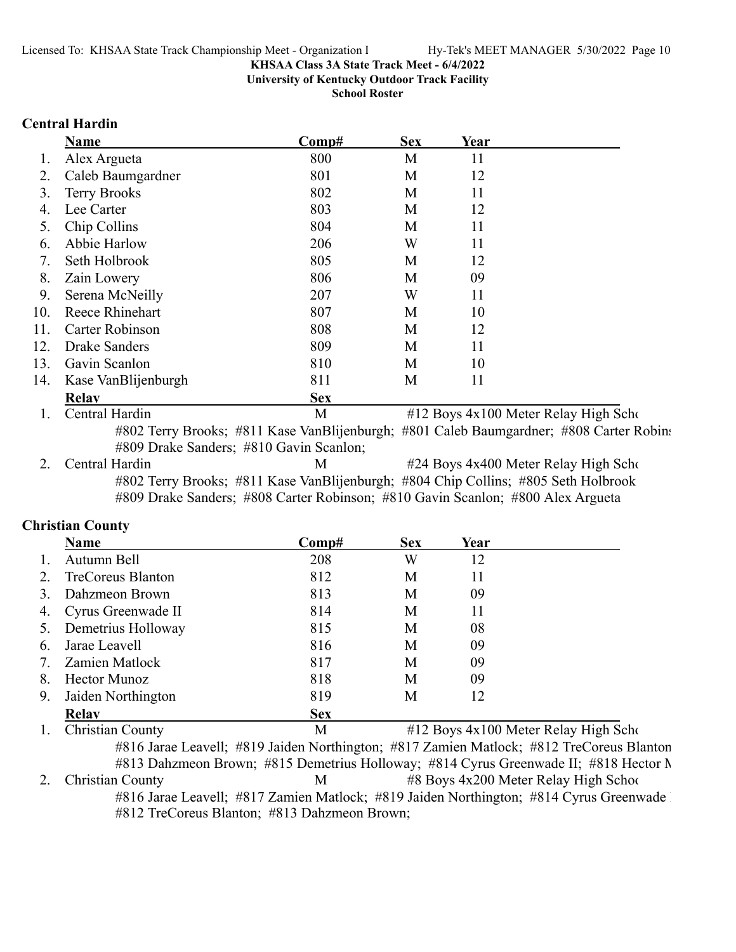**University of Kentucky Outdoor Track Facility**

**School Roster**

### **Central Hardin**

|     | <b>Name</b>         | Comp#      | <b>Sex</b> | Year |                                      |
|-----|---------------------|------------|------------|------|--------------------------------------|
|     | Alex Argueta        | 800        | M          | 11   |                                      |
|     | Caleb Baumgardner   | 801        | M          | 12   |                                      |
| 3.  | <b>Terry Brooks</b> | 802        | M          | 11   |                                      |
| 4.  | Lee Carter          | 803        | M          | 12   |                                      |
| 5.  | Chip Collins        | 804        | M          | 11   |                                      |
| 6.  | Abbie Harlow        | 206        | W          | 11   |                                      |
|     | Seth Holbrook       | 805        | M          | 12   |                                      |
| 8.  | Zain Lowery         | 806        | M          | 09   |                                      |
| 9.  | Serena McNeilly     | 207        | W          | 11   |                                      |
| 10. | Reece Rhinehart     | 807        | M          | 10   |                                      |
| 11. | Carter Robinson     | 808        | M          | 12   |                                      |
| 12. | Drake Sanders       | 809        | M          | 11   |                                      |
| 13. | Gavin Scanlon       | 810        | M          | 10   |                                      |
| 14. | Kase VanBlijenburgh | 811        | M          | 11   |                                      |
|     | <b>Relav</b>        | <b>Sex</b> |            |      |                                      |
|     | Central Hardin      | M          |            |      | #12 Boys 4x100 Meter Relay High Scho |

#802 Terry Brooks; #811 Kase VanBlijenburgh; #801 Caleb Baumgardner; #808 Carter Robins #809 Drake Sanders; #810 Gavin Scanlon;

2. Central Hardin M  $\mu$  #24 Boys 4x400 Meter Relay High Scho #802 Terry Brooks; #811 Kase VanBlijenburgh; #804 Chip Collins; #805 Seth Holbrook #809 Drake Sanders; #808 Carter Robinson; #810 Gavin Scanlon; #800 Alex Argueta

### **Christian County**

|    | Name                     | Comp#      | <b>Sex</b> | Year |  |
|----|--------------------------|------------|------------|------|--|
|    | Autumn Bell              | 208        | W          | 12   |  |
|    | <b>TreCoreus Blanton</b> | 812        | M          | 11   |  |
|    | Dahzmeon Brown           | 813        | М          | 09   |  |
| 4. | Cyrus Greenwade II       | 814        | M          | 11   |  |
|    | Demetrius Holloway       | 815        | M          | 08   |  |
| 6. | Jarae Leavell            | 816        | M          | 09   |  |
|    | Zamien Matlock           | 817        | M          | 09   |  |
| 8. | <b>Hector Munoz</b>      | 818        | М          | 09   |  |
| 9. | Jaiden Northington       | 819        | M          | 12   |  |
|    | <b>Relav</b>             | <b>Sex</b> |            |      |  |

1. Christian County M #12 Boys 4x100 Meter Relay High Scho #816 Jarae Leavell; #819 Jaiden Northington; #817 Zamien Matlock; #812 TreCoreus Blanton #813 Dahzmeon Brown; #815 Demetrius Holloway; #814 Cyrus Greenwade II; #818 Hector M 2. Christian County M #8 Boys 4x200 Meter Relay High School #816 Jarae Leavell; #817 Zamien Matlock; #819 Jaiden Northington; #814 Cyrus Greenwade #812 TreCoreus Blanton; #813 Dahzmeon Brown;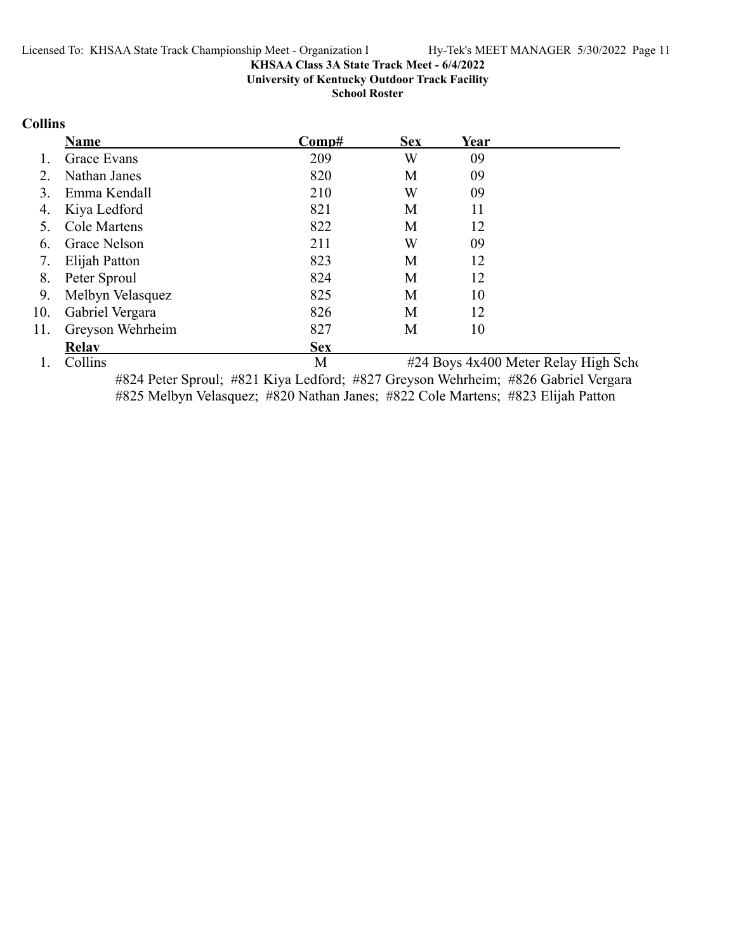**University of Kentucky Outdoor Track Facility**

**School Roster**

# **Collins**

|     | Name             | Comp#      | <b>Sex</b> | Year |                                      |
|-----|------------------|------------|------------|------|--------------------------------------|
|     | Grace Evans      | 209        | W          | 09   |                                      |
|     | Nathan Janes     | 820        | M          | 09   |                                      |
|     | Emma Kendall     | 210        | W          | 09   |                                      |
| 4.  | Kiya Ledford     | 821        | М          | 11   |                                      |
|     | Cole Martens     | 822        | M          | 12   |                                      |
| 6.  | Grace Nelson     | 211        | W          | 09   |                                      |
| 7.  | Elijah Patton    | 823        | М          | 12   |                                      |
| 8.  | Peter Sproul     | 824        | M          | 12   |                                      |
| 9.  | Melbyn Velasquez | 825        | М          | 10   |                                      |
| 10. | Gabriel Vergara  | 826        | М          | 12   |                                      |
| 11. | Greyson Wehrheim | 827        | М          | 10   |                                      |
|     | Relay            | <b>Sex</b> |            |      |                                      |
|     | Collins          | M          |            |      | #24 Boys 4x400 Meter Relay High Scho |

#824 Peter Sproul; #821 Kiya Ledford; #827 Greyson Wehrheim; #826 Gabriel Vergara #825 Melbyn Velasquez; #820 Nathan Janes; #822 Cole Martens; #823 Elijah Patton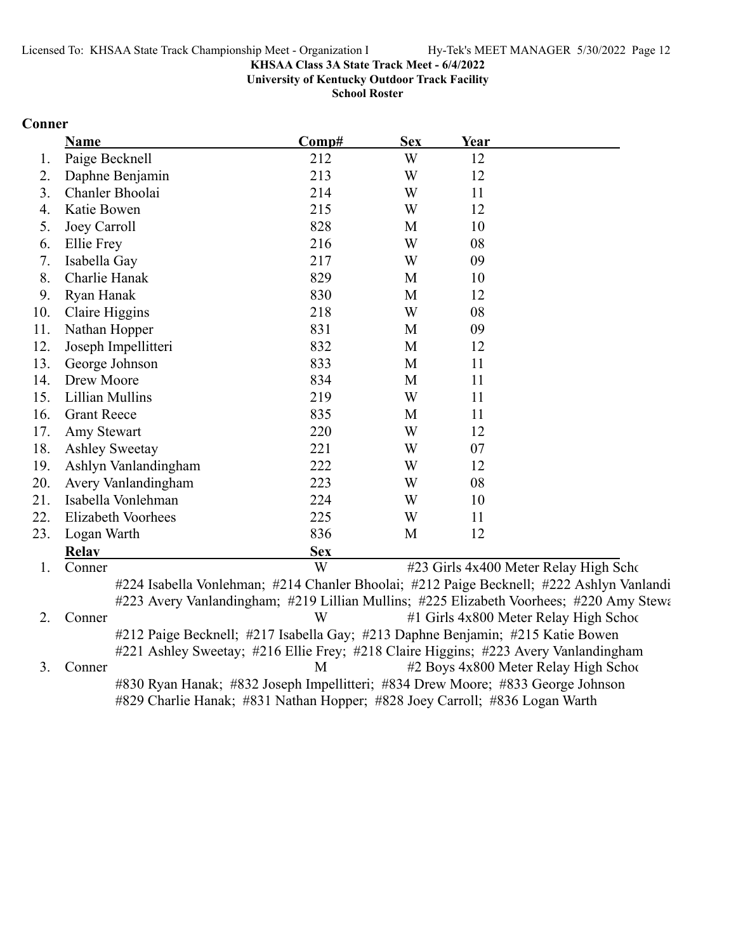**University of Kentucky Outdoor Track Facility**

**School Roster**

### **Conner**

|     | <b>Name</b>           | Comp#      | <b>Sex</b> | Year                                  |
|-----|-----------------------|------------|------------|---------------------------------------|
| 1.  | Paige Becknell        | 212        | W          | 12                                    |
| 2.  | Daphne Benjamin       | 213        | W          | 12                                    |
| 3.  | Chanler Bhoolai       | 214        | W          | 11                                    |
| 4.  | Katie Bowen           | 215        | W          | 12                                    |
| 5.  | Joey Carroll          | 828        | M          | 10                                    |
| 6.  | Ellie Frey            | 216        | W          | 08                                    |
| 7.  | Isabella Gay          | 217        | W          | 09                                    |
| 8.  | Charlie Hanak         | 829        | M          | 10                                    |
| 9.  | Ryan Hanak            | 830        | M          | 12                                    |
| 10. | Claire Higgins        | 218        | W          | 08                                    |
| 11. | Nathan Hopper         | 831        | M          | 09                                    |
| 12. | Joseph Impellitteri   | 832        | M          | 12                                    |
| 13. | George Johnson        | 833        | M          | 11                                    |
| 14. | Drew Moore            | 834        | M          | 11                                    |
| 15. | Lillian Mullins       | 219        | W          | 11                                    |
| 16. | <b>Grant Reece</b>    | 835        | M          | 11                                    |
| 17. | Amy Stewart           | 220        | W          | 12                                    |
| 18. | <b>Ashley Sweetay</b> | 221        | W          | 07                                    |
| 19. | Ashlyn Vanlandingham  | 222        | W          | 12                                    |
| 20. | Avery Vanlandingham   | 223        | W          | 08                                    |
| 21. | Isabella Vonlehman    | 224        | W          | 10                                    |
| 22. | Elizabeth Voorhees    | 225        | W          | 11                                    |
| 23. | Logan Warth           | 836        | M          | 12                                    |
|     | <b>Relay</b>          | <b>Sex</b> |            |                                       |
| 1.  | Conner                | W          |            | #23 Girls 4x400 Meter Relay High Scho |

2. Conner W #1 Girls 4x800 Meter Relay High School #212 Paige Becknell; #217 Isabella Gay; #213 Daphne Benjamin; #215 Katie Bowen #221 Ashley Sweetay; #216 Ellie Frey; #218 Claire Higgins; #223 Avery Vanlandingham 3. Conner M #2 Boys 4x800 Meter Relay High School #830 Ryan Hanak; #832 Joseph Impellitteri; #834 Drew Moore; #833 George Johnson

#829 Charlie Hanak; #831 Nathan Hopper; #828 Joey Carroll; #836 Logan Warth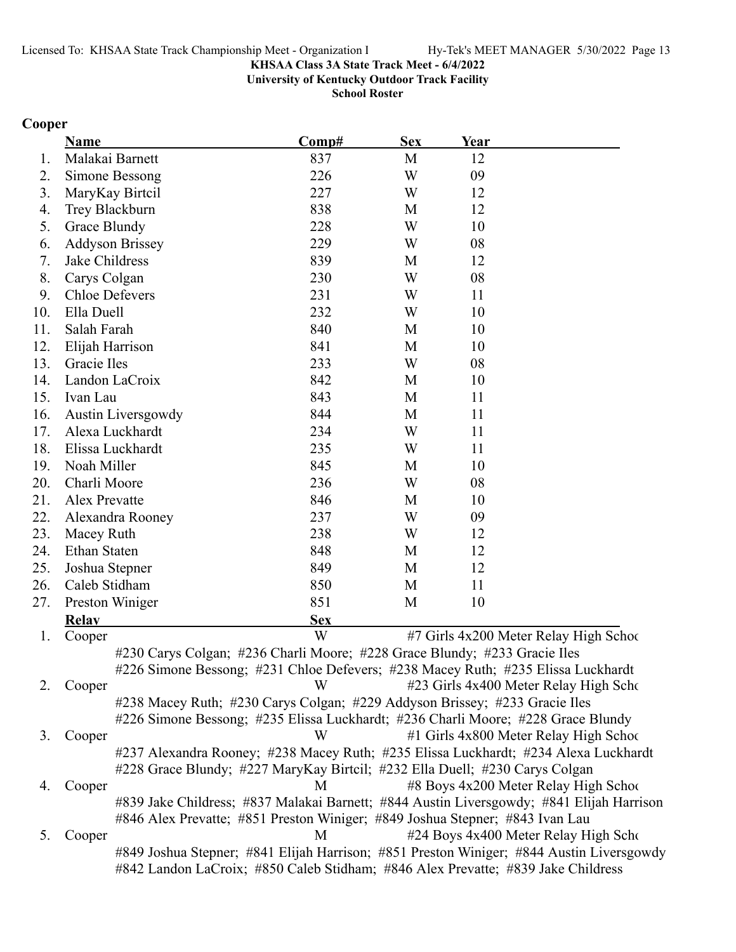**University of Kentucky Outdoor Track Facility**

**School Roster**

# **Cooper**

|     | <b>Name</b>            | Comp#                                                                               | <b>Sex</b> | Year |                                                                                          |
|-----|------------------------|-------------------------------------------------------------------------------------|------------|------|------------------------------------------------------------------------------------------|
| 1.  | Malakai Barnett        | 837                                                                                 | M          | 12   |                                                                                          |
| 2.  | Simone Bessong         | 226                                                                                 | W          | 09   |                                                                                          |
| 3.  | MaryKay Birtcil        | 227                                                                                 | W          | 12   |                                                                                          |
| 4.  | Trey Blackburn         | 838                                                                                 | M          | 12   |                                                                                          |
| 5.  | Grace Blundy           | 228                                                                                 | W          | 10   |                                                                                          |
| 6.  | <b>Addyson Brissey</b> | 229                                                                                 | W          | 08   |                                                                                          |
| 7.  | Jake Childress         | 839                                                                                 | M          | 12   |                                                                                          |
| 8.  | Carys Colgan           | 230                                                                                 | W          | 08   |                                                                                          |
| 9.  | <b>Chloe Defevers</b>  | 231                                                                                 | W          | 11   |                                                                                          |
| 10. | Ella Duell             | 232                                                                                 | W          | 10   |                                                                                          |
| 11. | Salah Farah            | 840                                                                                 | M          | 10   |                                                                                          |
| 12. | Elijah Harrison        | 841                                                                                 | M          | 10   |                                                                                          |
| 13. | Gracie Iles            | 233                                                                                 | W          | 08   |                                                                                          |
| 14. | Landon LaCroix         | 842                                                                                 | M          | 10   |                                                                                          |
| 15. | Ivan Lau               | 843                                                                                 | M          | 11   |                                                                                          |
| 16. | Austin Liversgowdy     | 844                                                                                 | M          | 11   |                                                                                          |
| 17. | Alexa Luckhardt        | 234                                                                                 | W          | 11   |                                                                                          |
| 18. | Elissa Luckhardt       | 235                                                                                 | W          | 11   |                                                                                          |
| 19. | Noah Miller            | 845                                                                                 | M          | 10   |                                                                                          |
| 20. | Charli Moore           | 236                                                                                 | W          | 08   |                                                                                          |
| 21. | Alex Prevatte          | 846                                                                                 | M          | 10   |                                                                                          |
| 22. | Alexandra Rooney       | 237                                                                                 | W          | 09   |                                                                                          |
| 23. | Macey Ruth             | 238                                                                                 | W          | 12   |                                                                                          |
| 24. | Ethan Staten           | 848                                                                                 | M          | 12   |                                                                                          |
| 25. | Joshua Stepner         | 849                                                                                 | M          | 12   |                                                                                          |
| 26. | Caleb Stidham          | 850                                                                                 | M          | 11   |                                                                                          |
| 27. | Preston Winiger        | 851                                                                                 | M          | 10   |                                                                                          |
|     | <b>Relay</b>           | <b>Sex</b>                                                                          |            |      |                                                                                          |
| 1.  | Cooper                 | W                                                                                   |            |      | #7 Girls 4x200 Meter Relay High School                                                   |
|     |                        | #230 Carys Colgan; #236 Charli Moore; #228 Grace Blundy; #233 Gracie Iles           |            |      |                                                                                          |
|     |                        | #226 Simone Bessong; #231 Chloe Defevers; #238 Macey Ruth; #235 Elissa Luckhardt    |            |      |                                                                                          |
| 2.  | Cooper                 | W                                                                                   |            |      | #23 Girls 4x400 Meter Relay High Scho                                                    |
|     |                        | #238 Macey Ruth; #230 Carys Colgan; #229 Addyson Brissey; #233 Gracie Iles          |            |      |                                                                                          |
|     |                        | #226 Simone Bessong; #235 Elissa Luckhardt; #236 Charli Moore; #228 Grace Blundy    |            |      |                                                                                          |
| 3.  | Cooper                 | W                                                                                   |            |      | #1 Girls 4x800 Meter Relay High School                                                   |
|     |                        | #237 Alexandra Rooney; #238 Macey Ruth; #235 Elissa Luckhardt; #234 Alexa Luckhardt |            |      |                                                                                          |
|     |                        | #228 Grace Blundy; #227 MaryKay Birtcil; #232 Ella Duell; #230 Carys Colgan         |            |      |                                                                                          |
| 4.  | Cooper                 | M                                                                                   |            |      | #8 Boys 4x200 Meter Relay High School                                                    |
|     |                        |                                                                                     |            |      | #839 Jake Childress; #837 Malakai Barnett; #844 Austin Liversgowdy; #841 Elijah Harrison |
|     |                        | #846 Alex Prevatte; #851 Preston Winiger; #849 Joshua Stepner; #843 Ivan Lau        |            |      |                                                                                          |
| 5.  | Cooper                 | M                                                                                   |            |      | #24 Boys 4x400 Meter Relay High Scho                                                     |
|     |                        |                                                                                     |            |      | #849 Joshua Stepner; #841 Elijah Harrison; #851 Preston Winiger; #844 Austin Liversgowdy |
|     |                        | #842 Landon LaCroix; #850 Caleb Stidham; #846 Alex Prevatte; #839 Jake Childress    |            |      |                                                                                          |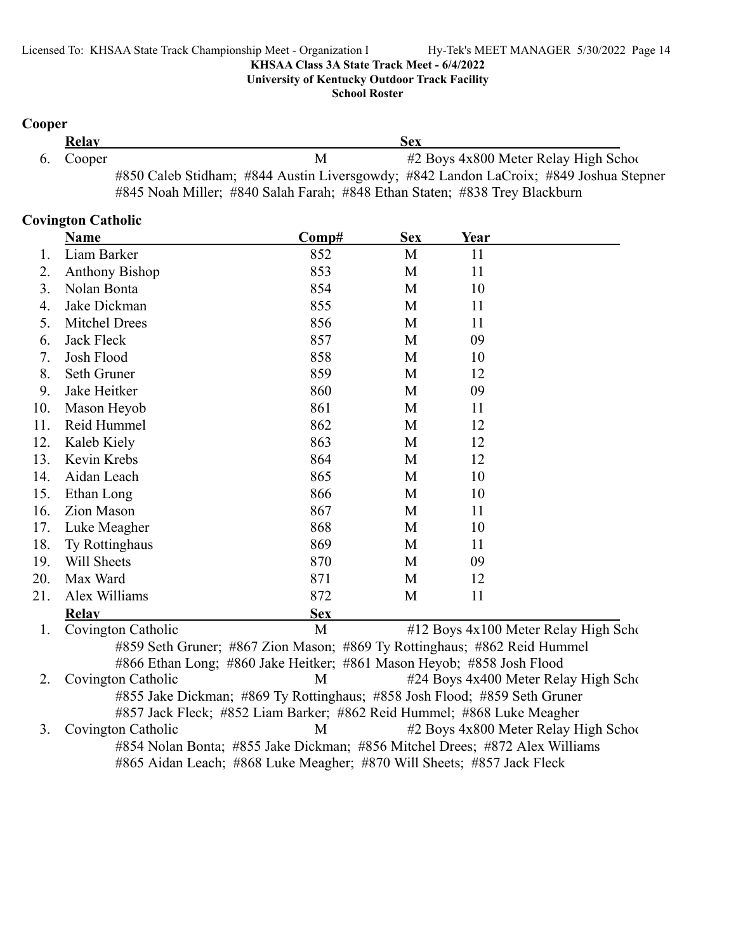**University of Kentucky Outdoor Track Facility**

**School Roster**

### **Cooper**

| Relay     |                                                                                       | Sex                                     |
|-----------|---------------------------------------------------------------------------------------|-----------------------------------------|
| 6. Cooper | М                                                                                     | $#2$ Boys 4x800 Meter Relay High School |
|           | #850 Caleb Stidham; #844 Austin Liversgowdy; #842 Landon LaCroix; #849 Joshua Stepner |                                         |
|           | #845 Noah Miller; #840 Salah Farah; #848 Ethan Staten; #838 Trey Blackburn            |                                         |

### **Covington Catholic**

|     | <b>Name</b>           | Comp#                                                                     | <b>Sex</b> | Year |                                      |
|-----|-----------------------|---------------------------------------------------------------------------|------------|------|--------------------------------------|
| 1.  | Liam Barker           | 852                                                                       | M          | 11   |                                      |
| 2.  | <b>Anthony Bishop</b> | 853                                                                       | M          | 11   |                                      |
| 3.  | Nolan Bonta           | 854                                                                       | M          | 10   |                                      |
| 4.  | Jake Dickman          | 855                                                                       | M          | 11   |                                      |
| 5.  | <b>Mitchel Drees</b>  | 856                                                                       | M          | 11   |                                      |
| 6.  | Jack Fleck            | 857                                                                       | M          | 09   |                                      |
| 7.  | Josh Flood            | 858                                                                       | M          | 10   |                                      |
| 8.  | Seth Gruner           | 859                                                                       | M          | 12   |                                      |
| 9.  | Jake Heitker          | 860                                                                       | M          | 09   |                                      |
| 10. | Mason Heyob           | 861                                                                       | M          | 11   |                                      |
| 11. | Reid Hummel           | 862                                                                       | M          | 12   |                                      |
| 12. | Kaleb Kiely           | 863                                                                       | M          | 12   |                                      |
| 13. | Kevin Krebs           | 864                                                                       | M          | 12   |                                      |
| 14. | Aidan Leach           | 865                                                                       | M          | 10   |                                      |
| 15. | Ethan Long            | 866                                                                       | М          | 10   |                                      |
| 16. | <b>Zion Mason</b>     | 867                                                                       | M          | 11   |                                      |
| 17. | Luke Meagher          | 868                                                                       | M          | 10   |                                      |
| 18. | Ty Rottinghaus        | 869                                                                       | M          | 11   |                                      |
| 19. | Will Sheets           | 870                                                                       | M          | 09   |                                      |
| 20. | Max Ward              | 871                                                                       | M          | 12   |                                      |
| 21. | Alex Williams         | 872                                                                       | M          | 11   |                                      |
|     | <b>Relay</b>          | <b>Sex</b>                                                                |            |      |                                      |
| 1.  | Covington Catholic    | M                                                                         |            |      | #12 Boys 4x100 Meter Relay High Scho |
|     |                       | #859 Seth Gruner; #867 Zion Mason; #869 Ty Rottinghaus; #862 Reid Hummel  |            |      |                                      |
|     |                       | #866 Ethan Long; #860 Jake Heitker; #861 Mason Heyob; #858 Josh Flood     |            |      |                                      |
| 2.  | Covington Catholic    | M                                                                         |            |      | #24 Boys 4x400 Meter Relay High Scho |
|     |                       | #855 Jake Dickman; #869 Ty Rottinghaus; #858 Josh Flood; #859 Seth Gruner |            |      |                                      |
|     |                       | #857 Jack Fleck; #852 Liam Barker; #862 Reid Hummel; #868 Luke Meagher    |            |      |                                      |

3. Covington Catholic M #2 Boys 4x800 Meter Relay High School #854 Nolan Bonta; #855 Jake Dickman; #856 Mitchel Drees; #872 Alex Williams #865 Aidan Leach; #868 Luke Meagher; #870 Will Sheets; #857 Jack Fleck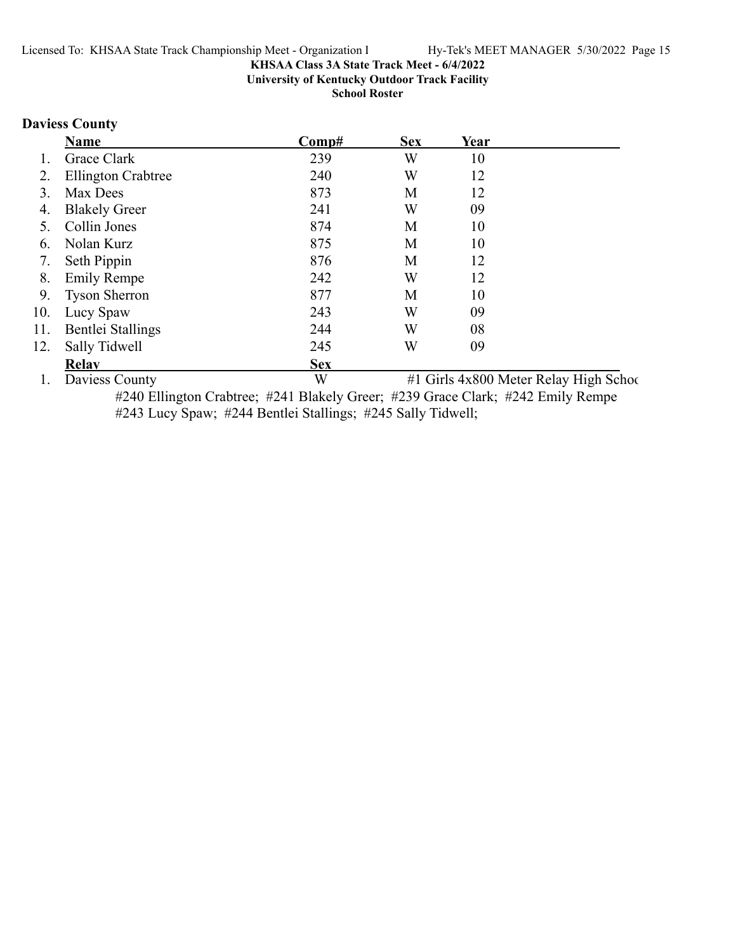**University of Kentucky Outdoor Track Facility**

**School Roster**

# **Daviess County**

|     | <b>Name</b>               | Comp#      | <b>Sex</b> | Year |                                        |
|-----|---------------------------|------------|------------|------|----------------------------------------|
| I.  | Grace Clark               | 239        | W          | 10   |                                        |
| 2.  | <b>Ellington Crabtree</b> | 240        | W          | 12   |                                        |
| 3.  | Max Dees                  | 873        | М          | 12   |                                        |
| 4.  | <b>Blakely Greer</b>      | 241        | W          | 09   |                                        |
|     | Collin Jones              | 874        | M          | 10   |                                        |
| 6.  | Nolan Kurz                | 875        | М          | 10   |                                        |
| 7.  | Seth Pippin               | 876        | M          | 12   |                                        |
| 8.  | <b>Emily Rempe</b>        | 242        | W          | 12   |                                        |
| 9.  | <b>Tyson Sherron</b>      | 877        | М          | 10   |                                        |
| 10. | Lucy Spaw                 | 243        | W          | 09   |                                        |
| 11. | Bentlei Stallings         | 244        | W          | 08   |                                        |
| 12. | Sally Tidwell             | 245        | W          | 09   |                                        |
|     | <b>Relav</b>              | <b>Sex</b> |            |      |                                        |
|     | Daviess County            | W          |            |      | #1 Girls 4x800 Meter Relay High School |

#240 Ellington Crabtree; #241 Blakely Greer; #239 Grace Clark; #242 Emily Rempe #243 Lucy Spaw; #244 Bentlei Stallings; #245 Sally Tidwell;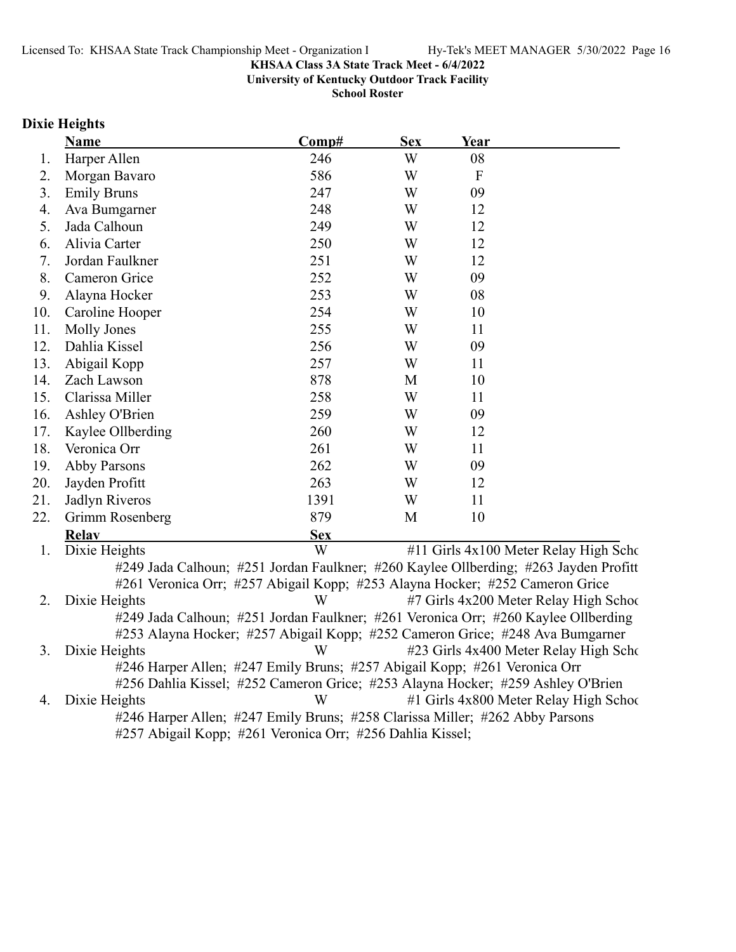**University of Kentucky Outdoor Track Facility**

**School Roster**

### **Dixie Heights**

|     | <b>Name</b>                                     | Comp#      | <b>Sex</b> | <b>Year</b>                                                  |  |
|-----|-------------------------------------------------|------------|------------|--------------------------------------------------------------|--|
| 1.  | Harper Allen                                    | 246        | W          | 08                                                           |  |
| 2.  | Morgan Bavaro                                   | 586        | W          | $\mathbf F$                                                  |  |
| 3.  | <b>Emily Bruns</b>                              | 247        | W          | 09                                                           |  |
| 4.  | Ava Bumgarner                                   | 248        | W          | 12                                                           |  |
| 5.  | Jada Calhoun                                    | 249        | W          | 12                                                           |  |
| 6.  | Alivia Carter                                   | 250        | W          | 12                                                           |  |
| 7.  | Jordan Faulkner                                 | 251        | W          | 12                                                           |  |
| 8.  | Cameron Grice                                   | 252        | W          | 09                                                           |  |
| 9.  | Alayna Hocker                                   | 253        | W          | 08                                                           |  |
| 10. | Caroline Hooper                                 | 254        | W          | 10                                                           |  |
| 11. | Molly Jones                                     | 255        | W          | 11                                                           |  |
| 12. | Dahlia Kissel                                   | 256        | W          | 09                                                           |  |
| 13. | Abigail Kopp                                    | 257        | W          | 11                                                           |  |
| 14. | Zach Lawson                                     | 878        | M          | 10                                                           |  |
| 15. | Clarissa Miller                                 | 258        | W          | 11                                                           |  |
| 16. | Ashley O'Brien                                  | 259        | W          | 09                                                           |  |
| 17. | Kaylee Ollberding                               | 260        | W          | 12                                                           |  |
| 18. | Veronica Orr                                    | 261        | W          | 11                                                           |  |
| 19. | Abby Parsons                                    | 262        | W          | 09                                                           |  |
| 20. | Jayden Profitt                                  | 263        | W          | 12                                                           |  |
| 21. | Jadlyn Riveros                                  | 1391       | W          | 11                                                           |  |
| 22. | Grimm Rosenberg                                 | 879        | M          | 10                                                           |  |
|     | <b>Relay</b>                                    | <b>Sex</b> |            |                                                              |  |
|     | $\mathbf{D}$ inia $\mathbf{H}$ aia $\mathbf{L}$ | <b>II</b>  |            | $\mu$ 11 $C_{\mu}$ $\sim$ $4 \times 100$ Metan Belgy H, ch C |  |

1. Dixie Heights **1. Dixie Heights 1. Dixie Heights 1.** All Girls 4x100 Meter Relay High School #249 Jada Calhoun; #251 Jordan Faulkner; #260 Kaylee Ollberding; #263 Jayden Profitt #261 Veronica Orr; #257 Abigail Kopp; #253 Alayna Hocker; #252 Cameron Grice 2. Dixie Heights **1988** W #7 Girls 4x200 Meter Relay High School

#249 Jada Calhoun; #251 Jordan Faulkner; #261 Veronica Orr; #260 Kaylee Ollberding #253 Alayna Hocker; #257 Abigail Kopp; #252 Cameron Grice; #248 Ava Bumgarner 3. Dixie Heights W #23 Girls 4x400 Meter Relay High Scho #246 Harper Allen; #247 Emily Bruns; #257 Abigail Kopp; #261 Veronica Orr #256 Dahlia Kissel; #252 Cameron Grice; #253 Alayna Hocker; #259 Ashley O'Brien

4. Dixie Heights **All School Communist Communist Communist Communist Communist Communist Communist Communist Communist Communist Communist Communist Communist Communist Communist Communist Communist Communist Communist Com** #246 Harper Allen; #247 Emily Bruns; #258 Clarissa Miller; #262 Abby Parsons #257 Abigail Kopp; #261 Veronica Orr; #256 Dahlia Kissel;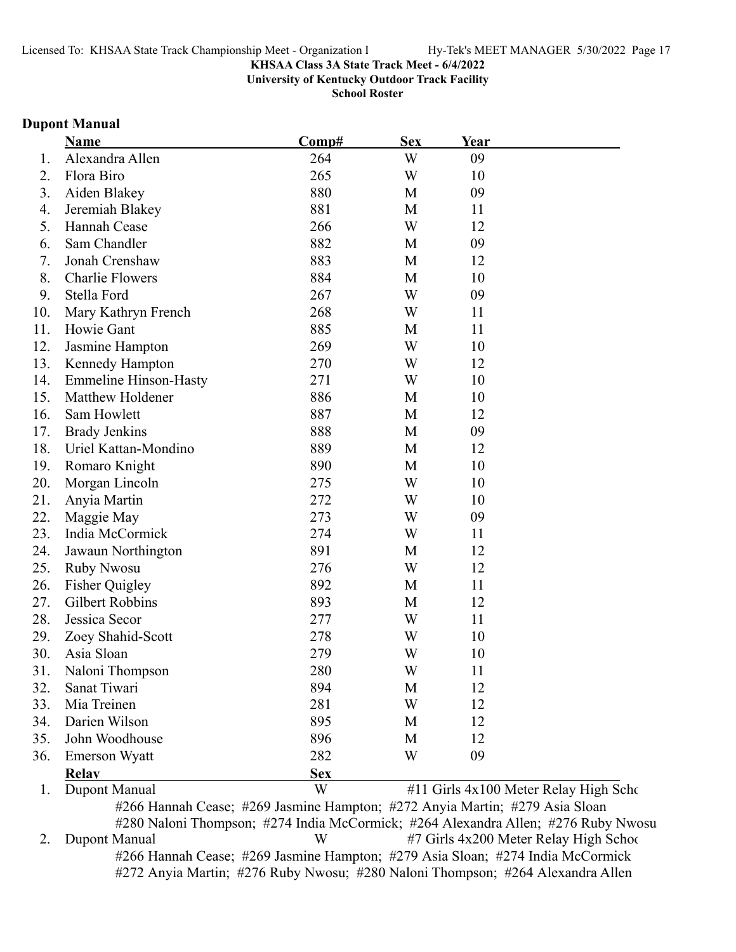**University of Kentucky Outdoor Track Facility**

**School Roster**

### **Dupont Manual**

|     | Name                         | Comp#      | <b>Sex</b> | Year |                                       |
|-----|------------------------------|------------|------------|------|---------------------------------------|
| 1.  | Alexandra Allen              | 264        | W          | 09   |                                       |
| 2.  | Flora Biro                   | 265        | W          | 10   |                                       |
| 3.  | Aiden Blakey                 | 880        | M          | 09   |                                       |
| 4.  | Jeremiah Blakey              | 881        | M          | 11   |                                       |
| 5.  | Hannah Cease                 | 266        | W          | 12   |                                       |
| 6.  | Sam Chandler                 | 882        | M          | 09   |                                       |
| 7.  | Jonah Crenshaw               | 883        | M          | 12   |                                       |
| 8.  | <b>Charlie Flowers</b>       | 884        | M          | 10   |                                       |
| 9.  | Stella Ford                  | 267        | W          | 09   |                                       |
| 10. | Mary Kathryn French          | 268        | W          | 11   |                                       |
| 11. | Howie Gant                   | 885        | M          | 11   |                                       |
| 12. | Jasmine Hampton              | 269        | W          | 10   |                                       |
| 13. | Kennedy Hampton              | 270        | W          | 12   |                                       |
| 14. | <b>Emmeline Hinson-Hasty</b> | 271        | W          | 10   |                                       |
| 15. | Matthew Holdener             | 886        | M          | 10   |                                       |
| 16. | Sam Howlett                  | 887        | M          | 12   |                                       |
| 17. | <b>Brady Jenkins</b>         | 888        | M          | 09   |                                       |
| 18. | Uriel Kattan-Mondino         | 889        | M          | 12   |                                       |
| 19. | Romaro Knight                | 890        | M          | 10   |                                       |
| 20. | Morgan Lincoln               | 275        | W          | 10   |                                       |
| 21. | Anyia Martin                 | 272        | W          | 10   |                                       |
| 22. | Maggie May                   | 273        | W          | 09   |                                       |
| 23. | India McCormick              | 274        | W          | 11   |                                       |
| 24. | Jawaun Northington           | 891        | M          | 12   |                                       |
| 25. | <b>Ruby Nwosu</b>            | 276        | W          | 12   |                                       |
| 26. | <b>Fisher Quigley</b>        | 892        | M          | 11   |                                       |
| 27. | <b>Gilbert Robbins</b>       | 893        | M          | 12   |                                       |
| 28. | Jessica Secor                | 277        | W          | 11   |                                       |
| 29. | Zoey Shahid-Scott            | 278        | W          | 10   |                                       |
| 30. | Asia Sloan                   | 279        | W          | 10   |                                       |
| 31  | Naloni Thompson              | 280        | W          | 11   |                                       |
| 32. | Sanat Tiwari                 | 894        | M          | 12   |                                       |
| 33. | Mia Treinen                  | 281        | W          | 12   |                                       |
| 34. | Darien Wilson                | 895        | M          | 12   |                                       |
| 35. | John Woodhouse               | 896        | М          | 12   |                                       |
| 36. | <b>Emerson Wyatt</b>         | 282        | W          | 09   |                                       |
|     | <b>Relay</b>                 | <b>Sex</b> |            |      |                                       |
| 1.  | Dupont Manual                | W          |            |      | #11 Girls 4x100 Meter Relay High Scho |

#266 Hannah Cease; #269 Jasmine Hampton; #272 Anyia Martin; #279 Asia Sloan #280 Naloni Thompson; #274 India McCormick; #264 Alexandra Allen; #276 Ruby Nwosu 2. Dupont Manual W #7 Girls 4x200 Meter Relay High School #266 Hannah Cease; #269 Jasmine Hampton; #279 Asia Sloan; #274 India McCormick #272 Anyia Martin; #276 Ruby Nwosu; #280 Naloni Thompson; #264 Alexandra Allen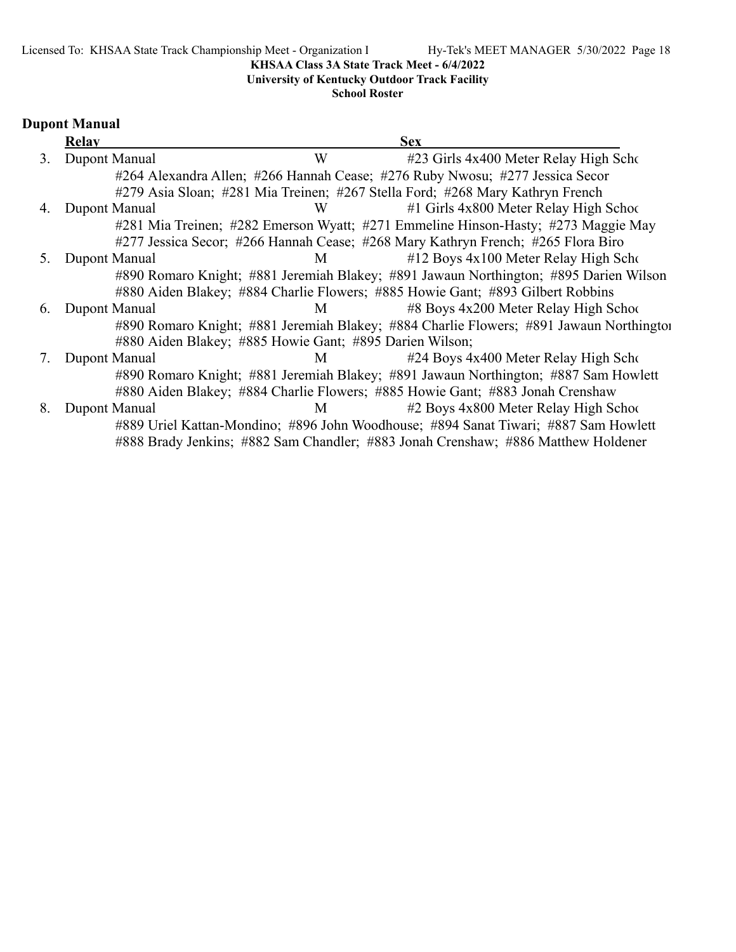# **University of Kentucky Outdoor Track Facility**

### **School Roster**

# **Dupont Manual**

|    | Relay         |                                                         | <b>Sex</b>                                                                              |
|----|---------------|---------------------------------------------------------|-----------------------------------------------------------------------------------------|
| 3. | Dupont Manual | W                                                       | #23 Girls 4x400 Meter Relay High Scho                                                   |
|    |               |                                                         | #264 Alexandra Allen; #266 Hannah Cease; #276 Ruby Nwosu; #277 Jessica Secor            |
|    |               |                                                         | #279 Asia Sloan; #281 Mia Treinen; #267 Stella Ford; #268 Mary Kathryn French           |
| 4. | Dupont Manual | W                                                       | $#1$ Girls 4x800 Meter Relay High School                                                |
|    |               |                                                         | #281 Mia Treinen; #282 Emerson Wyatt; #271 Emmeline Hinson-Hasty; #273 Maggie May       |
|    |               |                                                         | #277 Jessica Secor; #266 Hannah Cease; #268 Mary Kathryn French; #265 Flora Biro        |
| 5. | Dupont Manual | M                                                       | $#12$ Boys $4x100$ Meter Relay High Scho                                                |
|    |               |                                                         | #890 Romaro Knight; #881 Jeremiah Blakey; #891 Jawaun Northington; #895 Darien Wilson   |
|    |               |                                                         | #880 Aiden Blakey; #884 Charlie Flowers; #885 Howie Gant; #893 Gilbert Robbins          |
| 6. | Dupont Manual | M                                                       | $\#8$ Boys 4x200 Meter Relay High School                                                |
|    |               |                                                         | #890 Romaro Knight; #881 Jeremiah Blakey; #884 Charlie Flowers; #891 Jawaun Northingtor |
|    |               | #880 Aiden Blakey; #885 Howie Gant; #895 Darien Wilson; |                                                                                         |
|    | Dupont Manual | M                                                       | #24 Boys 4x400 Meter Relay High Scho                                                    |
|    |               |                                                         | #890 Romaro Knight; #881 Jeremiah Blakey; #891 Jawaun Northington; #887 Sam Howlett     |
|    |               |                                                         | #880 Aiden Blakey; #884 Charlie Flowers; #885 Howie Gant; #883 Jonah Crenshaw           |
| 8. | Dupont Manual | M                                                       | #2 Boys 4x800 Meter Relay High School                                                   |
|    |               |                                                         | #889 Uriel Kattan-Mondino; #896 John Woodhouse; #894 Sanat Tiwari; #887 Sam Howlett     |
|    |               |                                                         | #888 Brady Jenkins; #882 Sam Chandler; #883 Jonah Crenshaw; #886 Matthew Holdener       |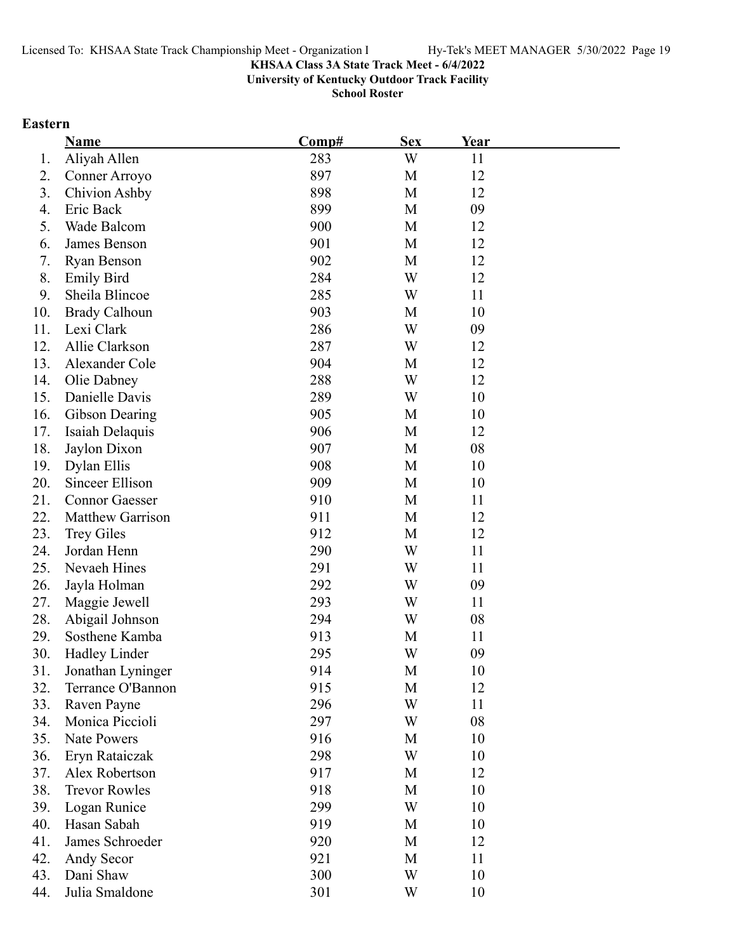**University of Kentucky Outdoor Track Facility**

**School Roster**

# **Eastern**

|     | <b>Name</b>             | Comp# | <b>Sex</b> | Year |  |
|-----|-------------------------|-------|------------|------|--|
| 1.  | Aliyah Allen            | 283   | W          | 11   |  |
| 2.  | Conner Arroyo           | 897   | M          | 12   |  |
| 3.  | <b>Chivion Ashby</b>    | 898   | M          | 12   |  |
| 4.  | Eric Back               | 899   | M          | 09   |  |
| 5.  | Wade Balcom             | 900   | M          | 12   |  |
| 6.  | James Benson            | 901   | M          | 12   |  |
| 7.  | <b>Ryan Benson</b>      | 902   | M          | 12   |  |
| 8.  | <b>Emily Bird</b>       | 284   | W          | 12   |  |
| 9.  | Sheila Blincoe          | 285   | W          | 11   |  |
| 10. | <b>Brady Calhoun</b>    | 903   | M          | 10   |  |
| 11. | Lexi Clark              | 286   | W          | 09   |  |
| 12. | Allie Clarkson          | 287   | W          | 12   |  |
| 13. | Alexander Cole          | 904   | M          | 12   |  |
| 14. | Olie Dabney             | 288   | W          | 12   |  |
| 15. | Danielle Davis          | 289   | W          | 10   |  |
| 16. | Gibson Dearing          | 905   | M          | 10   |  |
| 17. | Isaiah Delaquis         | 906   | M          | 12   |  |
| 18. | Jaylon Dixon            | 907   | M          | 08   |  |
| 19. | Dylan Ellis             | 908   | M          | 10   |  |
| 20. | Sinceer Ellison         | 909   | M          | 10   |  |
| 21. | <b>Connor Gaesser</b>   | 910   | M          | 11   |  |
| 22. | <b>Matthew Garrison</b> | 911   | M          | 12   |  |
| 23. | <b>Trey Giles</b>       | 912   | M          | 12   |  |
| 24. | Jordan Henn             | 290   | W          | 11   |  |
| 25. | Nevaeh Hines            | 291   | W          | 11   |  |
| 26. | Jayla Holman            | 292   | W          | 09   |  |
| 27. | Maggie Jewell           | 293   | W          | 11   |  |
| 28. | Abigail Johnson         | 294   | W          | 08   |  |
| 29. | Sosthene Kamba          | 913   | M          | 11   |  |
| 30. | Hadley Linder           | 295   | W          | 09   |  |
| 31. | Jonathan Lyninger       | 914   | М          | 10   |  |
| 32. | Terrance O'Bannon       | 915   | M          | 12   |  |
| 33. | Raven Payne             | 296   | W          | 11   |  |
| 34. | Monica Piccioli         | 297   | W          | 08   |  |
| 35. | <b>Nate Powers</b>      | 916   | M          | 10   |  |
| 36. | Eryn Rataiczak          | 298   | W          | 10   |  |
| 37. | Alex Robertson          | 917   | M          | 12   |  |
| 38. | <b>Trevor Rowles</b>    | 918   | M          | 10   |  |
| 39. | Logan Runice            | 299   | W          | 10   |  |
| 40. | Hasan Sabah             | 919   | M          | 10   |  |
| 41. | James Schroeder         | 920   | M          | 12   |  |
| 42. | Andy Secor              | 921   | M          | 11   |  |
| 43. | Dani Shaw               | 300   | W          | 10   |  |
| 44. | Julia Smaldone          | 301   | W          | 10   |  |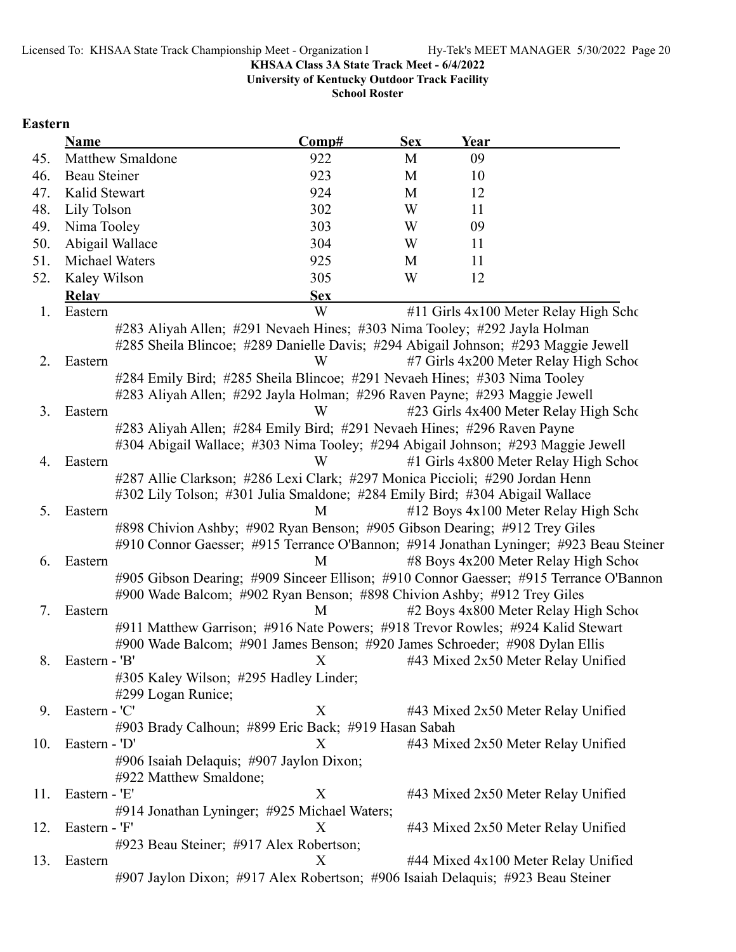**University of Kentucky Outdoor Track Facility**

**School Roster**

# **Eastern**

| <b>Name</b>             | Comp#                                                                                  | <b>Sex</b> | Year |                                        |
|-------------------------|----------------------------------------------------------------------------------------|------------|------|----------------------------------------|
| <b>Matthew Smaldone</b> | 922                                                                                    | M          | 09   |                                        |
| Beau Steiner            | 923                                                                                    | M          | 10   |                                        |
| Kalid Stewart           | 924                                                                                    | M          | 12   |                                        |
| Lily Tolson             | 302                                                                                    | W          | 11   |                                        |
| Nima Tooley             | 303                                                                                    | W          | 09   |                                        |
| Abigail Wallace         | 304                                                                                    | W          | 11   |                                        |
| Michael Waters          | 925                                                                                    | M          | 11   |                                        |
| Kaley Wilson            | 305                                                                                    | W          | 12   |                                        |
| <b>Relay</b>            | <b>Sex</b>                                                                             |            |      |                                        |
| Eastern                 | W                                                                                      |            |      | #11 Girls 4x100 Meter Relay High Scho  |
|                         | #283 Aliyah Allen; #291 Nevaeh Hines; #303 Nima Tooley; #292 Jayla Holman              |            |      |                                        |
|                         | #285 Sheila Blincoe; #289 Danielle Davis; #294 Abigail Johnson; #293 Maggie Jewell     |            |      |                                        |
| Eastern                 | W                                                                                      |            |      | #7 Girls 4x200 Meter Relay High School |
|                         | #284 Emily Bird; #285 Sheila Blincoe; #291 Nevaeh Hines; #303 Nima Tooley              |            |      |                                        |
|                         | #283 Aliyah Allen; #292 Jayla Holman; #296 Raven Payne; #293 Maggie Jewell             |            |      |                                        |
| Eastern                 | W                                                                                      |            |      | #23 Girls 4x400 Meter Relay High Scho  |
|                         | #283 Aliyah Allen; #284 Emily Bird; #291 Nevaeh Hines; #296 Raven Payne                |            |      |                                        |
|                         | #304 Abigail Wallace; #303 Nima Tooley; #294 Abigail Johnson; #293 Maggie Jewell       |            |      |                                        |
| Eastern                 | W                                                                                      |            |      | #1 Girls 4x800 Meter Relay High School |
|                         | #287 Allie Clarkson; #286 Lexi Clark; #297 Monica Piccioli; #290 Jordan Henn           |            |      |                                        |
|                         | #302 Lily Tolson; #301 Julia Smaldone; #284 Emily Bird; #304 Abigail Wallace           |            |      |                                        |
| Eastern                 | M                                                                                      |            |      | #12 Boys 4x100 Meter Relay High Scho   |
|                         | #898 Chivion Ashby; #902 Ryan Benson; #905 Gibson Dearing; #912 Trey Giles             |            |      |                                        |
|                         | #910 Connor Gaesser; #915 Terrance O'Bannon; #914 Jonathan Lyninger; #923 Beau Steiner |            |      |                                        |
| Eastern                 | M                                                                                      |            |      | #8 Boys 4x200 Meter Relay High School  |
|                         | #905 Gibson Dearing; #909 Sinceer Ellison; #910 Connor Gaesser; #915 Terrance O'Bannon |            |      |                                        |
|                         | #900 Wade Balcom; #902 Ryan Benson; #898 Chivion Ashby; #912 Trey Giles                |            |      |                                        |
| Eastern                 | M                                                                                      |            |      | #2 Boys 4x800 Meter Relay High School  |
|                         | #911 Matthew Garrison; #916 Nate Powers; #918 Trevor Rowles; #924 Kalid Stewart        |            |      |                                        |
|                         | #900 Wade Balcom; #901 James Benson; #920 James Schroeder; #908 Dylan Ellis            |            |      |                                        |
| Eastern - 'B'           | X                                                                                      |            |      | #43 Mixed 2x50 Meter Relay Unified     |
|                         | #305 Kaley Wilson; #295 Hadley Linder;                                                 |            |      |                                        |
| #299 Logan Runice;      |                                                                                        |            |      |                                        |
| Eastern - 'C'           | X                                                                                      |            |      | #43 Mixed 2x50 Meter Relay Unified     |
|                         | #903 Brady Calhoun; #899 Eric Back; #919 Hasan Sabah                                   |            |      |                                        |
| Eastern - 'D'           | X                                                                                      |            |      | #43 Mixed 2x50 Meter Relay Unified     |
|                         | #906 Isaiah Delaquis; #907 Jaylon Dixon;                                               |            |      |                                        |
| #922 Matthew Smaldone;  |                                                                                        |            |      |                                        |
| Eastern - 'E'           | X                                                                                      |            |      | #43 Mixed 2x50 Meter Relay Unified     |
|                         | #914 Jonathan Lyninger; #925 Michael Waters;                                           |            |      |                                        |
| Eastern - 'F'           | Х                                                                                      |            |      | #43 Mixed 2x50 Meter Relay Unified     |
|                         | #923 Beau Steiner; #917 Alex Robertson;                                                |            |      |                                        |
| Eastern                 | X                                                                                      |            |      | #44 Mixed 4x100 Meter Relay Unified    |
|                         | #907 Jaylon Dixon; #917 Alex Robertson; #906 Isaiah Delaquis; #923 Beau Steiner        |            |      |                                        |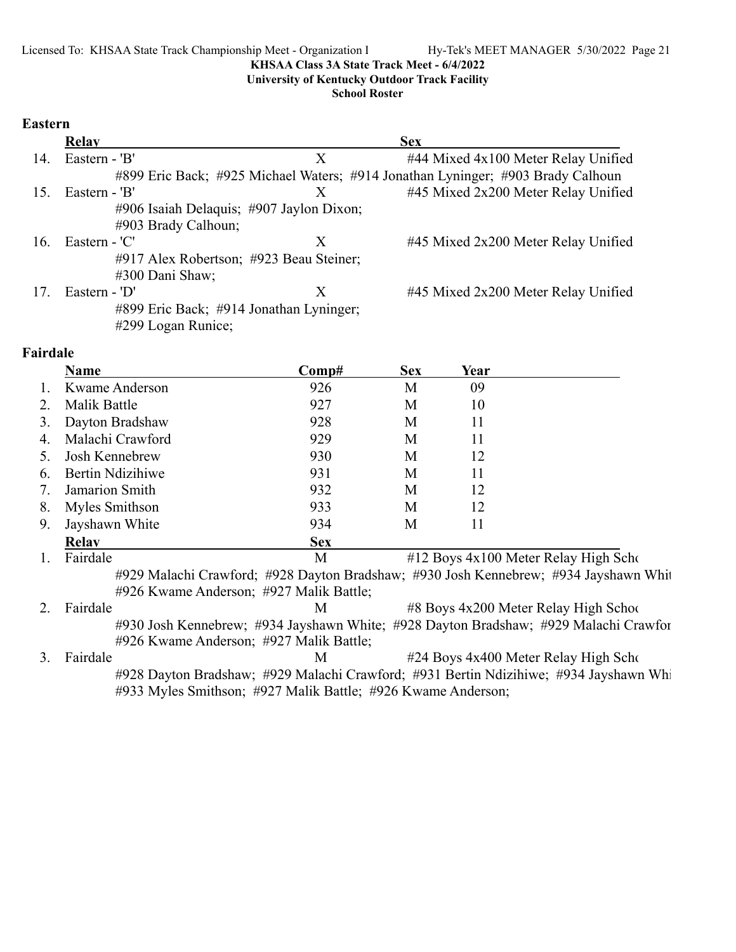**University of Kentucky Outdoor Track Facility**

**School Roster**

### **Eastern**

|     | <b>Relay</b>                             |   | <b>Sex</b>                                                                      |
|-----|------------------------------------------|---|---------------------------------------------------------------------------------|
| 14. | Eastern - 'B'                            | X | #44 Mixed 4x100 Meter Relay Unified                                             |
|     |                                          |   | #899 Eric Back; #925 Michael Waters; #914 Jonathan Lyninger; #903 Brady Calhoun |
| 15. | Eastern - 'B'                            |   | #45 Mixed 2x200 Meter Relay Unified                                             |
|     | #906 Isaiah Delaquis; #907 Jaylon Dixon; |   |                                                                                 |
|     | #903 Brady Calhoun;                      |   |                                                                                 |
| 16. | Eastern - 'C'                            | X | #45 Mixed 2x200 Meter Relay Unified                                             |
|     | #917 Alex Robertson; #923 Beau Steiner;  |   |                                                                                 |
|     | #300 Dani Shaw;                          |   |                                                                                 |
| 17. | Eastern - 'D'                            | X | #45 Mixed 2x200 Meter Relay Unified                                             |
|     | #899 Eric Back; #914 Jonathan Lyninger;  |   |                                                                                 |
|     | #299 Logan Runice;                       |   |                                                                                 |

### **Fairdale**

|    | Name             | $\bf Comp#$ | <b>Sex</b> | Year |                                      |
|----|------------------|-------------|------------|------|--------------------------------------|
|    | Kwame Anderson   | 926         | М          | 09   |                                      |
| 2. | Malik Battle     | 927         | M          | 10   |                                      |
| 3. | Dayton Bradshaw  | 928         | M          | 11   |                                      |
| 4. | Malachi Crawford | 929         | M          | 11   |                                      |
|    | Josh Kennebrew   | 930         | М          | 12   |                                      |
| 6. | Bertin Ndizihiwe | 931         | М          | 11   |                                      |
| 7. | Jamarion Smith   | 932         | M          | 12   |                                      |
| 8. | Myles Smithson   | 933         | M          | 12   |                                      |
| 9. | Jayshawn White   | 934         | M          | 11   |                                      |
|    | <b>Relav</b>     | <b>Sex</b>  |            |      |                                      |
|    | Fairdale         | М           |            |      | #12 Boys 4x100 Meter Relay High Scho |

#929 Malachi Crawford; #928 Dayton Bradshaw; #930 Josh Kennebrew; #934 Jayshawn Whit #926 Kwame Anderson; #927 Malik Battle;

2. Fairdale M  $\mu$  #8 Boys 4x200 Meter Relay High School #930 Josh Kennebrew; #934 Jayshawn White; #928 Dayton Bradshaw; #929 Malachi Crawfor #926 Kwame Anderson; #927 Malik Battle;

3. Fairdale M  $\mu$  24 Boys 4x400 Meter Relay High Scho #928 Dayton Bradshaw; #929 Malachi Crawford; #931 Bertin Ndizihiwe; #934 Jayshawn Whi #933 Myles Smithson; #927 Malik Battle; #926 Kwame Anderson;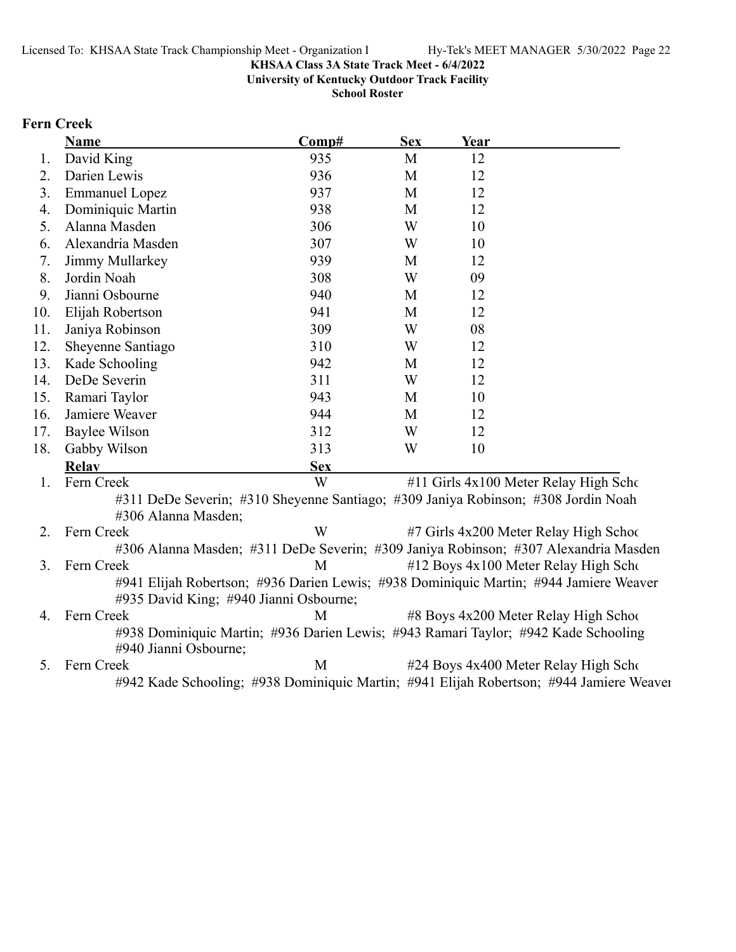**University of Kentucky Outdoor Track Facility**

**School Roster**

# **Fern Creek**

|     | <b>Name</b>                                                                                                                     | Comp#      | <b>Sex</b> | Year |                                        |
|-----|---------------------------------------------------------------------------------------------------------------------------------|------------|------------|------|----------------------------------------|
| 1.  | David King                                                                                                                      | 935        | M          | 12   |                                        |
| 2.  | Darien Lewis                                                                                                                    | 936        | M          | 12   |                                        |
| 3.  | <b>Emmanuel Lopez</b>                                                                                                           | 937        | M          | 12   |                                        |
| 4.  | Dominiquic Martin                                                                                                               | 938        | M          | 12   |                                        |
| 5.  | Alanna Masden                                                                                                                   | 306        | W          | 10   |                                        |
| 6.  | Alexandria Masden                                                                                                               | 307        | W          | 10   |                                        |
| 7.  | Jimmy Mullarkey                                                                                                                 | 939        | M          | 12   |                                        |
| 8.  | Jordin Noah                                                                                                                     | 308        | W          | 09   |                                        |
| 9.  | Jianni Osbourne                                                                                                                 | 940        | M          | 12   |                                        |
| 10. | Elijah Robertson                                                                                                                | 941        | M          | 12   |                                        |
| 11. | Janiya Robinson                                                                                                                 | 309        | W          | 08   |                                        |
| 12. | Sheyenne Santiago                                                                                                               | 310        | W          | 12   |                                        |
| 13. | Kade Schooling                                                                                                                  | 942        | M          | 12   |                                        |
| 14. | DeDe Severin                                                                                                                    | 311        | W          | 12   |                                        |
| 15. | Ramari Taylor                                                                                                                   | 943        | M          | 10   |                                        |
| 16. | Jamiere Weaver                                                                                                                  | 944        | M          | 12   |                                        |
| 17. | <b>Baylee Wilson</b>                                                                                                            | 312        | W          | 12   |                                        |
| 18. | Gabby Wilson                                                                                                                    | 313        | W          | 10   |                                        |
|     | <b>Relay</b>                                                                                                                    | <b>Sex</b> |            |      |                                        |
| 1.  | Fern Creek                                                                                                                      | W          |            |      | #11 Girls 4x100 Meter Relay High Scho  |
|     | #311 DeDe Severin; #310 Sheyenne Santiago; #309 Janiya Robinson; #308 Jordin Noah<br>#306 Alanna Masden;                        |            |            |      |                                        |
| 2.  | Fern Creek                                                                                                                      | W          |            |      | #7 Girls 4x200 Meter Relay High School |
|     | #306 Alanna Masden; #311 DeDe Severin; #309 Janiya Robinson; #307 Alexandria Masden                                             |            |            |      |                                        |
| 3.  | Fern Creek                                                                                                                      | M          |            |      | #12 Boys 4x100 Meter Relay High Scho   |
|     | #941 Elijah Robertson; #936 Darien Lewis; #938 Dominiquic Martin; #944 Jamiere Weaver<br>#935 David King; #940 Jianni Osbourne; |            |            |      |                                        |
| 4.  | Fern Creek                                                                                                                      | M          |            |      | #8 Boys 4x200 Meter Relay High School  |
|     | #938 Dominiquic Martin; #936 Darien Lewis; #943 Ramari Taylor; #942 Kade Schooling<br>#940 Jianni Osbourne;                     |            |            |      |                                        |
| 5.  | Fern Creek                                                                                                                      | M          |            |      | #24 Boys 4x400 Meter Relay High Scho   |
|     | #942 Kade Schooling; #938 Dominiquic Martin; #941 Elijah Robertson; #944 Jamiere Weaver                                         |            |            |      |                                        |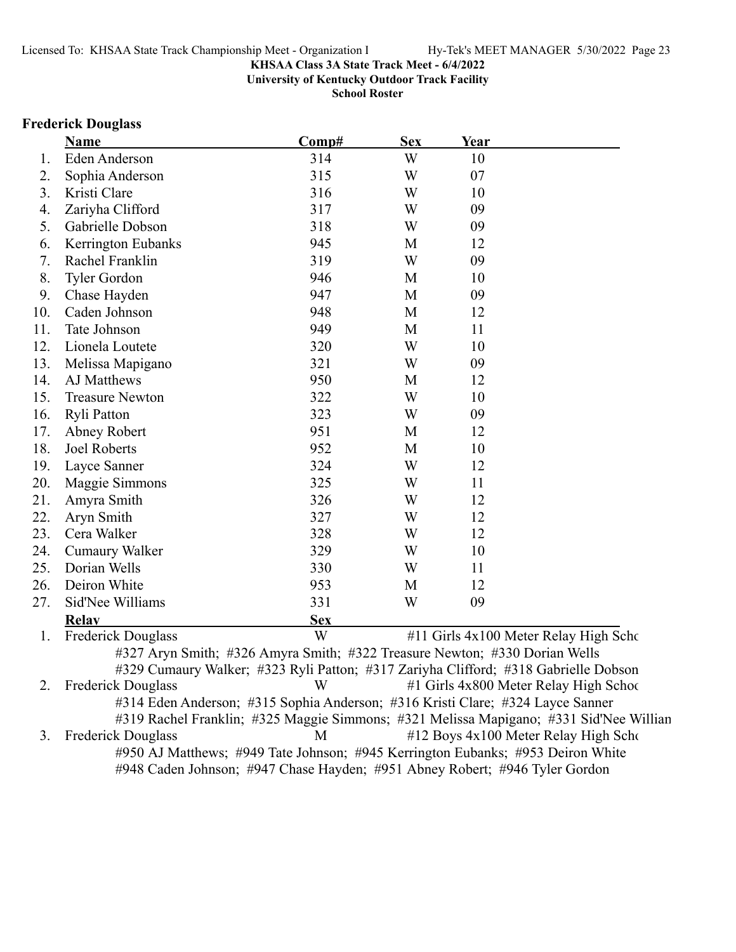**University of Kentucky Outdoor Track Facility**

**School Roster**

# **Frederick Douglass**

|     | Name                                                                                   | Comp#      | <b>Sex</b> | Year |                                        |
|-----|----------------------------------------------------------------------------------------|------------|------------|------|----------------------------------------|
| 1.  | Eden Anderson                                                                          | 314        | W          | 10   |                                        |
| 2.  | Sophia Anderson                                                                        | 315        | W          | 07   |                                        |
| 3.  | Kristi Clare                                                                           | 316        | W          | 10   |                                        |
| 4.  | Zariyha Clifford                                                                       | 317        | W          | 09   |                                        |
| 5.  | Gabrielle Dobson                                                                       | 318        | W          | 09   |                                        |
| 6.  | Kerrington Eubanks                                                                     | 945        | M          | 12   |                                        |
| 7.  | Rachel Franklin                                                                        | 319        | W          | 09   |                                        |
| 8.  | <b>Tyler Gordon</b>                                                                    | 946        | M          | 10   |                                        |
| 9.  | Chase Hayden                                                                           | 947        | M          | 09   |                                        |
| 10. | Caden Johnson                                                                          | 948        | M          | 12   |                                        |
| 11. | Tate Johnson                                                                           | 949        | M          | 11   |                                        |
| 12. | Lionela Loutete                                                                        | 320        | W          | 10   |                                        |
| 13. | Melissa Mapigano                                                                       | 321        | W          | 09   |                                        |
| 14. | AJ Matthews                                                                            | 950        | M          | 12   |                                        |
| 15. | <b>Treasure Newton</b>                                                                 | 322        | W          | 10   |                                        |
| 16. | Ryli Patton                                                                            | 323        | W          | 09   |                                        |
| 17. | Abney Robert                                                                           | 951        | M          | 12   |                                        |
| 18. | <b>Joel Roberts</b>                                                                    | 952        | M          | 10   |                                        |
| 19. | Layce Sanner                                                                           | 324        | W          | 12   |                                        |
| 20. | Maggie Simmons                                                                         | 325        | W          | 11   |                                        |
| 21. | Amyra Smith                                                                            | 326        | W          | 12   |                                        |
| 22. | Aryn Smith                                                                             | 327        | W          | 12   |                                        |
| 23. | Cera Walker                                                                            | 328        | W          | 12   |                                        |
| 24. | <b>Cumaury Walker</b>                                                                  | 329        | W          | 10   |                                        |
| 25. | Dorian Wells                                                                           | 330        | W          | 11   |                                        |
| 26. | Deiron White                                                                           | 953        | M          | 12   |                                        |
| 27. | Sid'Nee Williams                                                                       | 331        | W          | 09   |                                        |
|     | Relay                                                                                  | <b>Sex</b> |            |      |                                        |
| 1.  | <b>Frederick Douglass</b>                                                              | W          |            |      | #11 Girls 4x100 Meter Relay High Scho  |
|     | #327 Aryn Smith; #326 Amyra Smith; #322 Treasure Newton; #330 Dorian Wells             |            |            |      |                                        |
|     | #329 Cumaury Walker; #323 Ryli Patton; #317 Zariyha Clifford; #318 Gabrielle Dobson    |            |            |      |                                        |
| 2.  | <b>Frederick Douglass</b>                                                              | W          |            |      | #1 Girls 4x800 Meter Relay High School |
|     | #314 Eden Anderson; #315 Sophia Anderson; #316 Kristi Clare; #324 Layce Sanner         |            |            |      |                                        |
|     | #319 Rachel Franklin; #325 Maggie Simmons; #321 Melissa Mapigano; #331 Sid'Nee Willian |            |            |      |                                        |
| 3.  | <b>Frederick Douglass</b>                                                              | M          |            |      | #12 Boys 4x100 Meter Relay High Scho   |
|     | #950 AJ Matthews; #949 Tate Johnson; #945 Kerrington Eubanks; #953 Deiron White        |            |            |      |                                        |
|     | #948 Caden Johnson; #947 Chase Hayden; #951 Abney Robert; #946 Tyler Gordon            |            |            |      |                                        |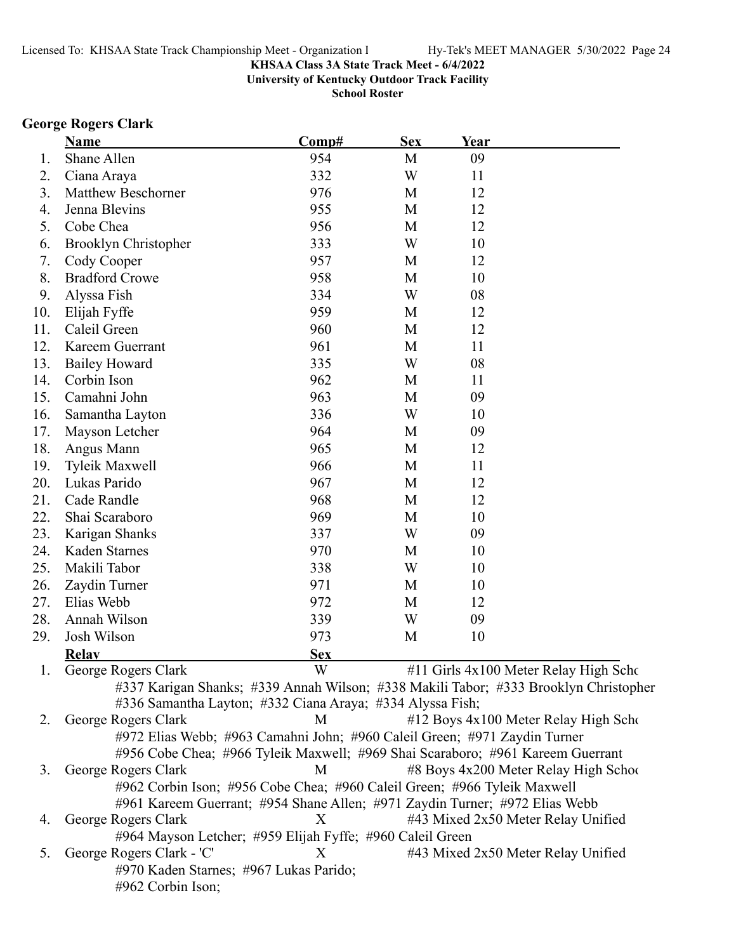**University of Kentucky Outdoor Track Facility**

**School Roster**

# **George Rogers Clark**

|     | <b>Name</b>                                                                          | Comp#      | <b>Sex</b> | Year |                                       |
|-----|--------------------------------------------------------------------------------------|------------|------------|------|---------------------------------------|
| 1.  | Shane Allen                                                                          | 954        | M          | 09   |                                       |
| 2.  | Ciana Araya                                                                          | 332        | W          | 11   |                                       |
| 3.  | <b>Matthew Beschorner</b>                                                            | 976        | M          | 12   |                                       |
| 4.  | Jenna Blevins                                                                        | 955        | M          | 12   |                                       |
| 5.  | Cobe Chea                                                                            | 956        | M          | 12   |                                       |
| 6.  | Brooklyn Christopher                                                                 | 333        | W          | 10   |                                       |
| 7.  | Cody Cooper                                                                          | 957        | M          | 12   |                                       |
| 8.  | <b>Bradford Crowe</b>                                                                | 958        | M          | 10   |                                       |
| 9.  | Alyssa Fish                                                                          | 334        | W          | 08   |                                       |
| 10. | Elijah Fyffe                                                                         | 959        | M          | 12   |                                       |
| 11. | Caleil Green                                                                         | 960        | M          | 12   |                                       |
| 12. | Kareem Guerrant                                                                      | 961        | M          | 11   |                                       |
| 13. | <b>Bailey Howard</b>                                                                 | 335        | W          | 08   |                                       |
| 14. | Corbin Ison                                                                          | 962        | M          | 11   |                                       |
| 15. | Camahni John                                                                         | 963        | M          | 09   |                                       |
| 16. | Samantha Layton                                                                      | 336        | W          | 10   |                                       |
| 17. | Mayson Letcher                                                                       | 964        | M          | 09   |                                       |
| 18. | Angus Mann                                                                           | 965        | M          | 12   |                                       |
| 19. | <b>Tyleik Maxwell</b>                                                                | 966        | M          | 11   |                                       |
| 20. | Lukas Parido                                                                         | 967        | M          | 12   |                                       |
| 21. | Cade Randle                                                                          | 968        | M          | 12   |                                       |
| 22. | Shai Scaraboro                                                                       | 969        | M          | 10   |                                       |
| 23. | Karigan Shanks                                                                       | 337        | W          | 09   |                                       |
| 24. | Kaden Starnes                                                                        | 970        | M          | 10   |                                       |
| 25. | Makili Tabor                                                                         | 338        | W          | 10   |                                       |
| 26. | Zaydin Turner                                                                        | 971        | M          | 10   |                                       |
| 27. | Elias Webb                                                                           | 972        | M          | 12   |                                       |
| 28. | Annah Wilson                                                                         | 339        | W          | 09   |                                       |
| 29. | Josh Wilson                                                                          | 973        | M          | 10   |                                       |
|     | <b>Relay</b>                                                                         | <b>Sex</b> |            |      |                                       |
|     | 1. George Rogers Clark                                                               | W          |            |      | #11 Girls 4x100 Meter Relay High Scho |
|     | #337 Karigan Shanks; #339 Annah Wilson; #338 Makili Tabor; #333 Brooklyn Christopher |            |            |      |                                       |
|     | #336 Samantha Layton; #332 Ciana Araya; #334 Alyssa Fish;                            |            |            |      |                                       |
| 2.  | George Rogers Clark                                                                  | M          |            |      | #12 Boys 4x100 Meter Relay High Scho  |
|     | #972 Elias Webb; #963 Camahni John; #960 Caleil Green; #971 Zaydin Turner            |            |            |      |                                       |
|     | #956 Cobe Chea; #966 Tyleik Maxwell; #969 Shai Scaraboro; #961 Kareem Guerrant       |            |            |      |                                       |
| 3.  | George Rogers Clark                                                                  | M          |            |      | #8 Boys 4x200 Meter Relay High School |
|     | #962 Corbin Ison; #956 Cobe Chea; #960 Caleil Green; #966 Tyleik Maxwell             |            |            |      |                                       |
|     | #961 Kareem Guerrant; #954 Shane Allen; #971 Zaydin Turner; #972 Elias Webb          |            |            |      |                                       |
| 4.  | George Rogers Clark                                                                  | X          |            |      | #43 Mixed 2x50 Meter Relay Unified    |
|     | #964 Mayson Letcher; #959 Elijah Fyffe; #960 Caleil Green                            |            |            |      |                                       |
| 5.  | George Rogers Clark - 'C'                                                            | X          |            |      | #43 Mixed 2x50 Meter Relay Unified    |
|     | #970 Kaden Starnes; #967 Lukas Parido;                                               |            |            |      |                                       |
|     | #962 Corbin Ison;                                                                    |            |            |      |                                       |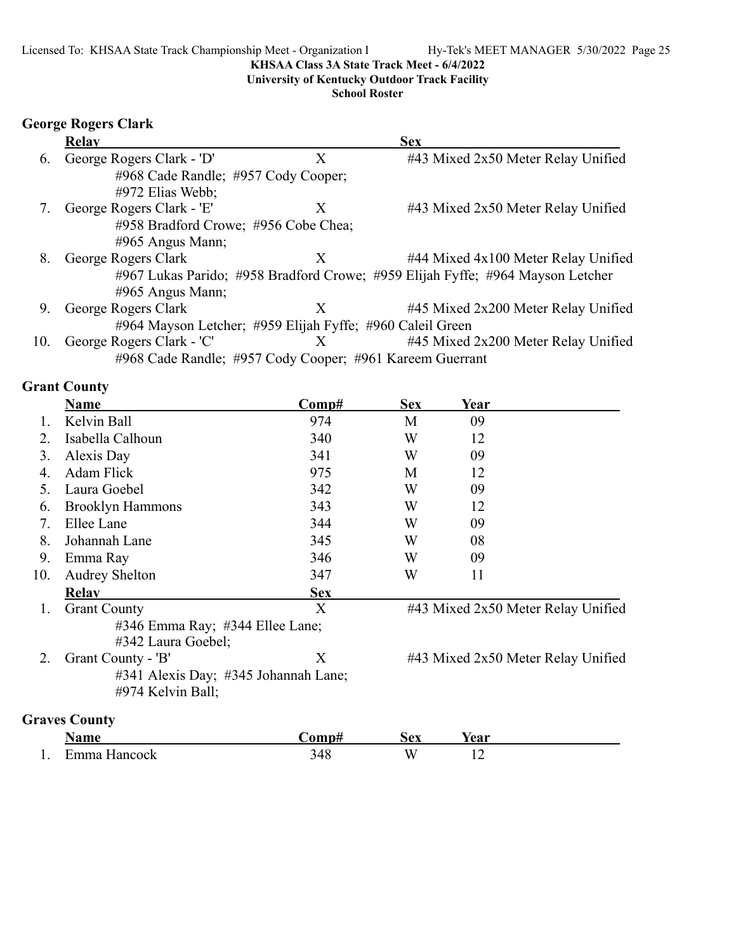**University of Kentucky Outdoor Track Facility**

**School Roster**

# **George Rogers Clark**

|     | <b>Relay</b>              |                                                           | <b>Sex</b>                                                                     |
|-----|---------------------------|-----------------------------------------------------------|--------------------------------------------------------------------------------|
| 6.  | George Rogers Clark - 'D' | X                                                         | #43 Mixed 2x50 Meter Relay Unified                                             |
|     |                           | #968 Cade Randle; #957 Cody Cooper;                       |                                                                                |
|     | #972 Elias Webb;          |                                                           |                                                                                |
|     | George Rogers Clark - 'E' | X                                                         | #43 Mixed 2x50 Meter Relay Unified                                             |
|     |                           | #958 Bradford Crowe; #956 Cobe Chea;                      |                                                                                |
|     | $\#965$ Angus Mann;       |                                                           |                                                                                |
| 8.  | George Rogers Clark       | X                                                         | #44 Mixed 4x100 Meter Relay Unified                                            |
|     |                           |                                                           | #967 Lukas Parido; #958 Bradford Crowe; #959 Elijah Fyffe; #964 Mayson Letcher |
|     | #965 Angus Mann;          |                                                           |                                                                                |
| 9.  | George Rogers Clark       | X                                                         | #45 Mixed 2x200 Meter Relay Unified                                            |
|     |                           | #964 Mayson Letcher; #959 Elijah Fyffe; #960 Caleil Green |                                                                                |
| 10. | George Rogers Clark - 'C' | X                                                         | #45 Mixed 2x200 Meter Relay Unified                                            |
|     |                           | #968 Cade Randle; #957 Cody Cooper; #961 Kareem Guerrant  |                                                                                |

# **Grant County**

|     | <b>Name</b>                                           | Comp#      | <b>Sex</b> | Year |                                    |
|-----|-------------------------------------------------------|------------|------------|------|------------------------------------|
|     | Kelvin Ball                                           | 974        | M          | 09   |                                    |
| 2.  | Isabella Calhoun                                      | 340        | W          | 12   |                                    |
| 3.  | Alexis Day                                            | 341        | W          | 09   |                                    |
| 4.  | <b>Adam Flick</b>                                     | 975        | M          | 12   |                                    |
| 5.  | Laura Goebel                                          | 342        | W          | 09   |                                    |
| 6.  | <b>Brooklyn Hammons</b>                               | 343        | W          | 12   |                                    |
| 7.  | Ellee Lane                                            | 344        | W          | 09   |                                    |
| 8.  | Johannah Lane                                         | 345        | W          | 08   |                                    |
| 9.  | Emma Ray                                              | 346        | W          | 09   |                                    |
| 10. | <b>Audrey Shelton</b>                                 | 347        | W          | 11   |                                    |
|     | <b>Relav</b>                                          | <b>Sex</b> |            |      |                                    |
| 1.  | <b>Grant County</b>                                   | X          |            |      | #43 Mixed 2x50 Meter Relay Unified |
|     | #346 Emma Ray; #344 Ellee Lane;<br>#342 Laura Goebel; |            |            |      |                                    |
| 2.  | Grant County - 'B'                                    | X          |            |      | #43 Mixed 2x50 Meter Relay Unified |
|     | #341 Alexis Day; #345 Johannah Lane;                  |            |            |      |                                    |
|     | #974 Kelvin Ball;                                     |            |            |      |                                    |
|     | <b>Graves County</b>                                  |            |            |      |                                    |
|     | Name                                                  | Comp#      | <b>Sex</b> | Year |                                    |

|     | Name         | ∩mn#             | эех | rear |  |
|-----|--------------|------------------|-----|------|--|
| . . | ±mma Hancock | 4 C<br>⊤∪<br>- - | VV. | --   |  |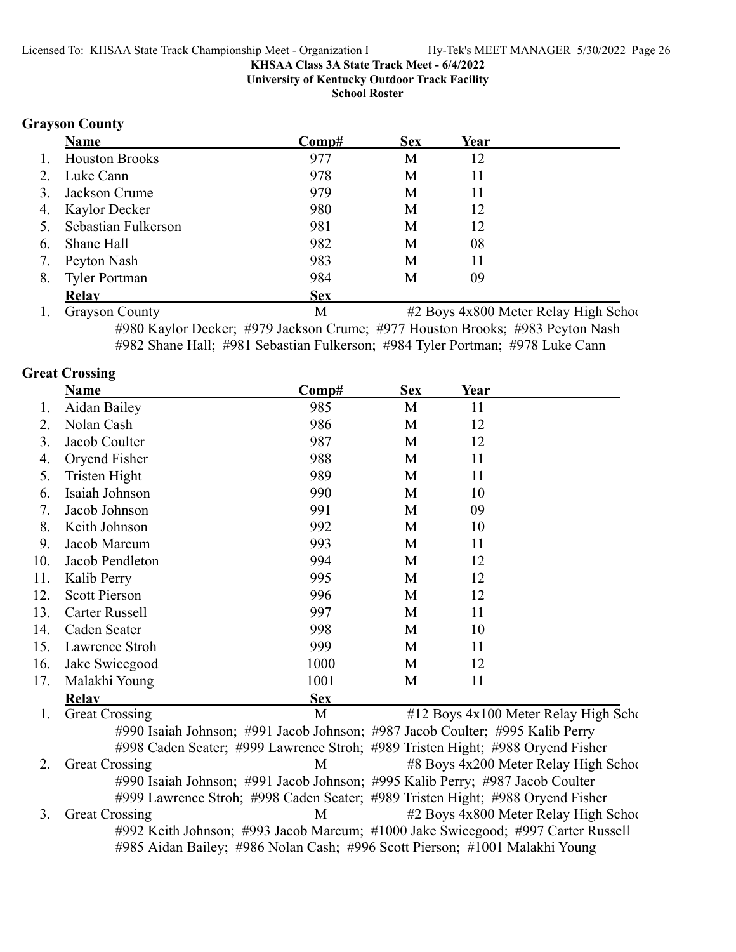**University of Kentucky Outdoor Track Facility**

**School Roster**

### **Grayson County**

|    | <b>Name</b>            | Comp#      | <b>Sex</b> | Year |  |
|----|------------------------|------------|------------|------|--|
| 1. | <b>Houston Brooks</b>  | 977        | М          | 12   |  |
|    | 2. Luke Cann           | 978        | М          | 11   |  |
| 3. | Jackson Crume          | 979        | М          | 11   |  |
|    | 4. Kaylor Decker       | 980        | M          | 12   |  |
|    | 5. Sebastian Fulkerson | 981        | М          | 12   |  |
| 6. | Shane Hall             | 982        | М          | 08   |  |
| 7. | Peyton Nash            | 983        | М          | 11   |  |
| 8. | <b>Tyler Portman</b>   | 984        | М          | 09   |  |
|    | <b>Relav</b>           | <b>Sex</b> |            |      |  |

1. Grayson County 1. Grayson County 1. All the M of the M order Relay High School Meter Relay High School M or #980 Kaylor Decker; #979 Jackson Crume; #977 Houston Brooks; #983 Peyton Nash #982 Shane Hall; #981 Sebastian Fulkerson; #984 Tyler Portman; #978 Luke Cann

### **Great Crossing**

|     | <b>Name</b>             | $\bf Comp#$  | <b>Sex</b> | <u>Year</u>                                                                               |                |                  |
|-----|-------------------------|--------------|------------|-------------------------------------------------------------------------------------------|----------------|------------------|
| 1.  | Aidan Bailey            | 985          | M          | 11                                                                                        |                |                  |
| 2.  | Nolan Cash              | 986          | M          | 12                                                                                        |                |                  |
| 3.  | Jacob Coulter           | 987          | M          | 12                                                                                        |                |                  |
| 4.  | Oryend Fisher           | 988          | M          | 11                                                                                        |                |                  |
| 5.  | Tristen Hight           | 989          | M          | 11                                                                                        |                |                  |
| 6.  | Isaiah Johnson          | 990          | M          | 10                                                                                        |                |                  |
| 7.  | Jacob Johnson           | 991          | M          | 09                                                                                        |                |                  |
| 8.  | Keith Johnson           | 992          | M          | 10                                                                                        |                |                  |
| 9.  | Jacob Marcum            | 993          | M          | 11                                                                                        |                |                  |
| 10. | Jacob Pendleton         | 994          | M          | 12                                                                                        |                |                  |
| 11. | Kalib Perry             | 995          | M          | 12                                                                                        |                |                  |
| 12. | <b>Scott Pierson</b>    | 996          | M          | 12                                                                                        |                |                  |
| 13. | Carter Russell          | 997          | M          | 11                                                                                        |                |                  |
| 14. | Caden Seater            | 998          | M          | 10                                                                                        |                |                  |
| 15. | Lawrence Stroh          | 999          | M          | 11                                                                                        |                |                  |
| 16. | Jake Swicegood          | 1000         | M          | 12                                                                                        |                |                  |
| 17. | Malakhi Young           | 1001         | M          | 11                                                                                        |                |                  |
|     | <b>Relav</b>            | <b>Sex</b>   |            |                                                                                           |                |                  |
|     | $\sim$ $\sim$<br>$\sim$ | $\mathbf{r}$ | 1110F      | $\overline{1}$ $\overline{1}$ $\overline{0}$ $\overline{1}$ $\overline{1}$ $\overline{1}$ | $\mathbf{r}$ 1 | $TT'$ 1 $\alpha$ |

1. Great Crossing M #12 Boys 4x100 Meter Relay High Scho #990 Isaiah Johnson; #991 Jacob Johnson; #987 Jacob Coulter; #995 Kalib Perry #998 Caden Seater; #999 Lawrence Stroh; #989 Tristen Hight; #988 Oryend Fisher 2. Great Crossing 2. M  $\mu$  #8 Boys 4x200 Meter Relay High School #990 Isaiah Johnson; #991 Jacob Johnson; #995 Kalib Perry; #987 Jacob Coulter #999 Lawrence Stroh; #998 Caden Seater; #989 Tristen Hight; #988 Oryend Fisher 3. Great Crossing M #2 Boys 4x800 Meter Relay High School #992 Keith Johnson; #993 Jacob Marcum; #1000 Jake Swicegood; #997 Carter Russell #985 Aidan Bailey; #986 Nolan Cash; #996 Scott Pierson; #1001 Malakhi Young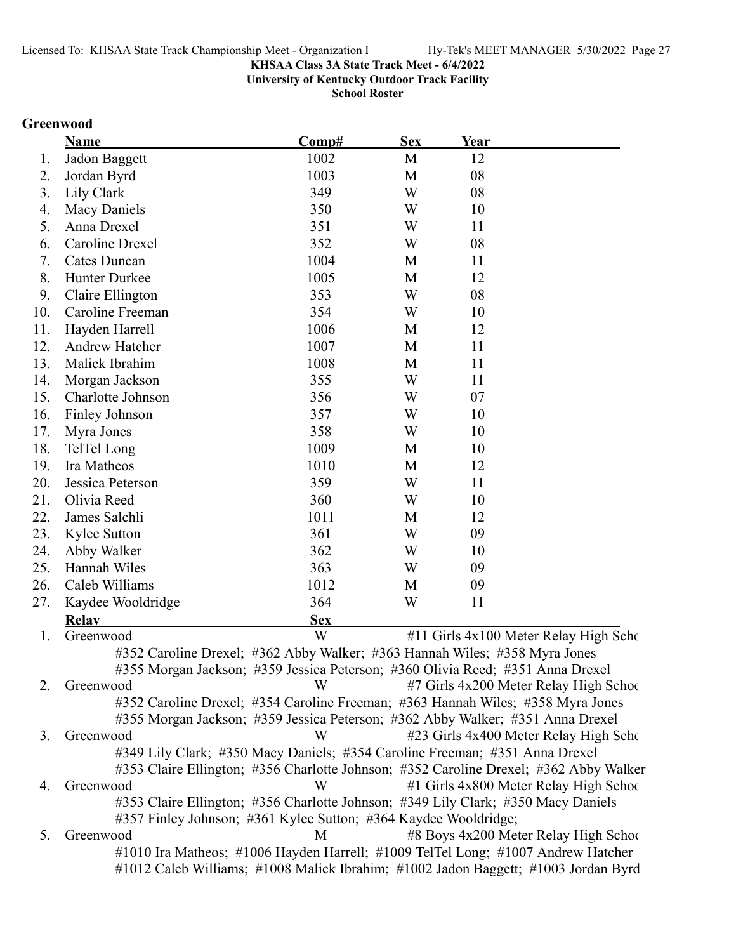**University of Kentucky Outdoor Track Facility**

**School Roster**

# **Greenwood**

|     | Name                                                                                  | Comp#      | <b>Sex</b> | Year |                                        |
|-----|---------------------------------------------------------------------------------------|------------|------------|------|----------------------------------------|
| 1.  | Jadon Baggett                                                                         | 1002       | M          | 12   |                                        |
| 2.  | Jordan Byrd                                                                           | 1003       | M          | 08   |                                        |
| 3.  | Lily Clark                                                                            | 349        | W          | 08   |                                        |
| 4.  | Macy Daniels                                                                          | 350        | W          | 10   |                                        |
| 5.  | Anna Drexel                                                                           | 351        | W          | 11   |                                        |
| 6.  | <b>Caroline Drexel</b>                                                                | 352        | W          | 08   |                                        |
| 7.  | Cates Duncan                                                                          | 1004       | M          | 11   |                                        |
| 8.  | Hunter Durkee                                                                         | 1005       | M          | 12   |                                        |
| 9.  | Claire Ellington                                                                      | 353        | W          | 08   |                                        |
| 10. | Caroline Freeman                                                                      | 354        | W          | 10   |                                        |
| 11. | Hayden Harrell                                                                        | 1006       | M          | 12   |                                        |
| 12. | Andrew Hatcher                                                                        | 1007       | M          | 11   |                                        |
| 13. | Malick Ibrahim                                                                        | 1008       | M          | 11   |                                        |
| 14. | Morgan Jackson                                                                        | 355        | W          | 11   |                                        |
| 15. | Charlotte Johnson                                                                     | 356        | W          | 07   |                                        |
| 16. | Finley Johnson                                                                        | 357        | W          | 10   |                                        |
| 17. | Myra Jones                                                                            | 358        | W          | 10   |                                        |
| 18. | TelTel Long                                                                           | 1009       | M          | 10   |                                        |
| 19. | Ira Matheos                                                                           | 1010       | M          | 12   |                                        |
| 20. | Jessica Peterson                                                                      | 359        | W          | 11   |                                        |
| 21. | Olivia Reed                                                                           | 360        | W          | 10   |                                        |
| 22. | James Salchli                                                                         | 1011       | M          | 12   |                                        |
| 23. | Kylee Sutton                                                                          | 361        | W          | 09   |                                        |
| 24. | Abby Walker                                                                           | 362        | W          | 10   |                                        |
| 25. | Hannah Wiles                                                                          | 363        | W          | 09   |                                        |
| 26. | Caleb Williams                                                                        | 1012       | M          | 09   |                                        |
| 27. | Kaydee Wooldridge                                                                     | 364        | W          | 11   |                                        |
|     | <b>Relay</b>                                                                          | <b>Sex</b> |            |      |                                        |
| 1.  | Greenwood                                                                             | W          |            |      | #11 Girls 4x100 Meter Relay High Scho  |
|     | #352 Caroline Drexel; #362 Abby Walker; #363 Hannah Wiles; #358 Myra Jones            |            |            |      |                                        |
|     | #355 Morgan Jackson; #359 Jessica Peterson; #360 Olivia Reed; #351 Anna Drexel        |            |            |      |                                        |
| 2.  | Greenwood                                                                             | W          |            |      | #7 Girls 4x200 Meter Relay High School |
|     | #352 Caroline Drexel; #354 Caroline Freeman; #363 Hannah Wiles; #358 Myra Jones       |            |            |      |                                        |
|     | #355 Morgan Jackson; #359 Jessica Peterson; #362 Abby Walker; #351 Anna Drexel        |            |            |      |                                        |
| 3.  | Greenwood                                                                             | W          |            |      | #23 Girls 4x400 Meter Relay High Scho  |
|     | #349 Lily Clark; #350 Macy Daniels; #354 Caroline Freeman; #351 Anna Drexel           |            |            |      |                                        |
|     | #353 Claire Ellington; #356 Charlotte Johnson; #352 Caroline Drexel; #362 Abby Walker |            |            |      |                                        |
| 4.  | Greenwood                                                                             | W          |            |      | #1 Girls 4x800 Meter Relay High School |
|     | #353 Claire Ellington; #356 Charlotte Johnson; #349 Lily Clark; #350 Macy Daniels     |            |            |      |                                        |
|     | #357 Finley Johnson; #361 Kylee Sutton; #364 Kaydee Wooldridge;                       |            |            |      |                                        |
| 5.  | Greenwood                                                                             | M          |            |      | #8 Boys 4x200 Meter Relay High School  |
|     | #1010 Ira Matheos; #1006 Hayden Harrell; #1009 TelTel Long; #1007 Andrew Hatcher      |            |            |      |                                        |
|     | #1012 Caleb Williams; #1008 Malick Ibrahim; #1002 Jadon Baggett; #1003 Jordan Byrd    |            |            |      |                                        |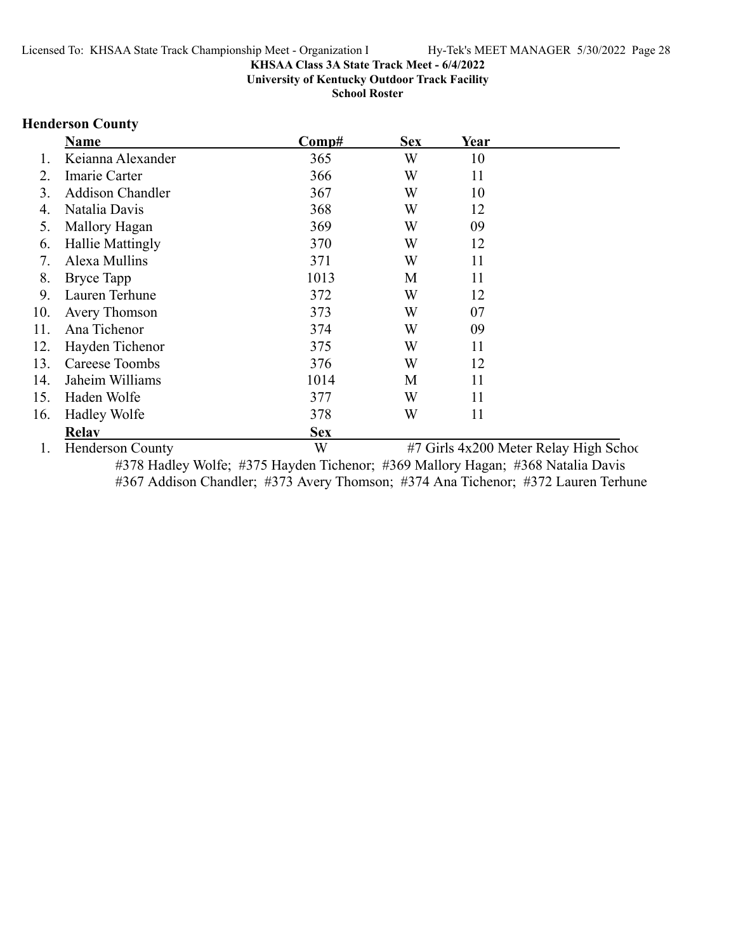**University of Kentucky Outdoor Track Facility**

**School Roster**

# **Henderson County**

|     | <b>Name</b>             | Comp#      | <b>Sex</b> | Year                                   |
|-----|-------------------------|------------|------------|----------------------------------------|
|     | Keianna Alexander       | 365        | W          | 10                                     |
|     | Imarie Carter           | 366        | W          | 11                                     |
| 3.  | <b>Addison Chandler</b> | 367        | W          | 10                                     |
| 4.  | Natalia Davis           | 368        | W          | 12                                     |
| 5.  | Mallory Hagan           | 369        | W          | 09                                     |
| 6.  | Hallie Mattingly        | 370        | W          | 12                                     |
| 7.  | Alexa Mullins           | 371        | W          | 11                                     |
| 8.  | <b>Bryce Tapp</b>       | 1013       | M          | 11                                     |
| 9.  | Lauren Terhune          | 372        | W          | 12                                     |
| 10. | Avery Thomson           | 373        | W          | 07                                     |
| 11. | Ana Tichenor            | 374        | W          | 09                                     |
| 12. | Hayden Tichenor         | 375        | W          | 11                                     |
| 13. | Careese Toombs          | 376        | W          | 12                                     |
| 14. | Jaheim Williams         | 1014       | M          | 11                                     |
| 15. | Haden Wolfe             | 377        | W          | 11                                     |
| 16. | <b>Hadley Wolfe</b>     | 378        | W          | 11                                     |
|     | <b>Relav</b>            | <b>Sex</b> |            |                                        |
|     | <b>Henderson County</b> | W          |            | #7 Girls 4x200 Meter Relay High School |

#378 Hadley Wolfe; #375 Hayden Tichenor; #369 Mallory Hagan; #368 Natalia Davis #367 Addison Chandler; #373 Avery Thomson; #374 Ana Tichenor; #372 Lauren Terhune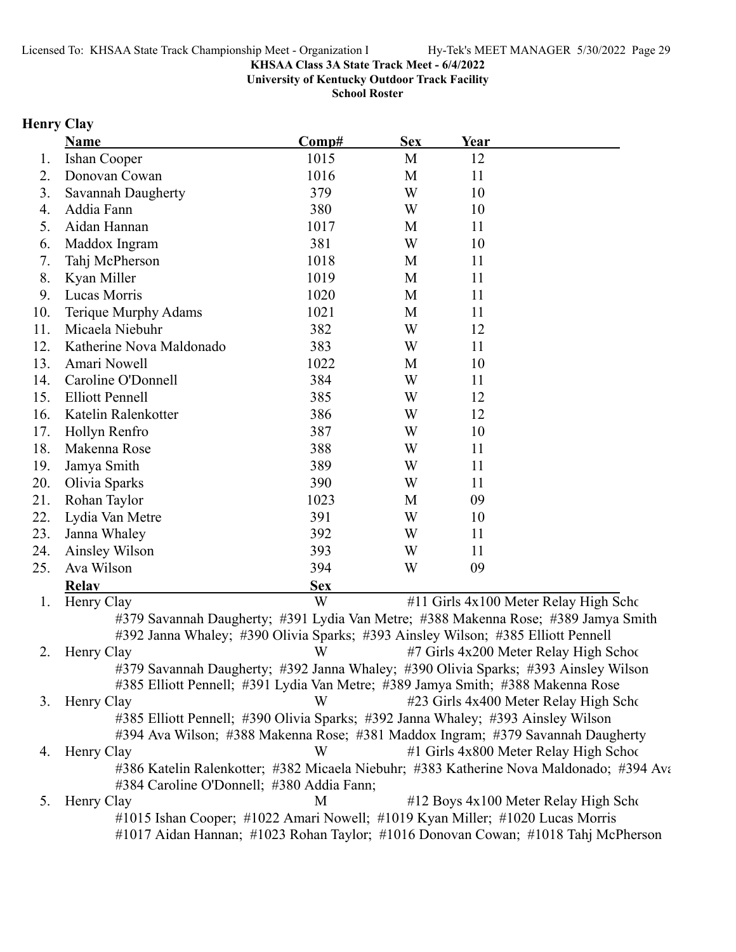**University of Kentucky Outdoor Track Facility**

**School Roster**

# **Henry Clay**

|     | <b>Name</b>                                                                         | Comp#      | <b>Sex</b> | Year |                                                                                         |
|-----|-------------------------------------------------------------------------------------|------------|------------|------|-----------------------------------------------------------------------------------------|
| 1.  | Ishan Cooper                                                                        | 1015       | M          | 12   |                                                                                         |
| 2.  | Donovan Cowan                                                                       | 1016       | M          | 11   |                                                                                         |
| 3.  | Savannah Daugherty                                                                  | 379        | W          | 10   |                                                                                         |
| 4.  | Addia Fann                                                                          | 380        | W          | 10   |                                                                                         |
| 5.  | Aidan Hannan                                                                        | 1017       | M          | 11   |                                                                                         |
| 6.  | Maddox Ingram                                                                       | 381        | W          | 10   |                                                                                         |
| 7.  | Tahj McPherson                                                                      | 1018       | M          | 11   |                                                                                         |
| 8.  | Kyan Miller                                                                         | 1019       | M          | 11   |                                                                                         |
| 9.  | Lucas Morris                                                                        | 1020       | M          | 11   |                                                                                         |
| 10. | Terique Murphy Adams                                                                | 1021       | M          | 11   |                                                                                         |
| 11. | Micaela Niebuhr                                                                     | 382        | W          | 12   |                                                                                         |
| 12. | Katherine Nova Maldonado                                                            | 383        | W          | 11   |                                                                                         |
| 13. | Amari Nowell                                                                        | 1022       | M          | 10   |                                                                                         |
| 14. | Caroline O'Donnell                                                                  | 384        | W          | 11   |                                                                                         |
| 15. | <b>Elliott Pennell</b>                                                              | 385        | W          | 12   |                                                                                         |
| 16. | Katelin Ralenkotter                                                                 | 386        | W          | 12   |                                                                                         |
| 17. | Hollyn Renfro                                                                       | 387        | W          | 10   |                                                                                         |
| 18. | Makenna Rose                                                                        | 388        | W          | 11   |                                                                                         |
| 19. | Jamya Smith                                                                         | 389        | W          | 11   |                                                                                         |
| 20. | Olivia Sparks                                                                       | 390        | W          | 11   |                                                                                         |
| 21. | Rohan Taylor                                                                        | 1023       | M          | 09   |                                                                                         |
| 22. | Lydia Van Metre                                                                     | 391        | W          | 10   |                                                                                         |
| 23. | Janna Whaley                                                                        | 392        | W          | 11   |                                                                                         |
| 24. | Ainsley Wilson                                                                      | 393        | W          | 11   |                                                                                         |
| 25. | Ava Wilson                                                                          | 394        | W          | 09   |                                                                                         |
|     | <b>Relay</b>                                                                        | <b>Sex</b> |            |      |                                                                                         |
| 1.  | Henry Clay                                                                          | W          |            |      | #11 Girls 4x100 Meter Relay High Scho                                                   |
|     | #379 Savannah Daugherty; #391 Lydia Van Metre; #388 Makenna Rose; #389 Jamya Smith  |            |            |      |                                                                                         |
|     | #392 Janna Whaley; #390 Olivia Sparks; #393 Ainsley Wilson; #385 Elliott Pennell    |            |            |      |                                                                                         |
| 2.  | Henry Clay                                                                          | W          |            |      | #7 Girls 4x200 Meter Relay High School                                                  |
|     | #379 Savannah Daugherty; #392 Janna Whaley; #390 Olivia Sparks; #393 Ainsley Wilson |            |            |      |                                                                                         |
|     | #385 Elliott Pennell; #391 Lydia Van Metre; #389 Jamya Smith; #388 Makenna Rose     |            |            |      |                                                                                         |
| 3.  | Henry Clay                                                                          | W          |            |      | #23 Girls 4x400 Meter Relay High Scho                                                   |
|     | #385 Elliott Pennell; #390 Olivia Sparks; #392 Janna Whaley; #393 Ainsley Wilson    |            |            |      |                                                                                         |
|     | #394 Ava Wilson; #388 Makenna Rose; #381 Maddox Ingram; #379 Savannah Daugherty     |            |            |      |                                                                                         |
| 4.  | Henry Clay                                                                          | W          |            |      | #1 Girls 4x800 Meter Relay High School                                                  |
|     |                                                                                     |            |            |      | #386 Katelin Ralenkotter; #382 Micaela Niebuhr; #383 Katherine Nova Maldonado; #394 Ava |
|     | #384 Caroline O'Donnell; #380 Addia Fann;                                           |            |            |      |                                                                                         |
| 5.  | Henry Clay                                                                          | M          |            |      | #12 Boys 4x100 Meter Relay High Scho                                                    |
|     | #1015 Ishan Cooper; #1022 Amari Nowell; #1019 Kyan Miller; #1020 Lucas Morris       |            |            |      |                                                                                         |

#1017 Aidan Hannan; #1023 Rohan Taylor; #1016 Donovan Cowan; #1018 Tahj McPherson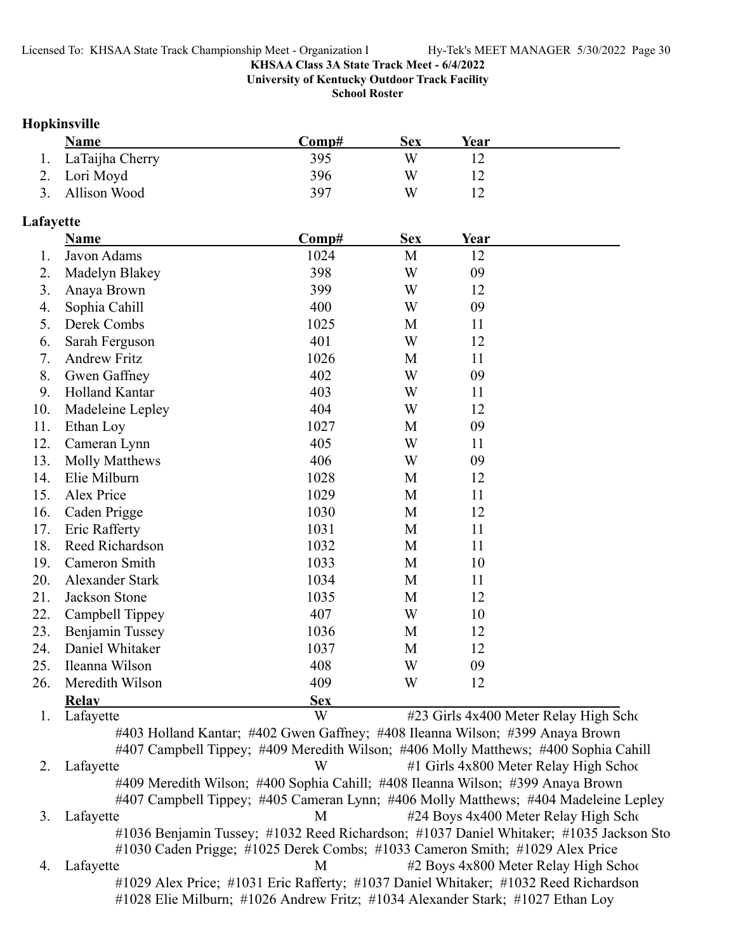**University of Kentucky Outdoor Track Facility**

**School Roster**

### **Hopkinsville**

| <b>Name</b>        | Comp# | Sex | Year |  |
|--------------------|-------|-----|------|--|
| 1. LaTaijha Cherry | 395   | W   |      |  |
| 2. Lori Moyd       | 396   | W   |      |  |
| 3. Allison Wood    | 397   | W   |      |  |

### **Lafayette**

|     | <b>Name</b>         | Comp#      | <b>Sex</b> | <u>Year</u> |  |
|-----|---------------------|------------|------------|-------------|--|
| 1.  | Javon Adams         | 1024       | M          | 12          |  |
| 2.  | Madelyn Blakey      | 398        | W          | 09          |  |
| 3.  | Anaya Brown         | 399        | W          | 12          |  |
| 4.  | Sophia Cahill       | 400        | W          | 09          |  |
| 5.  | Derek Combs         | 1025       | M          | 11          |  |
| 6.  | Sarah Ferguson      | 401        | W          | 12          |  |
| 7.  | <b>Andrew Fritz</b> | 1026       | M          | 11          |  |
| 8.  | Gwen Gaffney        | 402        | W          | 09          |  |
| 9.  | Holland Kantar      | 403        | W          | 11          |  |
| 10. | Madeleine Lepley    | 404        | W          | 12          |  |
| 11. | Ethan Loy           | 1027       | M          | 09          |  |
| 12. | Cameran Lynn        | 405        | W          | 11          |  |
| 13. | Molly Matthews      | 406        | W          | 09          |  |
| 14. | Elie Milburn        | 1028       | M          | 12          |  |
| 15. | Alex Price          | 1029       | M          | 11          |  |
| 16. | Caden Prigge        | 1030       | M          | 12          |  |
| 17. | Eric Rafferty       | 1031       | M          | 11          |  |
| 18. | Reed Richardson     | 1032       | M          | 11          |  |
| 19. | Cameron Smith       | 1033       | M          | 10          |  |
| 20. | Alexander Stark     | 1034       | M          | 11          |  |
| 21. | Jackson Stone       | 1035       | M          | 12          |  |
| 22. | Campbell Tippey     | 407        | W          | 10          |  |
| 23. | Benjamin Tussey     | 1036       | M          | 12          |  |
| 24. | Daniel Whitaker     | 1037       | M          | 12          |  |
| 25. | Ileanna Wilson      | 408        | W          | 09          |  |
| 26. | Meredith Wilson     | 409        | W          | 12          |  |
|     | <b>Relay</b>        | <b>Sex</b> |            |             |  |

1. Lafayette W #23 Girls 4x400 Meter Relay High Scho

#403 Holland Kantar; #402 Gwen Gaffney; #408 Ileanna Wilson; #399 Anaya Brown #407 Campbell Tippey; #409 Meredith Wilson; #406 Molly Matthews; #400 Sophia Cahill 2. Lafayette W #1 Girls 4x800 Meter Relay High School #409 Meredith Wilson; #400 Sophia Cahill; #408 Ileanna Wilson; #399 Anaya Brown #407 Campbell Tippey; #405 Cameran Lynn; #406 Molly Matthews; #404 Madeleine Lepley 3. Lafayette M<br>M<br>  $\#24$  Boys 4x400 Meter Relay High Scho #1036 Benjamin Tussey; #1032 Reed Richardson; #1037 Daniel Whitaker; #1035 Jackson Sto #1030 Caden Prigge; #1025 Derek Combs; #1033 Cameron Smith; #1029 Alex Price 4. Lafayette M  $\mu$  2 Boys 4x800 Meter Relay High School #1029 Alex Price; #1031 Eric Rafferty; #1037 Daniel Whitaker; #1032 Reed Richardson #1028 Elie Milburn; #1026 Andrew Fritz; #1034 Alexander Stark; #1027 Ethan Loy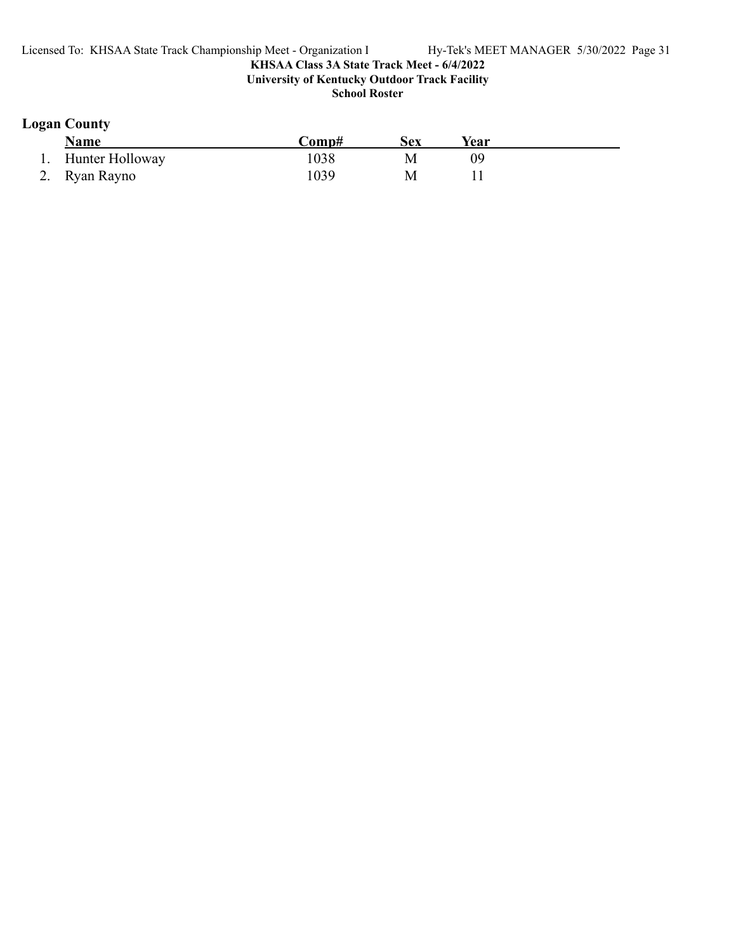**School Roster**

# **Logan County**

| <b>Name</b>     | Comp# | Sex | Year |  |
|-----------------|-------|-----|------|--|
| Hunter Holloway | .038  | M   |      |  |
| 2. Ryan Rayno   | 039   | M   |      |  |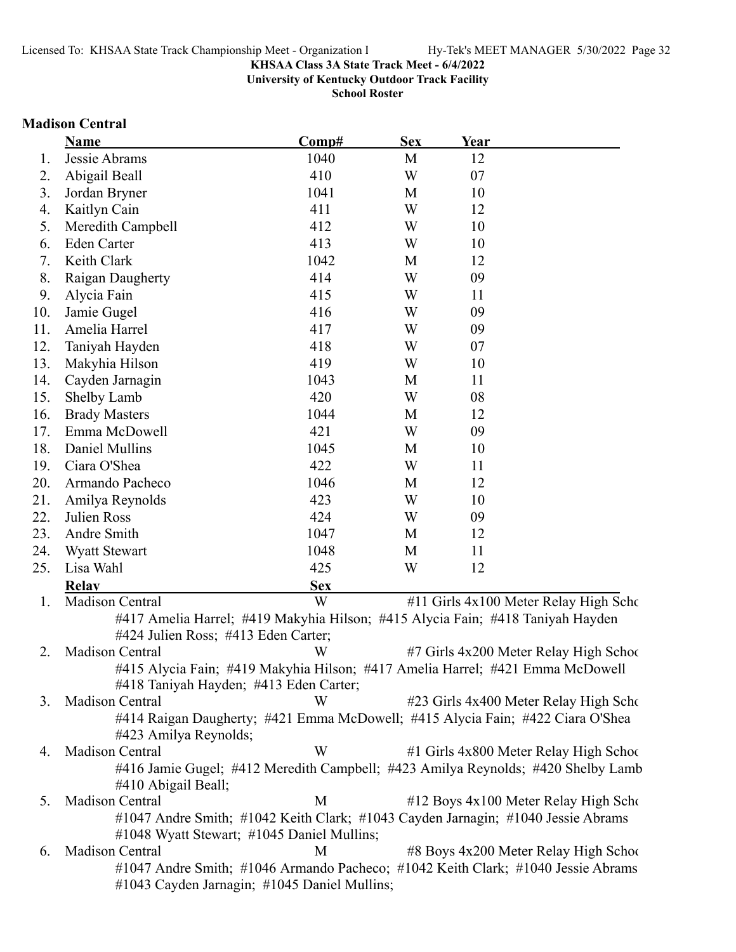**University of Kentucky Outdoor Track Facility**

**School Roster**

# **Madison Central**

|     | Name                                                                             | Comp#      | <b>Sex</b> | Year |                                        |
|-----|----------------------------------------------------------------------------------|------------|------------|------|----------------------------------------|
| 1.  | Jessie Abrams                                                                    | 1040       | M          | 12   |                                        |
| 2.  | Abigail Beall                                                                    | 410        | W          | 07   |                                        |
| 3.  | Jordan Bryner                                                                    | 1041       | M          | 10   |                                        |
| 4.  | Kaitlyn Cain                                                                     | 411        | W          | 12   |                                        |
| 5.  | Meredith Campbell                                                                | 412        | W          | 10   |                                        |
| 6.  | <b>Eden Carter</b>                                                               | 413        | W          | 10   |                                        |
| 7.  | Keith Clark                                                                      | 1042       | M          | 12   |                                        |
| 8.  | Raigan Daugherty                                                                 | 414        | W          | 09   |                                        |
| 9.  | Alycia Fain                                                                      | 415        | W          | 11   |                                        |
| 10. | Jamie Gugel                                                                      | 416        | W          | 09   |                                        |
| 11. | Amelia Harrel                                                                    | 417        | W          | 09   |                                        |
| 12. | Taniyah Hayden                                                                   | 418        | W          | 07   |                                        |
| 13. | Makyhia Hilson                                                                   | 419        | W          | 10   |                                        |
| 14. | Cayden Jarnagin                                                                  | 1043       | M          | 11   |                                        |
| 15. | Shelby Lamb                                                                      | 420        | W          | 08   |                                        |
| 16. | <b>Brady Masters</b>                                                             | 1044       | M          | 12   |                                        |
| 17. | Emma McDowell                                                                    | 421        | W          | 09   |                                        |
| 18. | Daniel Mullins                                                                   | 1045       | M          | 10   |                                        |
| 19. | Ciara O'Shea                                                                     | 422        | W          | 11   |                                        |
| 20. | Armando Pacheco                                                                  | 1046       | M          | 12   |                                        |
| 21. | Amilya Reynolds                                                                  | 423        | W          | 10   |                                        |
| 22. | Julien Ross                                                                      | 424        | W          | 09   |                                        |
| 23. | Andre Smith                                                                      | 1047       | M          | 12   |                                        |
| 24. | <b>Wyatt Stewart</b>                                                             | 1048       | M          | 11   |                                        |
| 25. | Lisa Wahl                                                                        | 425        | W          | 12   |                                        |
|     | <b>Relav</b>                                                                     | <b>Sex</b> |            |      |                                        |
| 1.  | <b>Madison Central</b>                                                           | W          |            |      | #11 Girls 4x100 Meter Relay High Scho  |
|     | #417 Amelia Harrel; #419 Makyhia Hilson; #415 Alycia Fain; #418 Taniyah Hayden   |            |            |      |                                        |
|     | #424 Julien Ross; #413 Eden Carter;                                              |            |            |      |                                        |
| 2.  | <b>Madison Central</b>                                                           | W          |            |      | #7 Girls 4x200 Meter Relay High School |
|     | #415 Alycia Fain; #419 Makyhia Hilson; #417 Amelia Harrel; #421 Emma McDowell    |            |            |      |                                        |
|     | #418 Taniyah Hayden; #413 Eden Carter;                                           |            |            |      |                                        |
| 3.  | Madison Central                                                                  | W          |            |      | #23 Girls 4x400 Meter Relay High Scho  |
|     | #414 Raigan Daugherty; #421 Emma McDowell; #415 Alycia Fain; #422 Ciara O'Shea   |            |            |      |                                        |
|     | #423 Amilya Reynolds;                                                            |            |            |      |                                        |
| 4.  | Madison Central                                                                  | W          |            |      | #1 Girls 4x800 Meter Relay High School |
|     | #416 Jamie Gugel; #412 Meredith Campbell; #423 Amilya Reynolds; #420 Shelby Lamb |            |            |      |                                        |
|     | #410 Abigail Beall;                                                              |            |            |      |                                        |
| 5.  | Madison Central                                                                  | M          |            |      | #12 Boys 4x100 Meter Relay High Scho   |
|     | #1047 Andre Smith; #1042 Keith Clark; #1043 Cayden Jarnagin; #1040 Jessie Abrams |            |            |      |                                        |
|     | #1048 Wyatt Stewart; #1045 Daniel Mullins;                                       |            |            |      |                                        |
| 6.  | Madison Central                                                                  | M          |            |      | #8 Boys 4x200 Meter Relay High School  |
|     | #1047 Andre Smith; #1046 Armando Pacheco; #1042 Keith Clark; #1040 Jessie Abrams |            |            |      |                                        |
|     | #1043 Cayden Jarnagin; #1045 Daniel Mullins;                                     |            |            |      |                                        |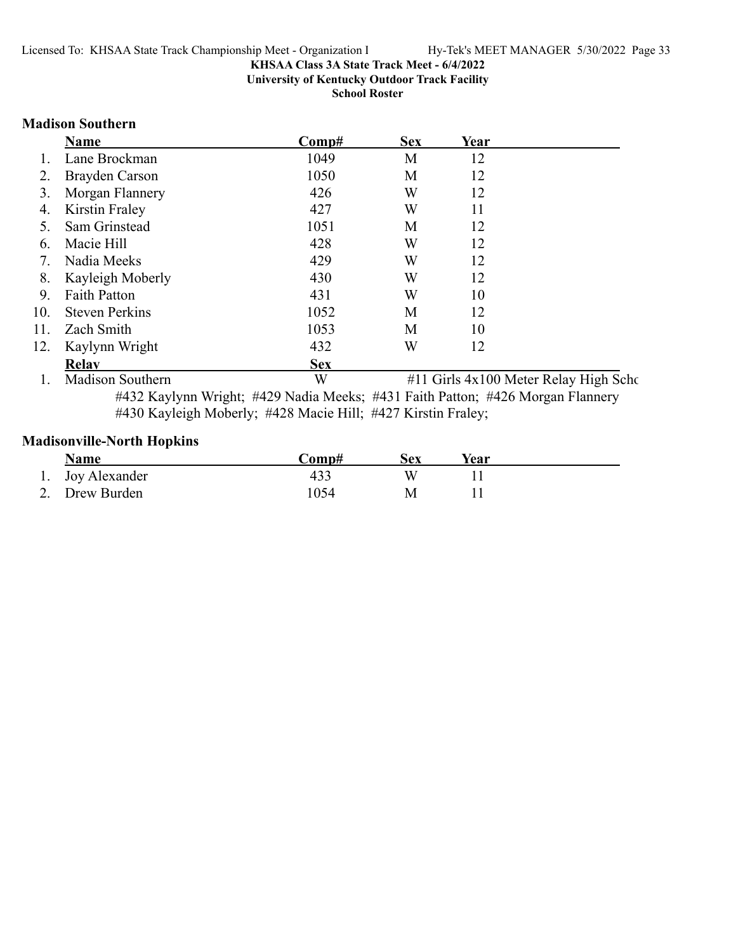**University of Kentucky Outdoor Track Facility**

**School Roster**

### **Madison Southern**

|     | Name                    | Comp#      | <b>Sex</b> | Year                                  |  |
|-----|-------------------------|------------|------------|---------------------------------------|--|
|     | Lane Brockman           | 1049       | M          | 12                                    |  |
|     | Brayden Carson          | 1050       | M          | 12                                    |  |
| 3.  | Morgan Flannery         | 426        | W          | 12                                    |  |
| 4.  | Kirstin Fraley          | 427        | W          | 11                                    |  |
|     | Sam Grinstead           | 1051       | M          | 12                                    |  |
| 6.  | Macie Hill              | 428        | W          | 12                                    |  |
| 7.  | Nadia Meeks             | 429        | W          | 12                                    |  |
| 8.  | Kayleigh Moberly        | 430        | W          | 12                                    |  |
| 9.  | <b>Faith Patton</b>     | 431        | W          | 10                                    |  |
| 10. | <b>Steven Perkins</b>   | 1052       | M          | 12                                    |  |
| 11. | Zach Smith              | 1053       | M          | 10                                    |  |
| 12. | Kaylynn Wright          | 432        | W          | 12                                    |  |
|     | <b>Relay</b>            | <b>Sex</b> |            |                                       |  |
|     | <b>Madison Southern</b> | W          |            | #11 Girls 4x100 Meter Relay High Scho |  |

#432 Kaylynn Wright; #429 Nadia Meeks; #431 Faith Patton; #426 Morgan Flannery #430 Kayleigh Moberly; #428 Macie Hill; #427 Kirstin Fraley;

# **Madisonville-North Hopkins**

| <b>Name</b>      | Comp# | Sex | Year |  |
|------------------|-------|-----|------|--|
| 1. Joy Alexander | 433   |     |      |  |
| 2. Drew Burden   | 1054  | М   |      |  |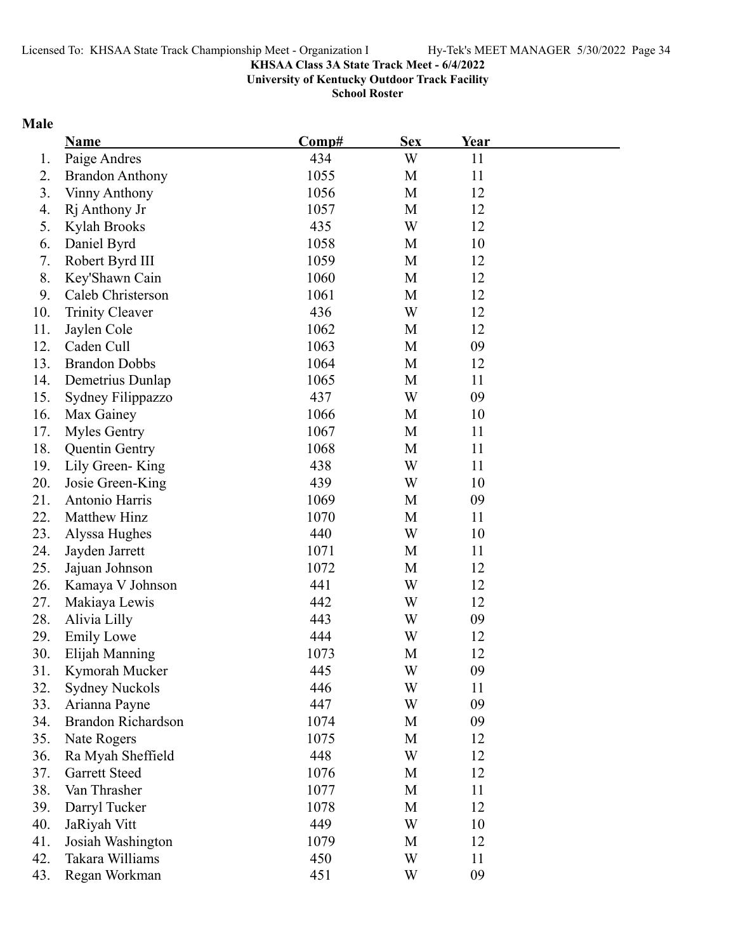**University of Kentucky Outdoor Track Facility**

**School Roster**

# **Male**

|     | <b>Name</b>               | Comp# | <b>Sex</b>  | <u>Year</u> |  |
|-----|---------------------------|-------|-------------|-------------|--|
| 1.  | Paige Andres              | 434   | W           | 11          |  |
| 2.  | <b>Brandon Anthony</b>    | 1055  | M           | 11          |  |
| 3.  | <b>Vinny Anthony</b>      | 1056  | M           | 12          |  |
| 4.  | Rj Anthony Jr             | 1057  | M           | 12          |  |
| 5.  | Kylah Brooks              | 435   | W           | 12          |  |
| 6.  | Daniel Byrd               | 1058  | M           | 10          |  |
| 7.  | Robert Byrd III           | 1059  | M           | 12          |  |
| 8.  | Key'Shawn Cain            | 1060  | M           | 12          |  |
| 9.  | Caleb Christerson         | 1061  | M           | 12          |  |
| 10. | <b>Trinity Cleaver</b>    | 436   | W           | 12          |  |
| 11. | Jaylen Cole               | 1062  | M           | 12          |  |
| 12. | Caden Cull                | 1063  | $\mathbf M$ | 09          |  |
| 13. | <b>Brandon Dobbs</b>      | 1064  | M           | 12          |  |
| 14. | Demetrius Dunlap          | 1065  | M           | 11          |  |
| 15. | Sydney Filippazzo         | 437   | W           | 09          |  |
| 16. | Max Gainey                | 1066  | M           | 10          |  |
| 17. | <b>Myles Gentry</b>       | 1067  | M           | 11          |  |
| 18. | <b>Quentin Gentry</b>     | 1068  | M           | 11          |  |
| 19. | Lily Green-King           | 438   | W           | 11          |  |
| 20. | Josie Green-King          | 439   | W           | 10          |  |
| 21. | Antonio Harris            | 1069  | M           | 09          |  |
| 22. | Matthew Hinz              | 1070  | M           | 11          |  |
| 23. | Alyssa Hughes             | 440   | W           | 10          |  |
| 24. | Jayden Jarrett            | 1071  | M           | 11          |  |
| 25. | Jajuan Johnson            | 1072  | M           | 12          |  |
| 26. | Kamaya V Johnson          | 441   | W           | 12          |  |
| 27. | Makiaya Lewis             | 442   | W           | 12          |  |
| 28. | Alivia Lilly              | 443   | W           | 09          |  |
| 29. | <b>Emily Lowe</b>         | 444   | W           | 12          |  |
| 30. | Elijah Manning            | 1073  | M           | 12          |  |
| 31. | Kymorah Mucker            | 445   | W           | 09          |  |
| 32. | <b>Sydney Nuckols</b>     | 446   | W           | 11          |  |
| 33. | Arianna Payne             | 447   | W           | 09          |  |
| 34. | <b>Brandon Richardson</b> | 1074  | M           | 09          |  |
| 35. | Nate Rogers               | 1075  | M           | 12          |  |
| 36. | Ra Myah Sheffield         | 448   | W           | 12          |  |
| 37. | <b>Garrett Steed</b>      | 1076  | M           | 12          |  |
| 38. | Van Thrasher              | 1077  | M           | 11          |  |
| 39. | Darryl Tucker             | 1078  | M           | 12          |  |
| 40. | JaRiyah Vitt              | 449   | W           | 10          |  |
| 41. | Josiah Washington         | 1079  | M           | 12          |  |
| 42. | Takara Williams           | 450   | W           | 11          |  |
| 43. | Regan Workman             | 451   | W           | 09          |  |
|     |                           |       |             |             |  |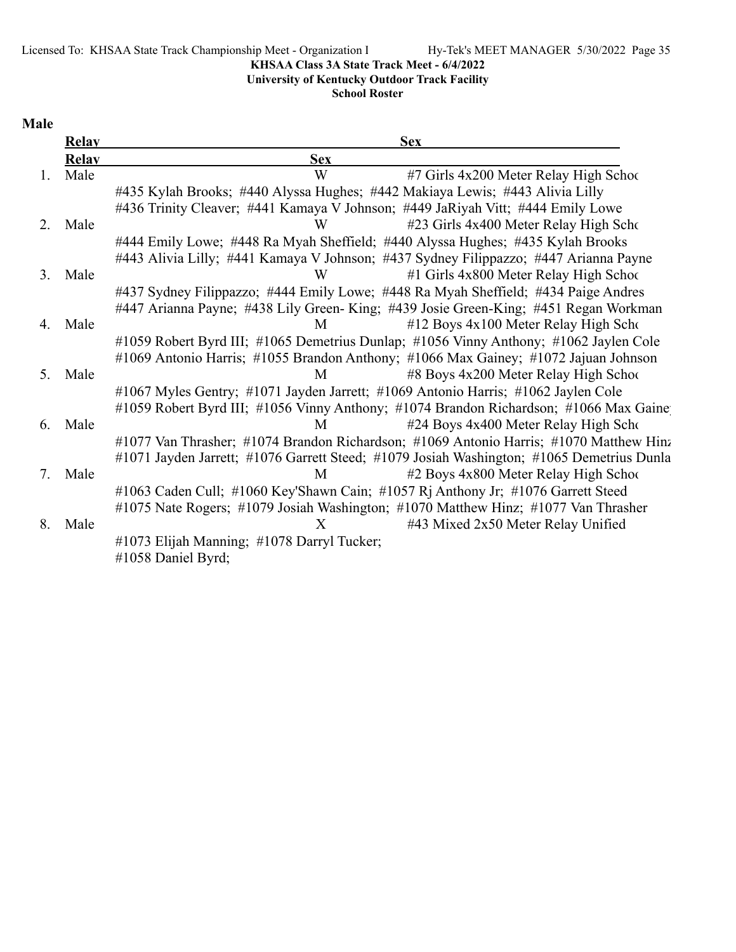Licensed To: KHSAA State Track Championship Meet - Organization l Hy-Tek's MEET MANAGER 5/30/2022 Page 35

# **KHSAA Class 3A State Track Meet - 6/4/2022**

# **University of Kentucky Outdoor Track Facility**

**School Roster**

# **Male**

|    | <b>Relay</b> | <b>Sex</b>                                                                                |
|----|--------------|-------------------------------------------------------------------------------------------|
|    | <b>Relay</b> | <b>Sex</b>                                                                                |
| 1. | Male         | W<br>#7 Girls 4x200 Meter Relay High School                                               |
|    |              | #435 Kylah Brooks; #440 Alyssa Hughes; #442 Makiaya Lewis; #443 Alivia Lilly              |
|    |              | #436 Trinity Cleaver; #441 Kamaya V Johnson; #449 JaRiyah Vitt; #444 Emily Lowe           |
| 2. | Male         | #23 Girls 4x400 Meter Relay High Scho<br>W                                                |
|    |              | #444 Emily Lowe; #448 Ra Myah Sheffield; #440 Alyssa Hughes; #435 Kylah Brooks            |
|    |              | #443 Alivia Lilly; #441 Kamaya V Johnson; #437 Sydney Filippazzo; #447 Arianna Payne      |
| 3. | Male         | #1 Girls 4x800 Meter Relay High School<br>W                                               |
|    |              | #437 Sydney Filippazzo; #444 Emily Lowe; #448 Ra Myah Sheffield; #434 Paige Andres        |
|    |              | #447 Arianna Payne; #438 Lily Green-King; #439 Josie Green-King; #451 Regan Workman       |
| 4. | Male         | #12 Boys 4x100 Meter Relay High Scho<br>M                                                 |
|    |              | #1059 Robert Byrd III; #1065 Demetrius Dunlap; #1056 Vinny Anthony; #1062 Jaylen Cole     |
|    |              | #1069 Antonio Harris; #1055 Brandon Anthony; #1066 Max Gainey; #1072 Jajuan Johnson       |
| 5. | Male         | #8 Boys 4x200 Meter Relay High School<br>M                                                |
|    |              | #1067 Myles Gentry; #1071 Jayden Jarrett; #1069 Antonio Harris; #1062 Jaylen Cole         |
|    |              | #1059 Robert Byrd III; #1056 Vinny Anthony; #1074 Brandon Richardson; #1066 Max Gaine     |
| 6. | Male         | #24 Boys 4x400 Meter Relay High Scho<br>M                                                 |
|    |              | #1077 Van Thrasher; #1074 Brandon Richardson; #1069 Antonio Harris; #1070 Matthew Hinz    |
|    |              | #1071 Jayden Jarrett; #1076 Garrett Steed; #1079 Josiah Washington; #1065 Demetrius Dunla |
| 7. | Male         | #2 Boys 4x800 Meter Relay High School<br>M                                                |
|    |              | #1063 Caden Cull; #1060 Key'Shawn Cain; #1057 Rj Anthony Jr; #1076 Garrett Steed          |
|    |              | #1075 Nate Rogers; #1079 Josiah Washington; #1070 Matthew Hinz; #1077 Van Thrasher        |
| 8. | Male         | #43 Mixed 2x50 Meter Relay Unified<br>X                                                   |
|    |              | #1073 Elijah Manning; #1078 Darryl Tucker;                                                |
|    |              | #1058 Daniel Byrd;                                                                        |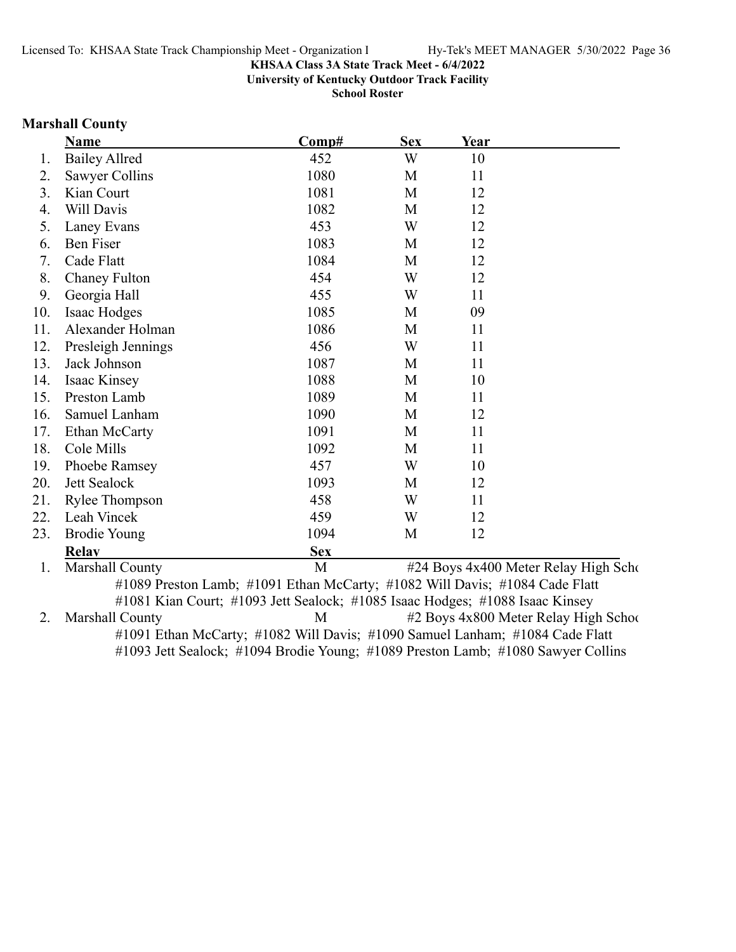**University of Kentucky Outdoor Track Facility**

**School Roster**

### **Marshall County**

|     | <b>Name</b>           | Comp#      | <b>Sex</b> | <u>Year</u> |                                      |
|-----|-----------------------|------------|------------|-------------|--------------------------------------|
| 1.  | <b>Bailey Allred</b>  | 452        | W          | 10          |                                      |
| 2.  | Sawyer Collins        | 1080       | M          | 11          |                                      |
| 3.  | Kian Court            | 1081       | M          | 12          |                                      |
| 4.  | Will Davis            | 1082       | M          | 12          |                                      |
| 5.  | Laney Evans           | 453        | W          | 12          |                                      |
| 6.  | Ben Fiser             | 1083       | M          | 12          |                                      |
| 7.  | Cade Flatt            | 1084       | M          | 12          |                                      |
| 8.  | <b>Chaney Fulton</b>  | 454        | W          | 12          |                                      |
| 9.  | Georgia Hall          | 455        | W          | 11          |                                      |
| 10. | Isaac Hodges          | 1085       | M          | 09          |                                      |
| 11. | Alexander Holman      | 1086       | M          | 11          |                                      |
| 12. | Presleigh Jennings    | 456        | W          | 11          |                                      |
| 13. | Jack Johnson          | 1087       | M          | 11          |                                      |
| 14. | Isaac Kinsey          | 1088       | M          | 10          |                                      |
| 15. | Preston Lamb          | 1089       | M          | 11          |                                      |
| 16. | Samuel Lanham         | 1090       | M          | 12          |                                      |
| 17. | Ethan McCarty         | 1091       | M          | 11          |                                      |
| 18. | Cole Mills            | 1092       | M          | 11          |                                      |
| 19. | Phoebe Ramsey         | 457        | W          | 10          |                                      |
| 20. | Jett Sealock          | 1093       | M          | 12          |                                      |
| 21. | <b>Rylee Thompson</b> | 458        | W          | 11          |                                      |
| 22. | Leah Vincek           | 459        | W          | 12          |                                      |
| 23. | <b>Brodie Young</b>   | 1094       | M          | 12          |                                      |
|     | <b>Relav</b>          | <b>Sex</b> |            |             |                                      |
| 1.  | Marshall County       | M          |            |             | #24 Boys 4x400 Meter Relay High Scho |

#1089 Preston Lamb; #1091 Ethan McCarty; #1082 Will Davis; #1084 Cade Flatt #1081 Kian Court; #1093 Jett Sealock; #1085 Isaac Hodges; #1088 Isaac Kinsey 2. Marshall County 12 Boys 4x800 Meter Relay High School #1091 Ethan McCarty; #1082 Will Davis; #1090 Samuel Lanham; #1084 Cade Flatt #1093 Jett Sealock; #1094 Brodie Young; #1089 Preston Lamb; #1080 Sawyer Collins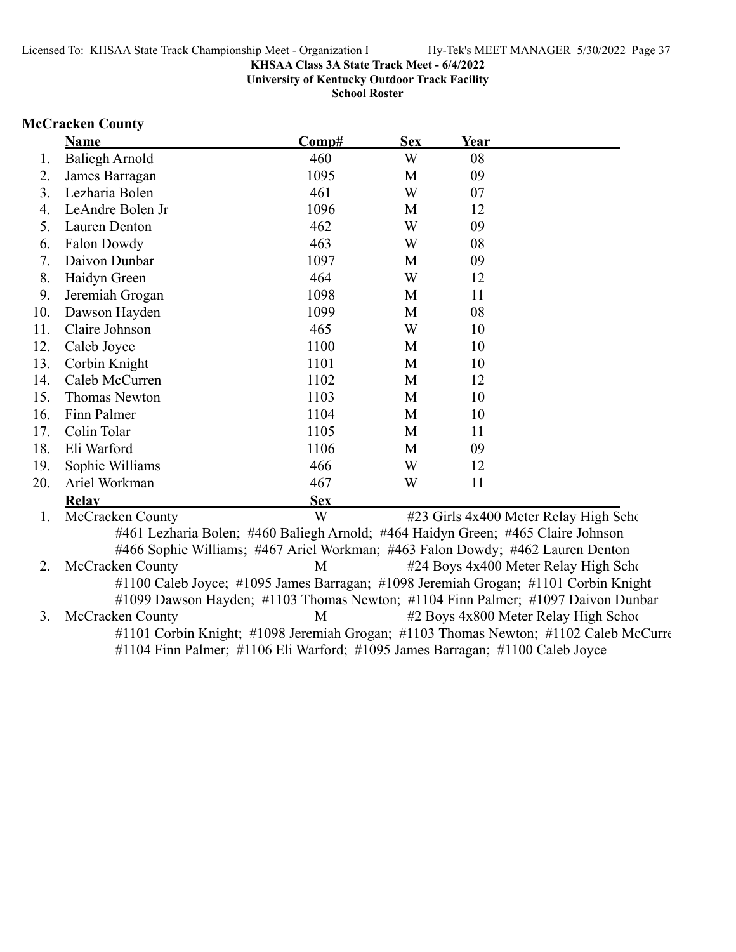**University of Kentucky Outdoor Track Facility**

**School Roster**

# **McCracken County**

|     | <b>Name</b>                                                                      | Comp#      | <b>Sex</b> | Year |                                                                                      |
|-----|----------------------------------------------------------------------------------|------------|------------|------|--------------------------------------------------------------------------------------|
| 1.  | <b>Baliegh Arnold</b>                                                            | 460        | W          | 08   |                                                                                      |
| 2.  | James Barragan                                                                   | 1095       | M          | 09   |                                                                                      |
| 3.  | Lezharia Bolen                                                                   | 461        | W          | 07   |                                                                                      |
| 4.  | LeAndre Bolen Jr                                                                 | 1096       | M          | 12   |                                                                                      |
| 5.  | Lauren Denton                                                                    | 462        | W          | 09   |                                                                                      |
| 6.  | Falon Dowdy                                                                      | 463        | W          | 08   |                                                                                      |
| 7.  | Daivon Dunbar                                                                    | 1097       | M          | 09   |                                                                                      |
| 8.  | Haidyn Green                                                                     | 464        | W          | 12   |                                                                                      |
| 9.  | Jeremiah Grogan                                                                  | 1098       | M          | 11   |                                                                                      |
| 10. | Dawson Hayden                                                                    | 1099       | M          | 08   |                                                                                      |
| 11. | Claire Johnson                                                                   | 465        | W          | 10   |                                                                                      |
| 12. | Caleb Joyce                                                                      | 1100       | M          | 10   |                                                                                      |
| 13. | Corbin Knight                                                                    | 1101       | M          | 10   |                                                                                      |
| 14. | Caleb McCurren                                                                   | 1102       | M          | 12   |                                                                                      |
| 15. | <b>Thomas Newton</b>                                                             | 1103       | M          | 10   |                                                                                      |
| 16. | Finn Palmer                                                                      | 1104       | M          | 10   |                                                                                      |
| 17. | Colin Tolar                                                                      | 1105       | M          | 11   |                                                                                      |
| 18. | Eli Warford                                                                      | 1106       | M          | 09   |                                                                                      |
| 19. | Sophie Williams                                                                  | 466        | W          | 12   |                                                                                      |
| 20. | Ariel Workman                                                                    | 467        | W          | 11   |                                                                                      |
|     | <b>Relay</b>                                                                     | <b>Sex</b> |            |      |                                                                                      |
| 1.  | McCracken County                                                                 | W          |            |      | #23 Girls 4x400 Meter Relay High Scho                                                |
|     | #461 Lezharia Bolen; #460 Baliegh Arnold; #464 Haidyn Green; #465 Claire Johnson |            |            |      |                                                                                      |
|     | #466 Sophie Williams; #467 Ariel Workman; #463 Falon Dowdy; #462 Lauren Denton   |            |            |      |                                                                                      |
| 2.  | <b>McCracken County</b>                                                          | M          |            |      | #24 Boys 4x400 Meter Relay High Scho                                                 |
|     |                                                                                  |            |            |      | #1100 Caleb Joyce; #1095 James Barragan; #1098 Jeremiah Grogan; #1101 Corbin Knight  |
|     |                                                                                  |            |            |      | #1099 Dawson Hayden; #1103 Thomas Newton; #1104 Finn Palmer; #1097 Daivon Dunbar     |
| 3.  | McCracken County                                                                 | M          |            |      | #2 Boys 4x800 Meter Relay High School                                                |
|     |                                                                                  |            |            |      | #1101 Corbin Knight; #1098 Jeremiah Grogan; #1103 Thomas Newton; #1102 Caleb McCurre |
|     | #1104 Finn Palmer; #1106 Eli Warford; #1095 James Barragan; #1100 Caleb Joyce    |            |            |      |                                                                                      |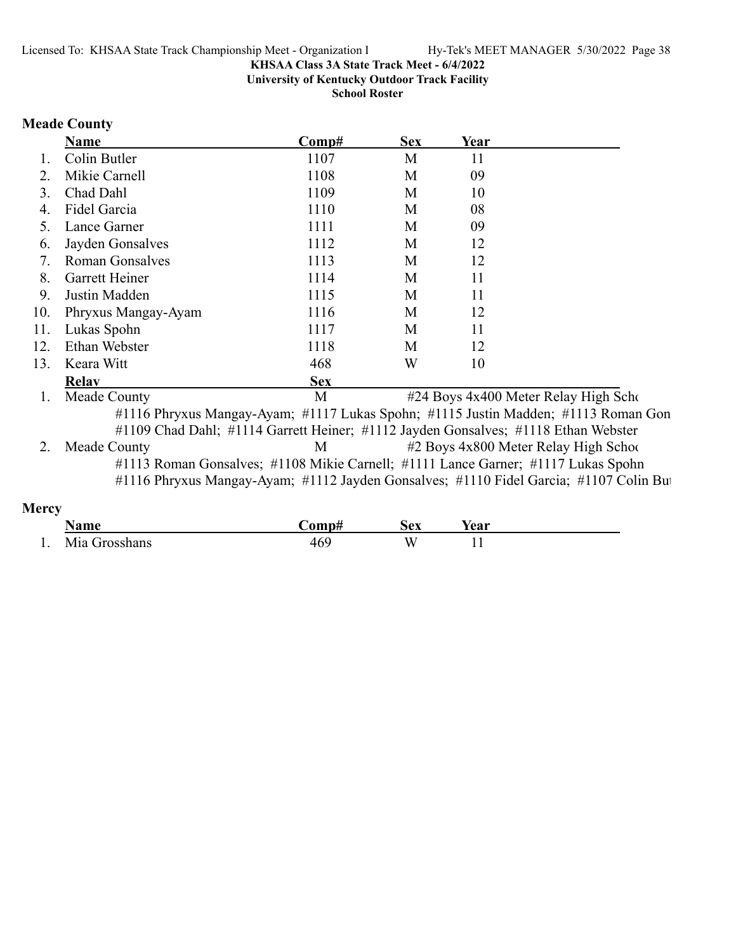**University of Kentucky Outdoor Track Facility**

**School Roster**

### **Meade County**

|     | Name                   | Comp#      | <b>Sex</b> | Year |  |
|-----|------------------------|------------|------------|------|--|
| 1.  | Colin Butler           | 1107       | M          | 11   |  |
| 2.  | Mikie Carnell          | 1108       | M          | 09   |  |
| 3.  | Chad Dahl              | 1109       | M          | 10   |  |
| 4.  | Fidel Garcia           | 1110       | M          | 08   |  |
| 5.  | Lance Garner           | 1111       | M          | 09   |  |
| 6.  | Jayden Gonsalves       | 1112       | M          | 12   |  |
| 7.  | <b>Roman Gonsalves</b> | 1113       | M          | 12   |  |
| 8.  | Garrett Heiner         | 1114       | M          | 11   |  |
| 9.  | Justin Madden          | 1115       | M          | 11   |  |
| 10. | Phryxus Mangay-Ayam    | 1116       | M          | 12   |  |
| 11. | Lukas Spohn            | 1117       | M          | 11   |  |
| 12. | Ethan Webster          | 1118       | M          | 12   |  |
| 13. | Keara Witt             | 468        | W          | 10   |  |
|     | <b>Relav</b>           | <b>Sex</b> |            |      |  |

1. Meade County M #24 Boys 4x400 Meter Relay High School #1116 Phryxus Mangay-Ayam; #1117 Lukas Spohn; #1115 Justin Madden; #1113 Roman Gon #1109 Chad Dahl; #1114 Garrett Heiner; #1112 Jayden Gonsalves; #1118 Ethan Webster

2. Meade County M #2 Boys 4x800 Meter Relay High School #1113 Roman Gonsalves; #1108 Mikie Carnell; #1111 Lance Garner; #1117 Lukas Spohn #1116 Phryxus Mangay-Ayam; #1112 Jayden Gonsalves; #1110 Fidel Garcia; #1107 Colin But

### **Mercy**

|     | محججا<br>іаші       | '∩mnt      | ăΩV<br>◡◟ | rear |
|-----|---------------------|------------|-----------|------|
| . . | Mia<br>$"$ reachers | .6C<br>HU. | VV.       | . .  |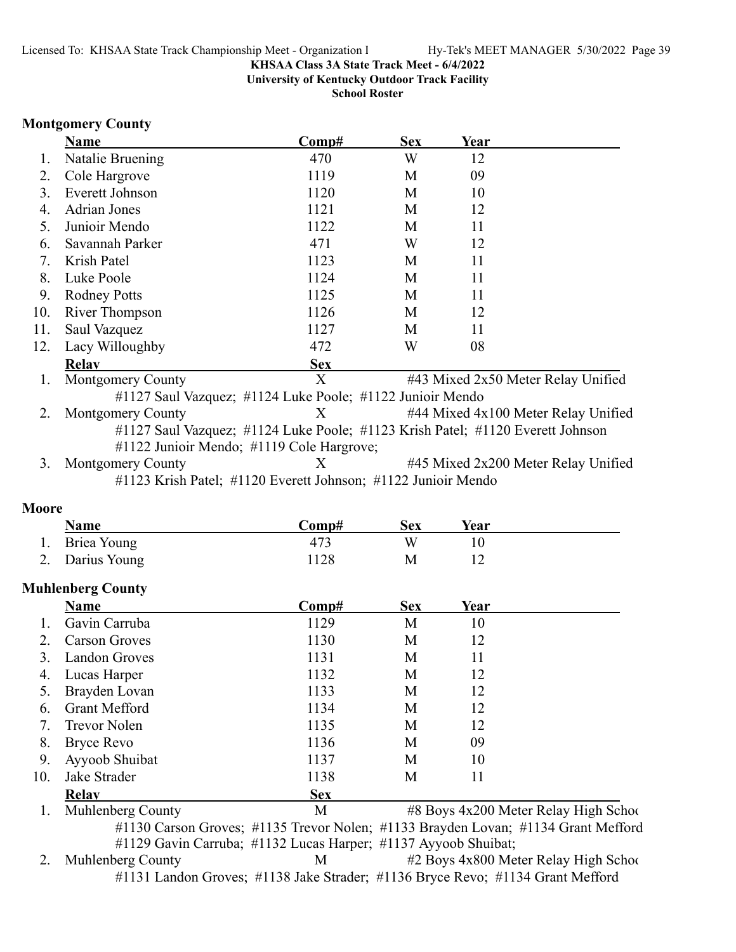**University of Kentucky Outdoor Track Facility**

**School Roster**

### **Montgomery County**

|     | <b>Name</b>              | Comp#                                                                          | <b>Sex</b> | Year |                                     |
|-----|--------------------------|--------------------------------------------------------------------------------|------------|------|-------------------------------------|
| Ι.  | Natalie Bruening         | 470                                                                            | W          | 12   |                                     |
| 2.  | Cole Hargrove            | 1119                                                                           | М          | 09   |                                     |
| 3.  | Everett Johnson          | 1120                                                                           | M          | 10   |                                     |
| 4.  | <b>Adrian Jones</b>      | 1121                                                                           | M          | 12   |                                     |
| 5.  | Junioir Mendo            | 1122                                                                           | М          | 11   |                                     |
| 6.  | Savannah Parker          | 471                                                                            | W          | 12   |                                     |
| 7.  | Krish Patel              | 1123                                                                           | M          | 11   |                                     |
| 8.  | Luke Poole               | 1124                                                                           | M          | 11   |                                     |
| 9.  | <b>Rodney Potts</b>      | 1125                                                                           | M          | 11   |                                     |
| 10. | <b>River Thompson</b>    | 1126                                                                           | M          | 12   |                                     |
| 11. | Saul Vazquez             | 1127                                                                           | M          | 11   |                                     |
| 12. | Lacy Willoughby          | 472                                                                            | W          | 08   |                                     |
|     | <b>Relay</b>             | <b>Sex</b>                                                                     |            |      |                                     |
| 1.  | <b>Montgomery County</b> | X                                                                              |            |      | #43 Mixed 2x50 Meter Relay Unified  |
|     |                          | #1127 Saul Vazquez; #1124 Luke Poole; #1122 Junioir Mendo                      |            |      |                                     |
| 2.  | <b>Montgomery County</b> | X                                                                              |            |      | #44 Mixed 4x100 Meter Relay Unified |
|     |                          | #1127 Saul Vazquez; #1124 Luke Poole; #1123 Krish Patel; #1120 Everett Johnson |            |      |                                     |
|     |                          | #1122 Junioir Mendo; #1119 Cole Hargrove;                                      |            |      |                                     |
| 3.  | <b>Montgomery County</b> | X                                                                              |            |      | #45 Mixed 2x200 Meter Relay Unified |
|     |                          | #1123 Krish Patel; #1120 Everett Johnson; #1122 Junioir Mendo                  |            |      |                                     |

### **Moore**

| 11.UVIV |                          |       |            |      |  |
|---------|--------------------------|-------|------------|------|--|
|         | <u>Name</u>              | Comp# | <b>Sex</b> | Year |  |
|         | Briea Young              | 473   | W          |      |  |
|         | 2. Darius Young          | 1128  | М          |      |  |
|         | <b>Muhlenberg County</b> |       |            |      |  |

|     | Name                     | Comp#      | <b>Sex</b> | Year |                                       |
|-----|--------------------------|------------|------------|------|---------------------------------------|
|     | Gavin Carruba            | 1129       | М          | 10   |                                       |
|     | <b>Carson Groves</b>     | 1130       | М          | 12   |                                       |
|     | Landon Groves            | 1131       | М          | 11   |                                       |
| 4.  | Lucas Harper             | 1132       | М          | 12   |                                       |
|     | Brayden Lovan            | 1133       | М          | 12   |                                       |
| 6.  | <b>Grant Mefford</b>     | 1134       | M          | 12   |                                       |
| 7.  | <b>Trevor Nolen</b>      | 1135       | М          | 12   |                                       |
| 8.  | Bryce Revo               | 1136       | М          | 09   |                                       |
| 9.  | Ayyoob Shuibat           | 1137       | M          | 10   |                                       |
| 10. | Jake Strader             | 1138       | М          | 11   |                                       |
|     | Relay                    | <b>Sex</b> |            |      |                                       |
|     | <b>Muhlenberg County</b> | М          |            |      | #8 Boys 4x200 Meter Relay High School |

#1130 Carson Groves; #1135 Trevor Nolen; #1133 Brayden Lovan; #1134 Grant Mefford #1129 Gavin Carruba; #1132 Lucas Harper; #1137 Ayyoob Shuibat;<br>2. Muhlenberg County M #2 Boys 4x800 Met  $M$  #2 Boys 4x800 Meter Relay High School

#1131 Landon Groves; #1138 Jake Strader; #1136 Bryce Revo; #1134 Grant Mefford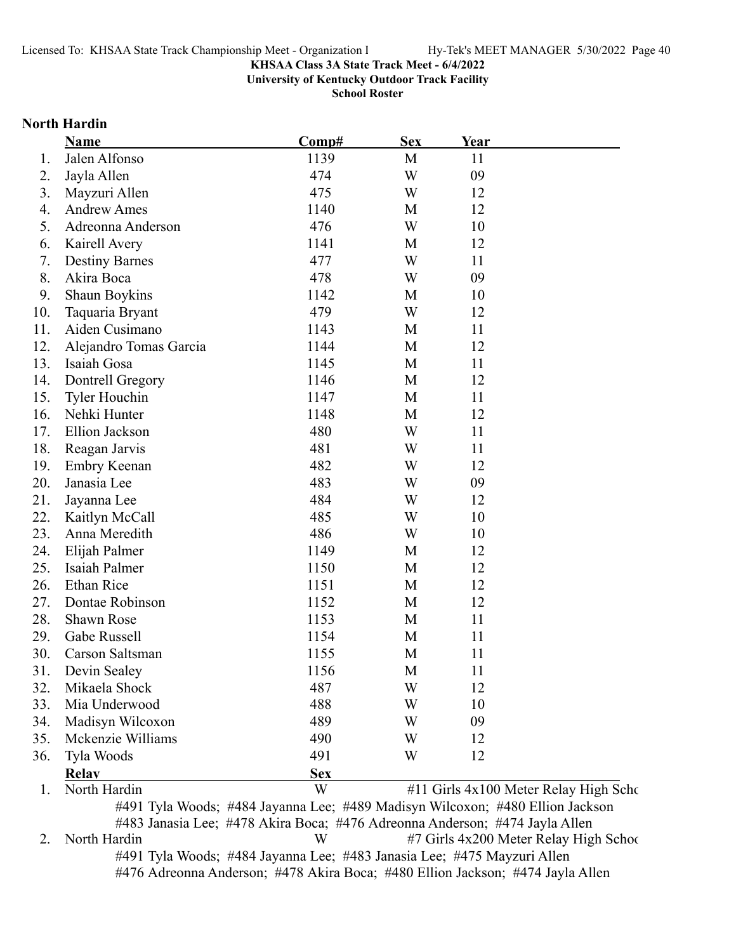**University of Kentucky Outdoor Track Facility**

**School Roster**

### **North Hardin**

|     | <b>Name</b>                                                                   | Comp#      | <b>Sex</b> | Year |                                       |
|-----|-------------------------------------------------------------------------------|------------|------------|------|---------------------------------------|
| 1.  | Jalen Alfonso                                                                 | 1139       | M          | 11   |                                       |
| 2.  | Jayla Allen                                                                   | 474        | W          | 09   |                                       |
| 3.  | Mayzuri Allen                                                                 | 475        | W          | 12   |                                       |
| 4.  | <b>Andrew Ames</b>                                                            | 1140       | M          | 12   |                                       |
| 5.  | Adreonna Anderson                                                             | 476        | W          | 10   |                                       |
| 6.  | Kairell Avery                                                                 | 1141       | M          | 12   |                                       |
| 7.  | <b>Destiny Barnes</b>                                                         | 477        | W          | 11   |                                       |
| 8.  | Akira Boca                                                                    | 478        | W          | 09   |                                       |
| 9.  | Shaun Boykins                                                                 | 1142       | M          | 10   |                                       |
| 10. | Taquaria Bryant                                                               | 479        | W          | 12   |                                       |
| 11. | Aiden Cusimano                                                                | 1143       | M          | 11   |                                       |
| 12. | Alejandro Tomas Garcia                                                        | 1144       | M          | 12   |                                       |
| 13. | Isaiah Gosa                                                                   | 1145       | M          | 11   |                                       |
| 14. | Dontrell Gregory                                                              | 1146       | M          | 12   |                                       |
| 15. | Tyler Houchin                                                                 | 1147       | M          | 11   |                                       |
| 16. | Nehki Hunter                                                                  | 1148       | M          | 12   |                                       |
| 17. | Ellion Jackson                                                                | 480        | W          | 11   |                                       |
| 18. | Reagan Jarvis                                                                 | 481        | W          | 11   |                                       |
| 19. | <b>Embry Keenan</b>                                                           | 482        | W          | 12   |                                       |
| 20. | Janasia Lee                                                                   | 483        | W          | 09   |                                       |
| 21. | Jayanna Lee                                                                   | 484        | W          | 12   |                                       |
| 22. | Kaitlyn McCall                                                                | 485        | W          | 10   |                                       |
| 23. | Anna Meredith                                                                 | 486        | W          | 10   |                                       |
| 24. | Elijah Palmer                                                                 | 1149       | M          | 12   |                                       |
| 25. | Isaiah Palmer                                                                 | 1150       | M          | 12   |                                       |
| 26. | Ethan Rice                                                                    | 1151       | M          | 12   |                                       |
| 27. | Dontae Robinson                                                               | 1152       | M          | 12   |                                       |
| 28. | Shawn Rose                                                                    | 1153       | M          | 11   |                                       |
| 29. | Gabe Russell                                                                  | 1154       | M          | 11   |                                       |
| 30. | Carson Saltsman                                                               | 1155       | M          | 11   |                                       |
| 31. | Devin Sealey                                                                  | 1156       | M          | 11   |                                       |
| 32. | Mikaela Shock                                                                 | 487        | W          | 12   |                                       |
| 33. | Mia Underwood                                                                 | 488        | W          | 10   |                                       |
| 34. | Madisyn Wilcoxon                                                              | 489        | W          | 09   |                                       |
| 35. | Mckenzie Williams                                                             | 490        | W          | 12   |                                       |
| 36. | Tyla Woods                                                                    | 491        | W          | 12   |                                       |
|     | <b>Relay</b>                                                                  | <u>Sex</u> |            |      |                                       |
| 1.  | North Hardin                                                                  | W          |            |      | #11 Girls 4x100 Meter Relay High Scho |
|     | #491 Tyla Woods; #484 Jayanna Lee; #489 Madisyn Wilcoxon; #480 Ellion Jackson |            |            |      |                                       |

#483 Janasia Lee; #478 Akira Boca; #476 Adreonna Anderson; #474 Jayla Allen 2. North Hardin W #7 Girls 4x200 Meter Relay High School #491 Tyla Woods; #484 Jayanna Lee; #483 Janasia Lee; #475 Mayzuri Allen #476 Adreonna Anderson; #478 Akira Boca; #480 Ellion Jackson; #474 Jayla Allen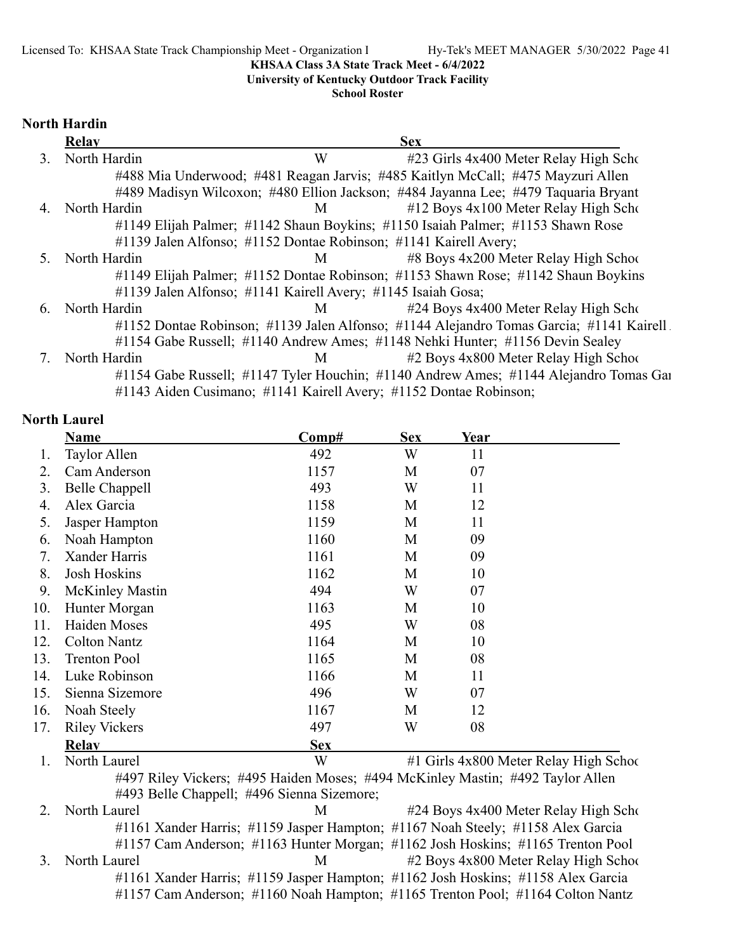### **University of Kentucky Outdoor Track Facility**

### **School Roster**

### **North Hardin**

|    | <b>Relay</b> |                                                                   | <b>Sex</b>                                                                               |
|----|--------------|-------------------------------------------------------------------|------------------------------------------------------------------------------------------|
| 3. | North Hardin | W                                                                 | #23 Girls 4x400 Meter Relay High Scho                                                    |
|    |              |                                                                   | #488 Mia Underwood; #481 Reagan Jarvis; #485 Kaitlyn McCall; #475 Mayzuri Allen          |
|    |              |                                                                   | #489 Madisyn Wilcoxon; #480 Ellion Jackson; #484 Jayanna Lee; #479 Taquaria Bryant       |
| 4. | North Hardin | M <sub>1</sub>                                                    | #12 Boys 4x100 Meter Relay High Scho                                                     |
|    |              |                                                                   | #1149 Elijah Palmer; #1142 Shaun Boykins; #1150 Isaiah Palmer; #1153 Shawn Rose          |
|    |              | #1139 Jalen Alfonso; #1152 Dontae Robinson; #1141 Kairell Avery;  |                                                                                          |
| 5. | North Hardin | M                                                                 | #8 Boys 4x200 Meter Relay High School                                                    |
|    |              |                                                                   | #1149 Elijah Palmer; #1152 Dontae Robinson; #1153 Shawn Rose; #1142 Shaun Boykins        |
|    |              | #1139 Jalen Alfonso; #1141 Kairell Avery; #1145 Isaiah Gosa;      |                                                                                          |
| 6. | North Hardin | M                                                                 | #24 Boys 4x400 Meter Relay High Scho                                                     |
|    |              |                                                                   | #1152 Dontae Robinson; #1139 Jalen Alfonso; #1144 Alejandro Tomas Garcia; #1141 Kairell. |
|    |              |                                                                   | #1154 Gabe Russell; #1140 Andrew Ames; #1148 Nehki Hunter; #1156 Devin Sealey            |
|    | North Hardin | M                                                                 | #2 Boys 4x800 Meter Relay High School                                                    |
|    |              |                                                                   | #1154 Gabe Russell; #1147 Tyler Houchin; #1140 Andrew Ames; #1144 Alejandro Tomas Gai    |
|    |              | #1143 Aiden Cusimano; #1141 Kairell Avery; #1152 Dontae Robinson; |                                                                                          |

### **North Laurel**

|     | <b>Name</b>            | Comp#                                                                           | <b>Sex</b> | Year |                                        |
|-----|------------------------|---------------------------------------------------------------------------------|------------|------|----------------------------------------|
| Ι.  | Taylor Allen           | 492                                                                             | W          | 11   |                                        |
| 2.  | Cam Anderson           | 1157                                                                            | M          | 07   |                                        |
| 3.  | Belle Chappell         | 493                                                                             | W          | 11   |                                        |
| 4.  | Alex Garcia            | 1158                                                                            | M          | 12   |                                        |
| 5.  | Jasper Hampton         | 1159                                                                            | M          | 11   |                                        |
| 6.  | Noah Hampton           | 1160                                                                            | M          | 09   |                                        |
| 7.  | Xander Harris          | 1161                                                                            | M          | 09   |                                        |
| 8.  | <b>Josh Hoskins</b>    | 1162                                                                            | M          | 10   |                                        |
| 9.  | <b>McKinley Mastin</b> | 494                                                                             | W          | 07   |                                        |
| 10. | Hunter Morgan          | 1163                                                                            | M          | 10   |                                        |
| 11. | Haiden Moses           | 495                                                                             | W          | 08   |                                        |
| 12. | <b>Colton Nantz</b>    | 1164                                                                            | M          | 10   |                                        |
| 13. | <b>Trenton Pool</b>    | 1165                                                                            | M          | 08   |                                        |
| 14. | Luke Robinson          | 1166                                                                            | M          | 11   |                                        |
| 15. | Sienna Sizemore        | 496                                                                             | W          | 07   |                                        |
| 16. | Noah Steely            | 1167                                                                            | M          | 12   |                                        |
| 17. | <b>Riley Vickers</b>   | 497                                                                             | W          | 08   |                                        |
|     | Relay                  | <b>Sex</b>                                                                      |            |      |                                        |
| 1.  | North Laurel           | W                                                                               |            |      | #1 Girls 4x800 Meter Relay High School |
|     |                        | #497 Riley Vickers; #495 Haiden Moses; #494 McKinley Mastin; #492 Taylor Allen  |            |      |                                        |
|     |                        | #493 Belle Chappell; #496 Sienna Sizemore;                                      |            |      |                                        |
| 2.  | North Laurel           | М                                                                               |            |      | #24 Boys 4x400 Meter Relay High Scho   |
|     |                        | #1161 Xander Harris; #1159 Jasper Hampton; #1167 Noah Steely; #1158 Alex Garcia |            |      |                                        |

#1157 Cam Anderson; #1163 Hunter Morgan; #1162 Josh Hoskins; #1165 Trenton Pool 3. North Laurel M #2 Boys 4x800 Meter Relay High School #1161 Xander Harris; #1159 Jasper Hampton; #1162 Josh Hoskins; #1158 Alex Garcia #1157 Cam Anderson; #1160 Noah Hampton; #1165 Trenton Pool; #1164 Colton Nantz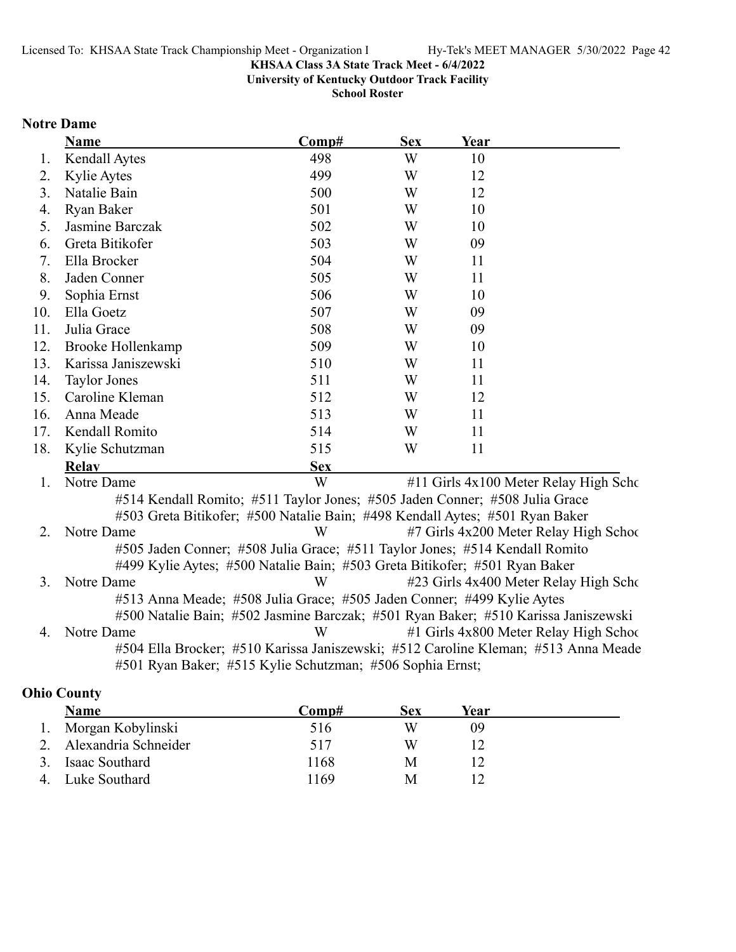**University of Kentucky Outdoor Track Facility**

**School Roster**

### **Notre Dame**

|     | Name                                                                               | Comp#      | <b>Sex</b> | Year |                                        |
|-----|------------------------------------------------------------------------------------|------------|------------|------|----------------------------------------|
| 1.  | Kendall Aytes                                                                      | 498        | W          | 10   |                                        |
| 2.  | Kylie Aytes                                                                        | 499        | W          | 12   |                                        |
| 3.  | Natalie Bain                                                                       | 500        | W          | 12   |                                        |
| 4.  | Ryan Baker                                                                         | 501        | W          | 10   |                                        |
| 5.  | Jasmine Barczak                                                                    | 502        | W          | 10   |                                        |
| 6.  | Greta Bitikofer                                                                    | 503        | W          | 09   |                                        |
| 7.  | Ella Brocker                                                                       | 504        | W          | 11   |                                        |
| 8.  | Jaden Conner                                                                       | 505        | W          | 11   |                                        |
| 9.  | Sophia Ernst                                                                       | 506        | W          | 10   |                                        |
| 10. | Ella Goetz                                                                         | 507        | W          | 09   |                                        |
| 11. | Julia Grace                                                                        | 508        | W          | 09   |                                        |
| 12. | Brooke Hollenkamp                                                                  | 509        | W          | 10   |                                        |
| 13. | Karissa Janiszewski                                                                | 510        | W          | 11   |                                        |
| 14. | <b>Taylor Jones</b>                                                                | 511        | W          | 11   |                                        |
| 15. | Caroline Kleman                                                                    | 512        | W          | 12   |                                        |
| 16. | Anna Meade                                                                         | 513        | W          | 11   |                                        |
| 17. | Kendall Romito                                                                     | 514        | W          | 11   |                                        |
| 18. | Kylie Schutzman                                                                    | 515        | W          | 11   |                                        |
|     | <b>Relay</b>                                                                       | <b>Sex</b> |            |      |                                        |
| 1.  | Notre Dame                                                                         | W          |            |      | #11 Girls 4x100 Meter Relay High Scho  |
|     | #514 Kendall Romito; #511 Taylor Jones; #505 Jaden Conner; #508 Julia Grace        |            |            |      |                                        |
|     | #503 Greta Bitikofer; #500 Natalie Bain; #498 Kendall Aytes; #501 Ryan Baker       |            |            |      |                                        |
| 2.  | Notre Dame                                                                         | W          |            |      | #7 Girls 4x200 Meter Relay High School |
|     | #505 Jaden Conner; #508 Julia Grace; #511 Taylor Jones; #514 Kendall Romito        |            |            |      |                                        |
|     | #499 Kylie Aytes; #500 Natalie Bain; #503 Greta Bitikofer; #501 Ryan Baker         |            |            |      |                                        |
| 3.  | Notre Dame                                                                         | W          |            |      | #23 Girls 4x400 Meter Relay High Scho  |
|     | #513 Anna Meade; #508 Julia Grace; #505 Jaden Conner; #499 Kylie Aytes             |            |            |      |                                        |
|     | #500 Natalie Bain; #502 Jasmine Barczak; #501 Ryan Baker; #510 Karissa Janiszewski |            |            |      |                                        |
| 4.  | Notre Dame                                                                         | W          |            |      | #1 Girls 4x800 Meter Relay High Schoo  |
|     | #504 Ella Brocker; #510 Karissa Janiszewski; #512 Caroline Kleman; #513 Anna Meade |            |            |      |                                        |
|     | #501 Ryan Baker; #515 Kylie Schutzman; #506 Sophia Ernst;                          |            |            |      |                                        |

# **Ohio County**

|    | Name                    | Comp# | Sex | Year |  |
|----|-------------------------|-------|-----|------|--|
|    | 1. Morgan Kobylinski    | 516   | W   | 09   |  |
|    | 2. Alexandria Schneider | 517   | W   |      |  |
|    | Isaac Southard          | 1168  | M   |      |  |
| 4. | Luke Southard           | 1169  | M   |      |  |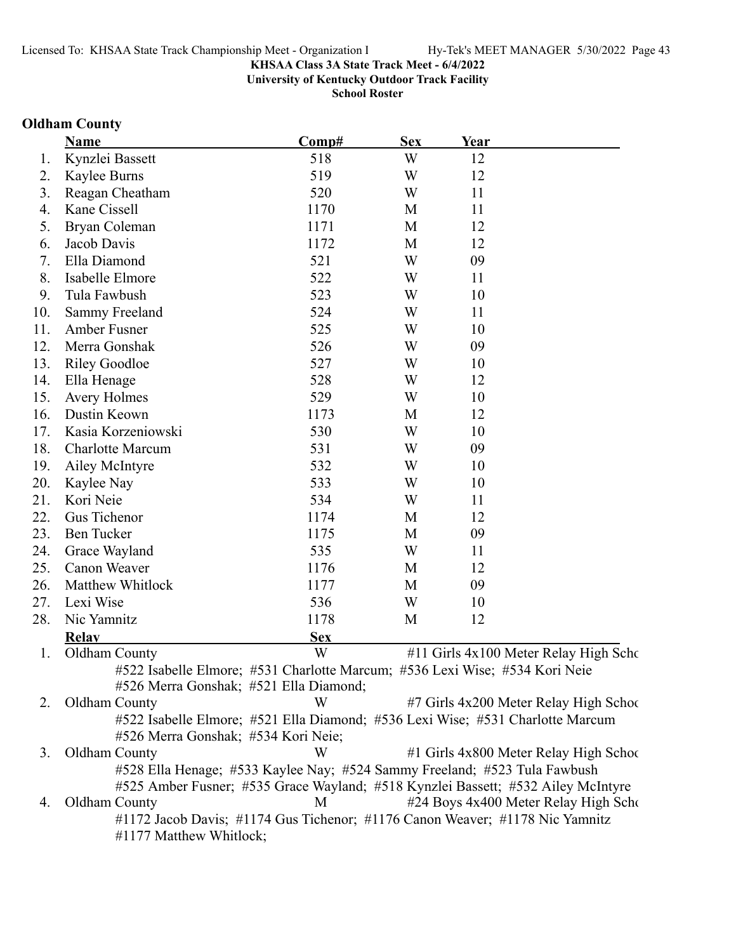**University of Kentucky Outdoor Track Facility**

**School Roster**

# **Oldham County**

|     | <b>Name</b>                                                                      | Comp#      | <b>Sex</b> | Year |                                        |
|-----|----------------------------------------------------------------------------------|------------|------------|------|----------------------------------------|
| 1.  | Kynzlei Bassett                                                                  | 518        | W          | 12   |                                        |
| 2.  | Kaylee Burns                                                                     | 519        | W          | 12   |                                        |
| 3.  | Reagan Cheatham                                                                  | 520        | W          | 11   |                                        |
| 4.  | Kane Cissell                                                                     | 1170       | M          | 11   |                                        |
| 5.  | Bryan Coleman                                                                    | 1171       | M          | 12   |                                        |
| 6.  | Jacob Davis                                                                      | 1172       | M          | 12   |                                        |
| 7.  | Ella Diamond                                                                     | 521        | W          | 09   |                                        |
| 8.  | Isabelle Elmore                                                                  | 522        | W          | 11   |                                        |
| 9.  | Tula Fawbush                                                                     | 523        | W          | 10   |                                        |
| 10. | Sammy Freeland                                                                   | 524        | W          | 11   |                                        |
| 11. | Amber Fusner                                                                     | 525        | W          | 10   |                                        |
| 12. | Merra Gonshak                                                                    | 526        | W          | 09   |                                        |
| 13. | <b>Riley Goodloe</b>                                                             | 527        | W          | 10   |                                        |
| 14. | Ella Henage                                                                      | 528        | W          | 12   |                                        |
| 15. | <b>Avery Holmes</b>                                                              | 529        | W          | 10   |                                        |
| 16. | Dustin Keown                                                                     | 1173       | M          | 12   |                                        |
| 17. | Kasia Korzeniowski                                                               | 530        | W          | 10   |                                        |
| 18. | <b>Charlotte Marcum</b>                                                          | 531        | W          | 09   |                                        |
| 19. | Ailey McIntyre                                                                   | 532        | W          | 10   |                                        |
| 20. | Kaylee Nay                                                                       | 533        | W          | 10   |                                        |
| 21. | Kori Neie                                                                        | 534        | W          | 11   |                                        |
| 22. | Gus Tichenor                                                                     | 1174       | M          | 12   |                                        |
| 23. | <b>Ben Tucker</b>                                                                | 1175       | M          | 09   |                                        |
| 24. | Grace Wayland                                                                    | 535        | W          | 11   |                                        |
| 25. | Canon Weaver                                                                     | 1176       | M          | 12   |                                        |
| 26. | Matthew Whitlock                                                                 | 1177       | M          | 09   |                                        |
| 27. | Lexi Wise                                                                        | 536        | W          | 10   |                                        |
| 28. | Nic Yamnitz                                                                      | 1178       | M          | 12   |                                        |
|     | <b>Relay</b>                                                                     | <b>Sex</b> |            |      |                                        |
| 1.  | Oldham County                                                                    | W          |            |      | #11 Girls 4x100 Meter Relay High Scho  |
|     | #522 Isabelle Elmore; #531 Charlotte Marcum; #536 Lexi Wise; #534 Kori Neie      |            |            |      |                                        |
|     | #526 Merra Gonshak; #521 Ella Diamond;                                           |            |            |      |                                        |
| 2.  | Oldham County                                                                    | W          |            |      | #7 Girls 4x200 Meter Relay High School |
|     | #522 Isabelle Elmore; #521 Ella Diamond; #536 Lexi Wise; #531 Charlotte Marcum   |            |            |      |                                        |
|     | #526 Merra Gonshak; #534 Kori Neie;                                              |            |            |      |                                        |
| 3.  | Oldham County                                                                    | W          |            |      | #1 Girls 4x800 Meter Relay High School |
|     | #528 Ella Henage; #533 Kaylee Nay; #524 Sammy Freeland; #523 Tula Fawbush        |            |            |      |                                        |
|     | #525 Amber Fusner; #535 Grace Wayland; #518 Kynzlei Bassett; #532 Ailey McIntyre |            |            |      |                                        |
| 4.  | Oldham County                                                                    | M          |            |      | #24 Boys 4x400 Meter Relay High Scho   |
|     | #1172 Jacob Davis; #1174 Gus Tichenor; #1176 Canon Weaver; #1178 Nic Yamnitz     |            |            |      |                                        |

#1177 Matthew Whitlock;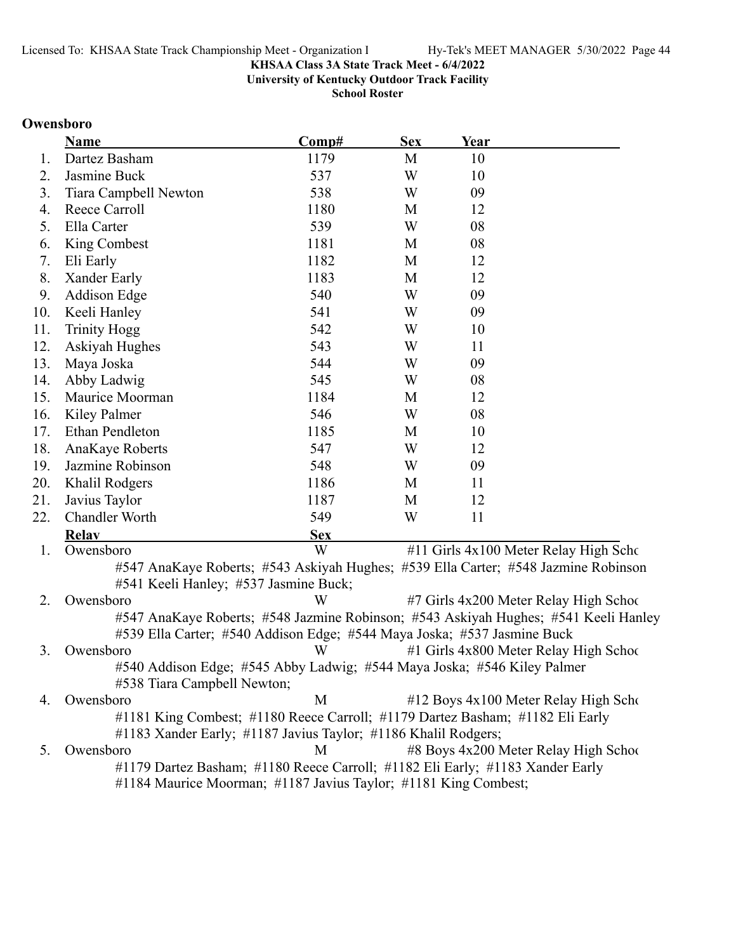**University of Kentucky Outdoor Track Facility**

**School Roster**

### **Owensboro**

|     | <b>Name</b>           | Comp#      | <b>Sex</b> | Year |                                       |
|-----|-----------------------|------------|------------|------|---------------------------------------|
| 1.  | Dartez Basham         | 1179       | M          | 10   |                                       |
| 2.  | Jasmine Buck          | 537        | W          | 10   |                                       |
| 3.  | Tiara Campbell Newton | 538        | W          | 09   |                                       |
| 4.  | Reece Carroll         | 1180       | М          | 12   |                                       |
| 5.  | Ella Carter           | 539        | W          | 08   |                                       |
| 6.  | King Combest          | 1181       | M          | 08   |                                       |
| 7.  | Eli Early             | 1182       | M          | 12   |                                       |
| 8.  | Xander Early          | 1183       | M          | 12   |                                       |
| 9.  | <b>Addison Edge</b>   | 540        | W          | 09   |                                       |
| 10. | Keeli Hanley          | 541        | W          | 09   |                                       |
| 11. | <b>Trinity Hogg</b>   | 542        | W          | 10   |                                       |
| 12. | Askiyah Hughes        | 543        | W          | 11   |                                       |
| 13. | Maya Joska            | 544        | W          | 09   |                                       |
| 14. | Abby Ladwig           | 545        | W          | 08   |                                       |
| 15. | Maurice Moorman       | 1184       | M          | 12   |                                       |
| 16. | Kiley Palmer          | 546        | W          | 08   |                                       |
| 17. | Ethan Pendleton       | 1185       | M          | 10   |                                       |
| 18. | AnaKaye Roberts       | 547        | W          | 12   |                                       |
| 19. | Jazmine Robinson      | 548        | W          | 09   |                                       |
| 20. | Khalil Rodgers        | 1186       | M          | 11   |                                       |
| 21. | Javius Taylor         | 1187       | M          | 12   |                                       |
| 22. | Chandler Worth        | 549        | W          | 11   |                                       |
|     | <b>Relav</b>          | <b>Sex</b> |            |      |                                       |
| 1.  | Owensboro             | W          |            |      | #11 Girls 4x100 Meter Relay High Scho |

#547 AnaKaye Roberts; #543 Askiyah Hughes; #539 Ella Carter; #548 Jazmine Robinson #541 Keeli Hanley; #537 Jasmine Buck;

2. Owensboro W #7 Girls 4x200 Meter Relay High School #547 AnaKaye Roberts; #548 Jazmine Robinson; #543 Askiyah Hughes; #541 Keeli Hanley #539 Ella Carter; #540 Addison Edge; #544 Maya Joska; #537 Jasmine Buck 3. Owensboro W #1 Girls 4x800 Meter Relay High School

#540 Addison Edge; #545 Abby Ladwig; #544 Maya Joska; #546 Kiley Palmer #538 Tiara Campbell Newton;

4. Owensboro **12 Boys 4x100 Meter Relay High School** M  $\parallel$  412 Boys 4x100 Meter Relay High School #1181 King Combest; #1180 Reece Carroll; #1179 Dartez Basham; #1182 Eli Early #1183 Xander Early; #1187 Javius Taylor; #1186 Khalil Rodgers; 5. Owensboro M #8 Boys 4x200 Meter Relay High School

#1179 Dartez Basham; #1180 Reece Carroll; #1182 Eli Early; #1183 Xander Early #1184 Maurice Moorman; #1187 Javius Taylor; #1181 King Combest;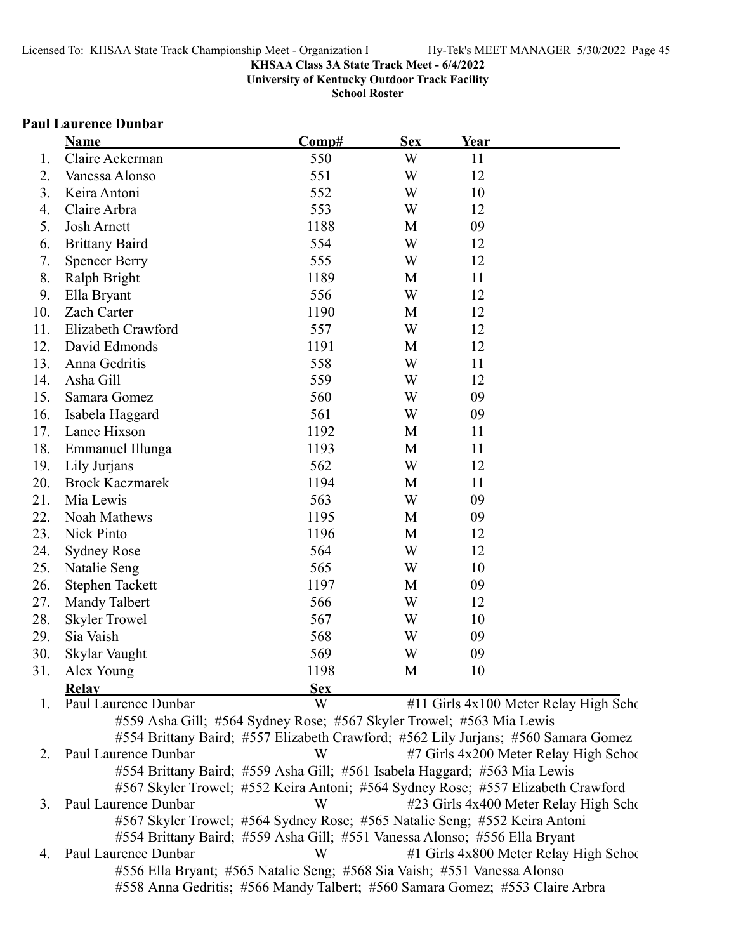**University of Kentucky Outdoor Track Facility**

**School Roster**

### **Paul Laurence Dunbar**

|     | Name                   | Comp#                                                                | <b>Sex</b> | Year                                                                               |  |
|-----|------------------------|----------------------------------------------------------------------|------------|------------------------------------------------------------------------------------|--|
| 1.  | Claire Ackerman        | 550                                                                  | W          | 11                                                                                 |  |
| 2.  | Vanessa Alonso         | 551                                                                  | W          | 12                                                                                 |  |
| 3.  | Keira Antoni           | 552                                                                  | W          | 10                                                                                 |  |
| 4.  | Claire Arbra           | 553                                                                  | W          | 12                                                                                 |  |
| 5.  | <b>Josh Arnett</b>     | 1188                                                                 | M          | 09                                                                                 |  |
| 6.  | <b>Brittany Baird</b>  | 554                                                                  | W          | 12                                                                                 |  |
| 7.  | <b>Spencer Berry</b>   | 555                                                                  | W          | 12                                                                                 |  |
| 8.  | Ralph Bright           | 1189                                                                 | M          | 11                                                                                 |  |
| 9.  | Ella Bryant            | 556                                                                  | W          | 12                                                                                 |  |
| 10. | Zach Carter            | 1190                                                                 | M          | 12                                                                                 |  |
| 11. | Elizabeth Crawford     | 557                                                                  | W          | 12                                                                                 |  |
| 12. | David Edmonds          | 1191                                                                 | M          | 12                                                                                 |  |
| 13. | Anna Gedritis          | 558                                                                  | W          | 11                                                                                 |  |
| 14. | Asha Gill              | 559                                                                  | W          | 12                                                                                 |  |
| 15. | Samara Gomez           | 560                                                                  | W          | 09                                                                                 |  |
| 16. | Isabela Haggard        | 561                                                                  | W          | 09                                                                                 |  |
| 17. | Lance Hixson           | 1192                                                                 | M          | 11                                                                                 |  |
| 18. | Emmanuel Illunga       | 1193                                                                 | M          | 11                                                                                 |  |
| 19. | Lily Jurjans           | 562                                                                  | W          | 12                                                                                 |  |
| 20. | <b>Brock Kaczmarek</b> | 1194                                                                 | M          | 11                                                                                 |  |
| 21. | Mia Lewis              | 563                                                                  | W          | 09                                                                                 |  |
| 22. | Noah Mathews           | 1195                                                                 | M          | 09                                                                                 |  |
| 23. | Nick Pinto             | 1196                                                                 | M          | 12                                                                                 |  |
| 24. | <b>Sydney Rose</b>     | 564                                                                  | W          | 12                                                                                 |  |
| 25. | Natalie Seng           | 565                                                                  | W          | 10                                                                                 |  |
| 26. | <b>Stephen Tackett</b> | 1197                                                                 | M          | 09                                                                                 |  |
| 27. | Mandy Talbert          | 566                                                                  | W          | 12                                                                                 |  |
| 28. | <b>Skyler Trowel</b>   | 567                                                                  | W          | 10                                                                                 |  |
| 29. | Sia Vaish              | 568                                                                  | W          | 09                                                                                 |  |
| 30. | Skylar Vaught          | 569                                                                  | W          | 09                                                                                 |  |
| 31. | Alex Young             | 1198                                                                 | M          | 10                                                                                 |  |
|     | <b>Relay</b>           | <b>Sex</b>                                                           |            |                                                                                    |  |
| 1.  | Paul Laurence Dunbar   | W                                                                    |            | #11 Girls 4x100 Meter Relay High Scho                                              |  |
|     |                        | #559 Asha Gill; #564 Sydney Rose; #567 Skyler Trowel; #563 Mia Lewis |            |                                                                                    |  |
|     |                        |                                                                      |            | #554 Brittany Baird; #557 Elizabeth Crawford; #562 Lily Jurjans; #560 Samara Gomez |  |
| 2.  | Paul Laurence Dunbar   | W                                                                    |            | #7 Girls 4x200 Meter Relay High School                                             |  |
|     |                        |                                                                      |            | #554 Brittany Baird; #559 Asha Gill; #561 Isabela Haggard; #563 Mia Lewis          |  |

#567 Skyler Trowel; #552 Keira Antoni; #564 Sydney Rose; #557 Elizabeth Crawford 3. Paul Laurence Dunbar W #23 Girls 4x400 Meter Relay High Scho #567 Skyler Trowel; #564 Sydney Rose; #565 Natalie Seng; #552 Keira Antoni

#554 Brittany Baird; #559 Asha Gill; #551 Vanessa Alonso; #556 Ella Bryant

4. Paul Laurence Dunbar W #1 Girls 4x800 Meter Relay High School #556 Ella Bryant; #565 Natalie Seng; #568 Sia Vaish; #551 Vanessa Alonso #558 Anna Gedritis; #566 Mandy Talbert; #560 Samara Gomez; #553 Claire Arbra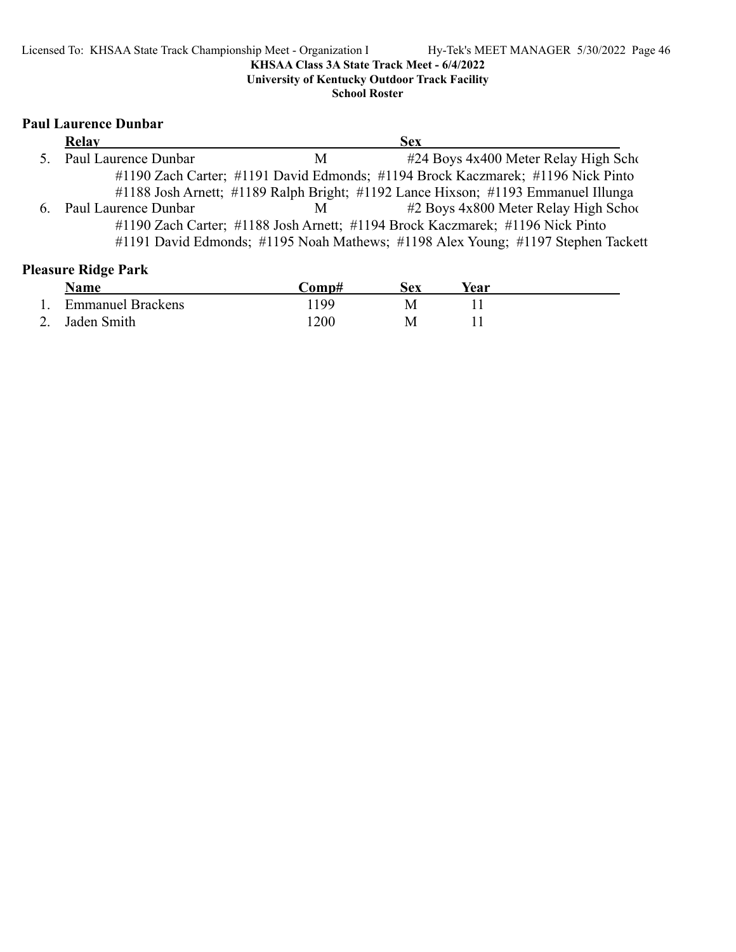**University of Kentucky Outdoor Track Facility**

**School Roster**

# **Paul Laurence Dunbar**

| Relay                   |   | <b>Sex</b>                                                                        |
|-------------------------|---|-----------------------------------------------------------------------------------|
| 5. Paul Laurence Dunbar | М | #24 Boys 4x400 Meter Relay High Scho                                              |
|                         |   | #1190 Zach Carter; #1191 David Edmonds; #1194 Brock Kaczmarek; #1196 Nick Pinto   |
|                         |   | #1188 Josh Arnett; #1189 Ralph Bright; #1192 Lance Hixson; #1193 Emmanuel Illunga |
| 6. Paul Laurence Dunbar | M | #2 Boys 4x800 Meter Relay High School                                             |
|                         |   | #1190 Zach Carter; #1188 Josh Arnett; #1194 Brock Kaczmarek; #1196 Nick Pinto     |
|                         |   | #1191 David Edmonds; #1195 Noah Mathews; #1198 Alex Young; #1197 Stephen Tackett  |

# **Pleasure Ridge Park**

|          | <b>Name</b>              | $\mathbb{C}\mathbf{om}\mathbf{p}$ # | sex | Year |  |
|----------|--------------------------|-------------------------------------|-----|------|--|
|          | <b>Emmanuel Brackens</b> | 199                                 | M   |      |  |
| <u>.</u> | 2. Jaden Smith           | .200                                | Μ   |      |  |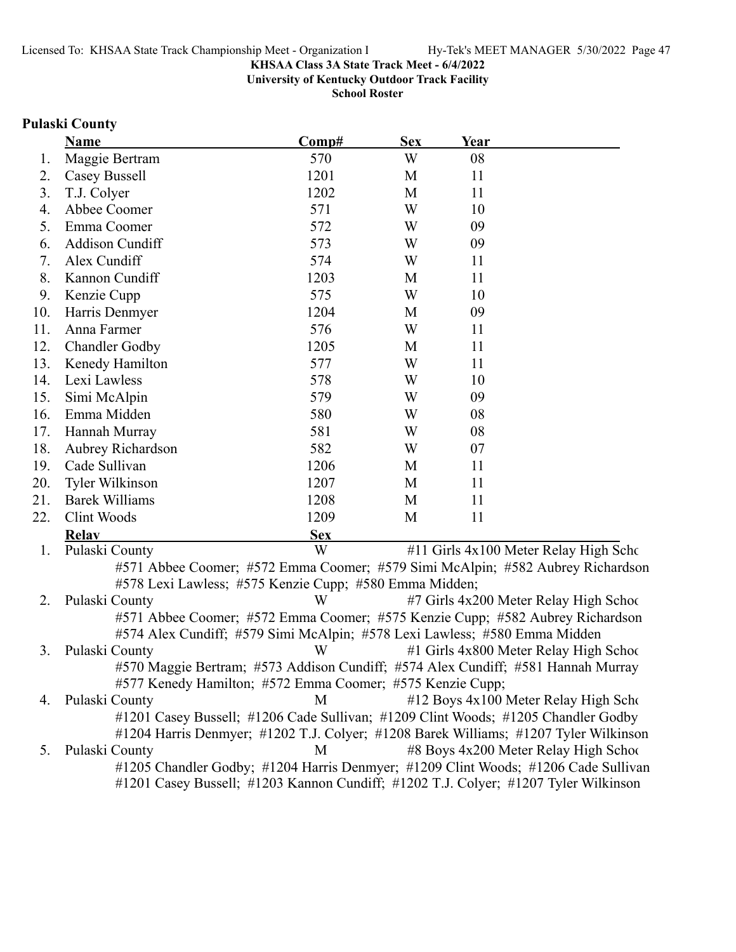**University of Kentucky Outdoor Track Facility**

**School Roster**

### **Pulaski County**

|     | <b>Name</b>            | Comp#      | <b>Sex</b> | Year |                                       |
|-----|------------------------|------------|------------|------|---------------------------------------|
| 1.  | Maggie Bertram         | 570        | W          | 08   |                                       |
| 2.  | Casey Bussell          | 1201       | M          | 11   |                                       |
| 3.  | T.J. Colyer            | 1202       | M          | 11   |                                       |
| 4.  | Abbee Coomer           | 571        | W          | 10   |                                       |
| 5.  | Emma Coomer            | 572        | W          | 09   |                                       |
| 6.  | Addison Cundiff        | 573        | W          | 09   |                                       |
| 7.  | Alex Cundiff           | 574        | W          | 11   |                                       |
| 8.  | Kannon Cundiff         | 1203       | M          | 11   |                                       |
| 9.  | Kenzie Cupp            | 575        | W          | 10   |                                       |
| 10. | Harris Denmyer         | 1204       | M          | 09   |                                       |
| 11. | Anna Farmer            | 576        | W          | 11   |                                       |
| 12. | <b>Chandler Godby</b>  | 1205       | M          | 11   |                                       |
| 13. | Kenedy Hamilton        | 577        | W          | 11   |                                       |
| 14. | Lexi Lawless           | 578        | W          | 10   |                                       |
| 15. | Simi McAlpin           | 579        | W          | 09   |                                       |
| 16. | Emma Midden            | 580        | W          | 08   |                                       |
| 17. | Hannah Murray          | 581        | W          | 08   |                                       |
| 18. | Aubrey Richardson      | 582        | W          | 07   |                                       |
| 19. | Cade Sullivan          | 1206       | M          | 11   |                                       |
| 20. | <b>Tyler Wilkinson</b> | 1207       | M          | 11   |                                       |
| 21. | <b>Barek Williams</b>  | 1208       | M          | 11   |                                       |
| 22. | Clint Woods            | 1209       | M          | 11   |                                       |
|     | <b>Relav</b>           | <b>Sex</b> |            |      |                                       |
| 1.  | Pulaski County         | W          |            |      | #11 Girls 4x100 Meter Relay High Scho |

#571 Abbee Coomer; #572 Emma Coomer; #579 Simi McAlpin; #582 Aubrey Richardson #578 Lexi Lawless; #575 Kenzie Cupp; #580 Emma Midden;

2. Pulaski County W #7 Girls 4x200 Meter Relay High School #571 Abbee Coomer; #572 Emma Coomer; #575 Kenzie Cupp; #582 Aubrey Richardson #574 Alex Cundiff; #579 Simi McAlpin; #578 Lexi Lawless; #580 Emma Midden 3. Pulaski County W #1 Girls 4x800 Meter Relay High School

#570 Maggie Bertram; #573 Addison Cundiff; #574 Alex Cundiff; #581 Hannah Murray #577 Kenedy Hamilton; #572 Emma Coomer; #575 Kenzie Cupp;

4. Pulaski County M #12 Boys 4x100 Meter Relay High School #1201 Casey Bussell; #1206 Cade Sullivan; #1209 Clint Woods; #1205 Chandler Godby #1204 Harris Denmyer; #1202 T.J. Colyer; #1208 Barek Williams; #1207 Tyler Wilkinson 5. Pulaski County M #8 Boys 4x200 Meter Relay High School #1205 Chandler Godby; #1204 Harris Denmyer; #1209 Clint Woods; #1206 Cade Sullivan

#1201 Casey Bussell; #1203 Kannon Cundiff; #1202 T.J. Colyer; #1207 Tyler Wilkinson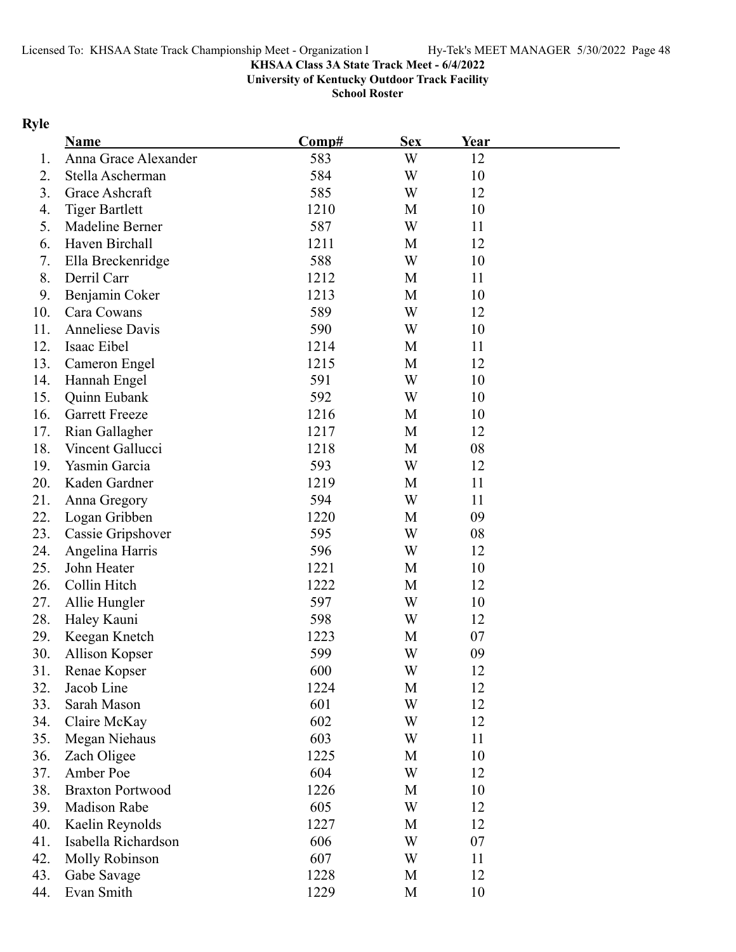**University of Kentucky Outdoor Track Facility**

**School Roster**

# **Ryle**

|     | Name                    | Comp# | <b>Sex</b> | Year |  |
|-----|-------------------------|-------|------------|------|--|
| 1.  | Anna Grace Alexander    | 583   | W          | 12   |  |
| 2.  | Stella Ascherman        | 584   | W          | 10   |  |
| 3.  | Grace Ashcraft          | 585   | W          | 12   |  |
| 4.  | <b>Tiger Bartlett</b>   | 1210  | M          | 10   |  |
| 5.  | Madeline Berner         | 587   | W          | 11   |  |
| 6.  | Haven Birchall          | 1211  | M          | 12   |  |
| 7.  | Ella Breckenridge       | 588   | W          | 10   |  |
| 8.  | Derril Carr             | 1212  | M          | 11   |  |
| 9.  | Benjamin Coker          | 1213  | M          | 10   |  |
| 10. | Cara Cowans             | 589   | W          | 12   |  |
| 11. | Anneliese Davis         | 590   | W          | 10   |  |
| 12. | Isaac Eibel             | 1214  | M          | 11   |  |
| 13. | Cameron Engel           | 1215  | M          | 12   |  |
| 14. | Hannah Engel            | 591   | W          | 10   |  |
| 15. | Quinn Eubank            | 592   | W          | 10   |  |
| 16. | <b>Garrett Freeze</b>   | 1216  | M          | 10   |  |
| 17. | Rian Gallagher          | 1217  | M          | 12   |  |
| 18. | Vincent Gallucci        | 1218  | M          | 08   |  |
| 19. | Yasmin Garcia           | 593   | W          | 12   |  |
| 20. | Kaden Gardner           | 1219  | M          | 11   |  |
| 21. | Anna Gregory            | 594   | W          | 11   |  |
| 22. | Logan Gribben           | 1220  | M          | 09   |  |
| 23. | Cassie Gripshover       | 595   | W          | 08   |  |
| 24. | Angelina Harris         | 596   | W          | 12   |  |
| 25. | John Heater             | 1221  | M          | 10   |  |
| 26. | Collin Hitch            | 1222  | M          | 12   |  |
| 27. | Allie Hungler           | 597   | W          | 10   |  |
| 28. | Haley Kauni             | 598   | W          | 12   |  |
| 29. | Keegan Knetch           | 1223  | M          | 07   |  |
| 30. | Allison Kopser          | 599   | W          | 09   |  |
| 31. | Renae Kopser            | 600   | W          | 12   |  |
| 32. | Jacob Line              | 1224  | M          | 12   |  |
| 33. | Sarah Mason             | 601   | W          | 12   |  |
| 34. | Claire McKay            | 602   | W          | 12   |  |
| 35. | Megan Niehaus           | 603   | W          | 11   |  |
| 36. | Zach Oligee             | 1225  | M          | 10   |  |
| 37. | Amber Poe               | 604   | W          | 12   |  |
| 38. | <b>Braxton Portwood</b> | 1226  | M          | 10   |  |
| 39. | <b>Madison Rabe</b>     | 605   | W          | 12   |  |
| 40. | Kaelin Reynolds         | 1227  | M          | 12   |  |
| 41. | Isabella Richardson     | 606   | W          | 07   |  |
| 42. | Molly Robinson          | 607   | W          | 11   |  |
| 43. | Gabe Savage             | 1228  | M          | 12   |  |
| 44. | Evan Smith              | 1229  | M          | 10   |  |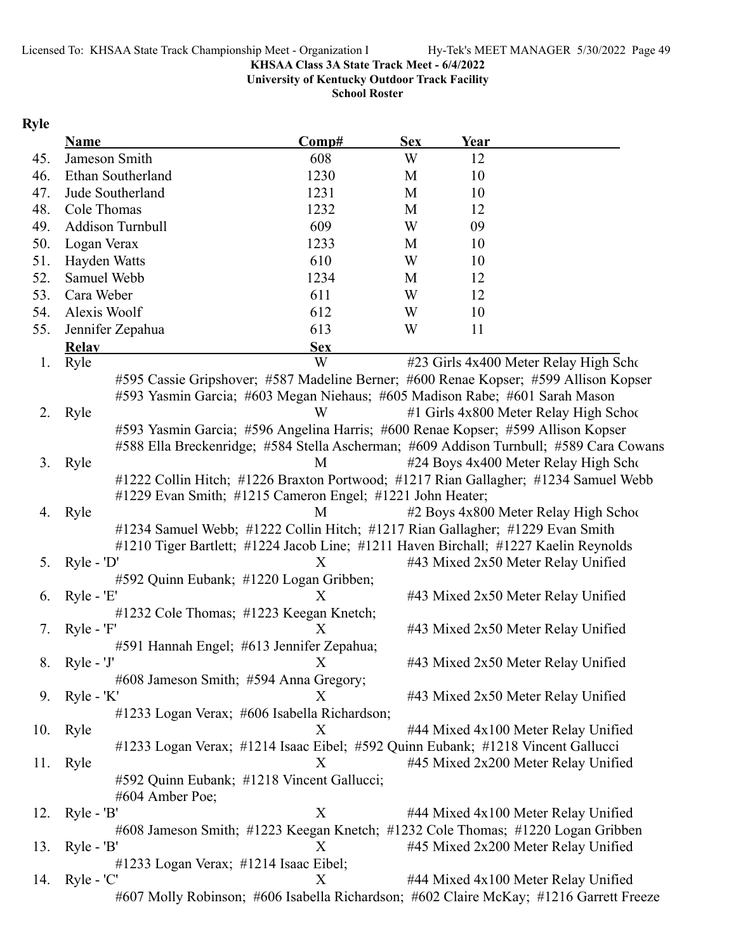**University of Kentucky Outdoor Track Facility**

**School Roster**

# **Ryle**

|     | <b>Name</b>                                                                         | Comp#      | <b>Sex</b> | Year |                                                                                        |
|-----|-------------------------------------------------------------------------------------|------------|------------|------|----------------------------------------------------------------------------------------|
| 45. | Jameson Smith                                                                       | 608        | W          | 12   |                                                                                        |
| 46. | Ethan Southerland                                                                   | 1230       | M          | 10   |                                                                                        |
| 47. | Jude Southerland                                                                    | 1231       | M          | 10   |                                                                                        |
| 48. | Cole Thomas                                                                         | 1232       | M          | 12   |                                                                                        |
| 49. | Addison Turnbull                                                                    | 609        | W          | 09   |                                                                                        |
| 50. | Logan Verax                                                                         | 1233       | M          | 10   |                                                                                        |
| 51. | Hayden Watts                                                                        | 610        | W          | 10   |                                                                                        |
| 52. | Samuel Webb                                                                         | 1234       | M          | 12   |                                                                                        |
| 53. | Cara Weber                                                                          | 611        | W          | 12   |                                                                                        |
| 54. | Alexis Woolf                                                                        | 612        | W          | 10   |                                                                                        |
| 55. | Jennifer Zepahua                                                                    | 613        | W          | 11   |                                                                                        |
|     | <b>Relay</b>                                                                        | <b>Sex</b> |            |      |                                                                                        |
| 1.  | Ryle                                                                                | W          |            |      | #23 Girls 4x400 Meter Relay High Scho                                                  |
|     |                                                                                     |            |            |      | #595 Cassie Gripshover; #587 Madeline Berner; #600 Renae Kopser; #599 Allison Kopser   |
|     | #593 Yasmin Garcia; #603 Megan Niehaus; #605 Madison Rabe; #601 Sarah Mason         |            |            |      |                                                                                        |
| 2.  | Ryle                                                                                | W          |            |      | #1 Girls 4x800 Meter Relay High School                                                 |
|     | #593 Yasmin Garcia; #596 Angelina Harris; #600 Renae Kopser; #599 Allison Kopser    |            |            |      |                                                                                        |
|     |                                                                                     |            |            |      | #588 Ella Breckenridge; #584 Stella Ascherman; #609 Addison Turnbull; #589 Cara Cowans |
| 3.  | Ryle                                                                                | М          |            |      | #24 Boys 4x400 Meter Relay High Scho                                                   |
|     |                                                                                     |            |            |      | #1222 Collin Hitch; #1226 Braxton Portwood; #1217 Rian Gallagher; #1234 Samuel Webb    |
|     | #1229 Evan Smith; #1215 Cameron Engel; #1221 John Heater;                           |            |            |      |                                                                                        |
| 4.  | Ryle                                                                                | M          |            |      | #2 Boys 4x800 Meter Relay High School                                                  |
|     | #1234 Samuel Webb; #1222 Collin Hitch; #1217 Rian Gallagher; #1229 Evan Smith       |            |            |      |                                                                                        |
|     | #1210 Tiger Bartlett; #1224 Jacob Line; #1211 Haven Birchall; #1227 Kaelin Reynolds |            |            |      |                                                                                        |
| 5.  | $Ryle - 'D'$                                                                        | X          |            |      | #43 Mixed 2x50 Meter Relay Unified                                                     |
|     | #592 Quinn Eubank; #1220 Logan Gribben;                                             |            |            |      |                                                                                        |
| 6.  | $Ryle - 'E'$                                                                        | X          |            |      | #43 Mixed 2x50 Meter Relay Unified                                                     |
|     | #1232 Cole Thomas; #1223 Keegan Knetch;                                             |            |            |      |                                                                                        |
| 7.  | $Ryle - 'F'$                                                                        | X          |            |      | #43 Mixed 2x50 Meter Relay Unified                                                     |
|     | #591 Hannah Engel; #613 Jennifer Zepahua;                                           |            |            |      |                                                                                        |
| 8.  | $Ryle - 'J'$                                                                        | Χ          |            |      | #43 Mixed 2x50 Meter Relay Unified                                                     |
|     | #608 Jameson Smith; #594 Anna Gregory;                                              | X          |            |      | #43 Mixed 2x50 Meter Relay Unified                                                     |
| 9.  | Ryle - 'K'<br>#1233 Logan Verax; #606 Isabella Richardson;                          |            |            |      |                                                                                        |
| 10. | Ryle                                                                                | X          |            |      | #44 Mixed 4x100 Meter Relay Unified                                                    |
|     | #1233 Logan Verax; #1214 Isaac Eibel; #592 Quinn Eubank; #1218 Vincent Gallucci     |            |            |      |                                                                                        |
| 11. | Ryle                                                                                | X          |            |      | #45 Mixed 2x200 Meter Relay Unified                                                    |
|     | #592 Quinn Eubank; #1218 Vincent Gallucci;                                          |            |            |      |                                                                                        |
|     | #604 Amber Poe;                                                                     |            |            |      |                                                                                        |
| 12. | $Ryle - 'B'$                                                                        | X          |            |      | #44 Mixed 4x100 Meter Relay Unified                                                    |
|     | #608 Jameson Smith; #1223 Keegan Knetch; #1232 Cole Thomas; #1220 Logan Gribben     |            |            |      |                                                                                        |
| 13. | $Ryle - 'B'$                                                                        | X          |            |      | #45 Mixed 2x200 Meter Relay Unified                                                    |
|     | $\#1233$ Logan Verax; $\#1214$ Isaac Eibel;                                         |            |            |      |                                                                                        |
| 14. | $Ryle - 'C'$                                                                        | X          |            |      | #44 Mixed 4x100 Meter Relay Unified                                                    |
|     |                                                                                     |            |            |      | #607 Molly Robinson; #606 Isabella Richardson; #602 Claire McKay; #1216 Garrett Freeze |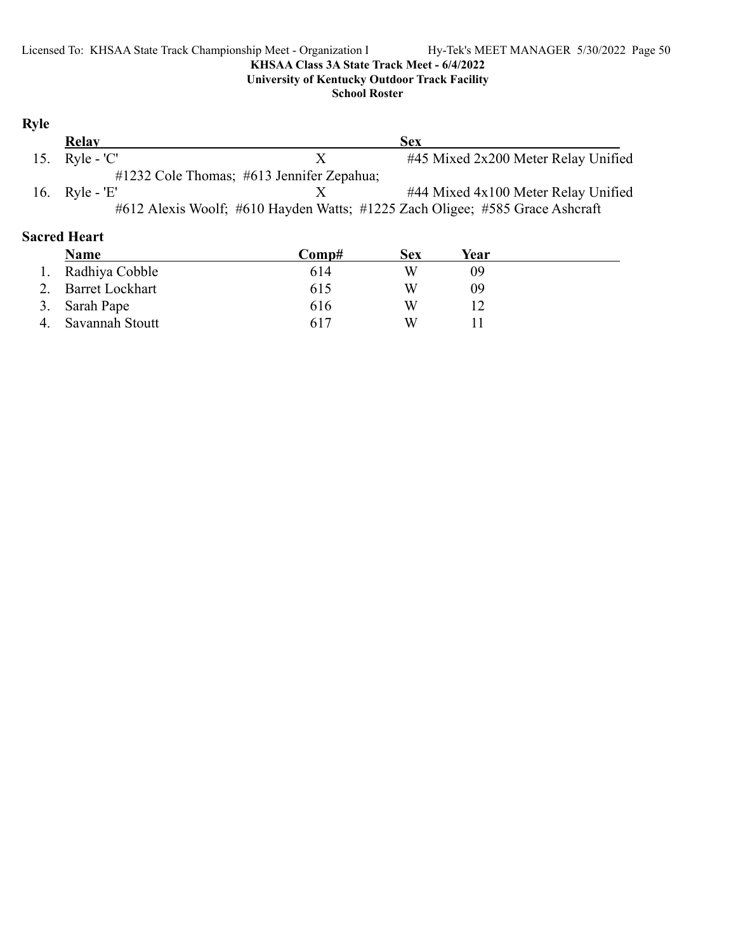### **School Roster**

# **Ryle**

| Relay            |                                           | <b>Sex</b>                                                                   |
|------------------|-------------------------------------------|------------------------------------------------------------------------------|
| 15. $Ryle - 'C'$ |                                           | #45 Mixed 2x200 Meter Relay Unified                                          |
|                  | #1232 Cole Thomas; #613 Jennifer Zepahua; |                                                                              |
| 16. Ryle - 'E'   |                                           | #44 Mixed 4x100 Meter Relay Unified                                          |
|                  |                                           | #612 Alexis Woolf; #610 Hayden Watts; #1225 Zach Oligee; #585 Grace Ashcraft |

# **Sacred Heart**

| Name               | Comp# | Sex | Year |  |
|--------------------|-------|-----|------|--|
| 1. Radhiya Cobble  | 614   | W   | 09   |  |
| 2. Barret Lockhart | 615   | W   | 09   |  |
| 3. Sarah Pape      | 616   | W   |      |  |
| Savannah Stoutt    | 617   | W   |      |  |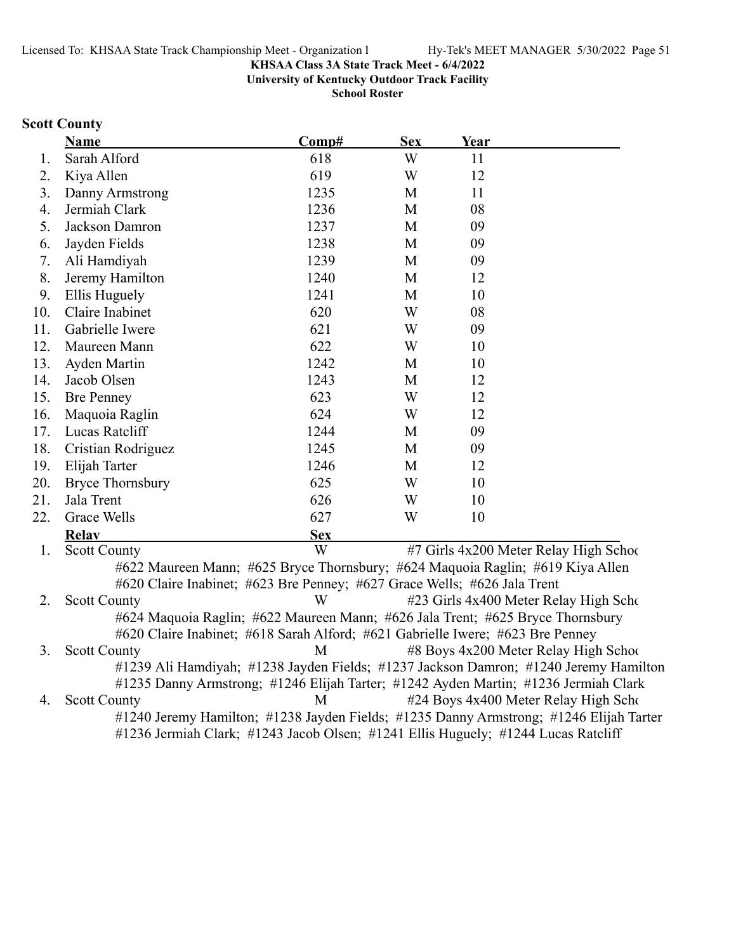**University of Kentucky Outdoor Track Facility**

**School Roster**

### **Scott County**

|     | <b>Name</b>             | Comp#      | <b>Sex</b> | Year |                                        |
|-----|-------------------------|------------|------------|------|----------------------------------------|
| 1.  | Sarah Alford            | 618        | W          | 11   |                                        |
| 2.  | Kiya Allen              | 619        | W          | 12   |                                        |
| 3.  | Danny Armstrong         | 1235       | M          | 11   |                                        |
| 4.  | Jermiah Clark           | 1236       | M          | 08   |                                        |
| 5.  | Jackson Damron          | 1237       | M          | 09   |                                        |
| 6.  | Jayden Fields           | 1238       | M          | 09   |                                        |
| 7.  | Ali Hamdiyah            | 1239       | M          | 09   |                                        |
| 8.  | Jeremy Hamilton         | 1240       | M          | 12   |                                        |
| 9.  | Ellis Huguely           | 1241       | M          | 10   |                                        |
| 10. | Claire Inabinet         | 620        | W          | 08   |                                        |
| 11. | Gabrielle Iwere         | 621        | W          | 09   |                                        |
| 12. | Maureen Mann            | 622        | W          | 10   |                                        |
| 13. | Ayden Martin            | 1242       | M          | 10   |                                        |
| 14. | Jacob Olsen             | 1243       | M          | 12   |                                        |
| 15. | <b>Bre Penney</b>       | 623        | W          | 12   |                                        |
| 16. | Maquoia Raglin          | 624        | W          | 12   |                                        |
| 17. | Lucas Ratcliff          | 1244       | M          | 09   |                                        |
| 18. | Cristian Rodriguez      | 1245       | M          | 09   |                                        |
| 19. | Elijah Tarter           | 1246       | M          | 12   |                                        |
| 20. | <b>Bryce Thornsbury</b> | 625        | W          | 10   |                                        |
| 21. | Jala Trent              | 626        | W          | 10   |                                        |
| 22. | Grace Wells             | 627        | W          | 10   |                                        |
|     | <b>Relav</b>            | <b>Sex</b> |            |      |                                        |
| 1.  | <b>Scott County</b>     | W          |            |      | #7 Girls 4x200 Meter Relay High School |

#622 Maureen Mann; #625 Bryce Thornsbury; #624 Maquoia Raglin; #619 Kiya Allen #620 Claire Inabinet; #623 Bre Penney; #627 Grace Wells; #626 Jala Trent 2. Scott County W #23 Girls 4x400 Meter Relay High Scho #624 Maquoia Raglin; #622 Maureen Mann; #626 Jala Trent; #625 Bryce Thornsbury #620 Claire Inabinet; #618 Sarah Alford; #621 Gabrielle Iwere; #623 Bre Penney 3. Scott County M #8 Boys 4x200 Meter Relay High School

#1239 Ali Hamdiyah; #1238 Jayden Fields; #1237 Jackson Damron; #1240 Jeremy Hamilton #1235 Danny Armstrong; #1246 Elijah Tarter; #1242 Ayden Martin; #1236 Jermiah Clark 4. Scott County M #24 Boys 4x400 Meter Relay High School #1240 Jeremy Hamilton; #1238 Jayden Fields; #1235 Danny Armstrong; #1246 Elijah Tarter #1236 Jermiah Clark; #1243 Jacob Olsen; #1241 Ellis Huguely; #1244 Lucas Ratcliff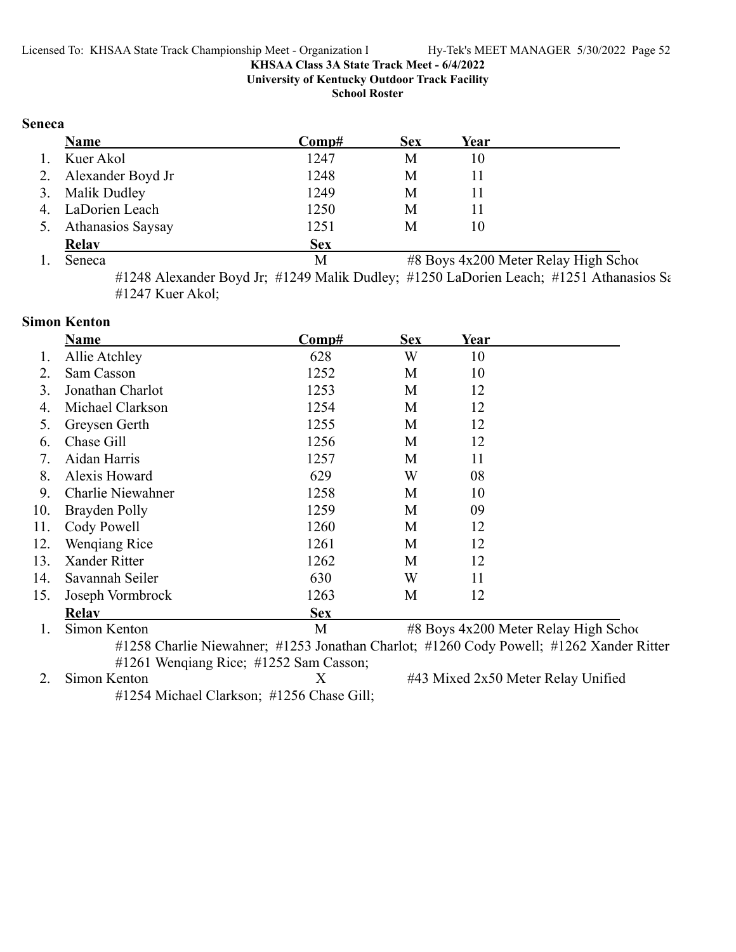**University of Kentucky Outdoor Track Facility**

**School Roster**

### **Seneca**

|    | <b>Name</b>              | Comp#      | <b>Sex</b> | Year |                                       |
|----|--------------------------|------------|------------|------|---------------------------------------|
| 1. | Kuer Akol                | 1247       | М          | 10   |                                       |
|    | 2. Alexander Boyd Jr     | 1248       | М          | 11   |                                       |
|    | 3. Malik Dudley          | 1249       | М          | 11   |                                       |
|    | 4. LaDorien Leach        | 1250       | М          | 11   |                                       |
| 5. | <b>Athanasios Saysay</b> | 1251       | M          | 10   |                                       |
|    | Relay                    | <b>Sex</b> |            |      |                                       |
|    | Seneca                   | M          |            |      | #8 Boys 4x200 Meter Relay High School |

#1248 Alexander Boyd Jr; #1249 Malik Dudley; #1250 LaDorien Leach; #1251 Athanasios Sa #1247 Kuer Akol;

### **Simon Kenton**

|     | <b>Name</b>                                  | Comp#      | <b>Sex</b> | Year |                                                                                         |  |  |
|-----|----------------------------------------------|------------|------------|------|-----------------------------------------------------------------------------------------|--|--|
|     | Allie Atchley                                | 628        | W          | 10   |                                                                                         |  |  |
| 2.  | Sam Casson                                   | 1252       | M          | 10   |                                                                                         |  |  |
| 3.  | Jonathan Charlot                             | 1253       | M          | 12   |                                                                                         |  |  |
| 4.  | Michael Clarkson                             | 1254       | M          | 12   |                                                                                         |  |  |
| 5.  | Greysen Gerth                                | 1255       | M          | 12   |                                                                                         |  |  |
| 6.  | Chase Gill                                   | 1256       | M          | 12   |                                                                                         |  |  |
| 7.  | Aidan Harris                                 | 1257       | M          | 11   |                                                                                         |  |  |
| 8.  | Alexis Howard                                | 629        | W          | 08   |                                                                                         |  |  |
| 9.  | Charlie Niewahner                            | 1258       | M          | 10   |                                                                                         |  |  |
| 10. | Brayden Polly                                | 1259       | M          | 09   |                                                                                         |  |  |
| 11. | Cody Powell                                  | 1260       | M          | 12   |                                                                                         |  |  |
| 12. | Wengiang Rice                                | 1261       | M          | 12   |                                                                                         |  |  |
| 13. | Xander Ritter                                | 1262       | M          | 12   |                                                                                         |  |  |
| 14. | Savannah Seiler                              | 630        | W          | 11   |                                                                                         |  |  |
| 15. | Joseph Vormbrock                             | 1263       | M          | 12   |                                                                                         |  |  |
|     | <b>Relav</b>                                 | <b>Sex</b> |            |      |                                                                                         |  |  |
|     | Simon Kenton                                 | M          |            |      | #8 Boys 4x200 Meter Relay High School                                                   |  |  |
|     |                                              |            |            |      | #1258 Charlie Niewahner; #1253 Jonathan Charlot; #1260 Cody Powell; #1262 Xander Ritter |  |  |
|     | $\#1261$ Wengiang Rice; $\#1252$ Sam Casson; |            |            |      |                                                                                         |  |  |

2. Simon Kenton X #43 Mixed 2x50 Meter Relay Unified #1254 Michael Clarkson; #1256 Chase Gill;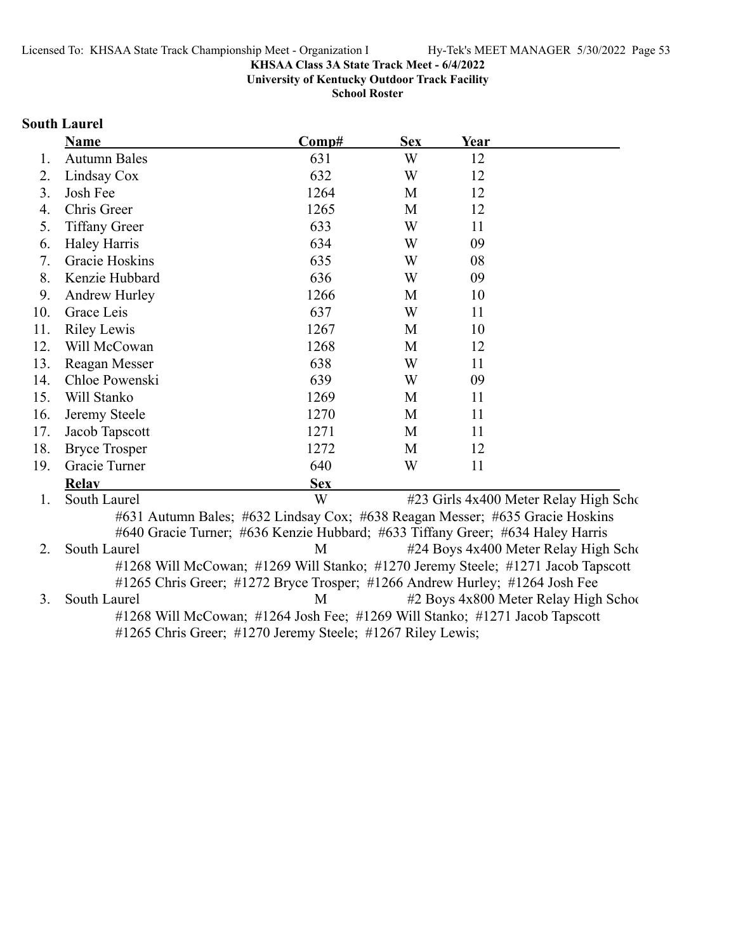**University of Kentucky Outdoor Track Facility**

**School Roster**

# **South Laurel**

|     | <b>Name</b>                                                                      | Comp#      | <b>Sex</b> | Year |                                       |
|-----|----------------------------------------------------------------------------------|------------|------------|------|---------------------------------------|
| 1.  | <b>Autumn Bales</b>                                                              | 631        | W          | 12   |                                       |
| 2.  | Lindsay Cox                                                                      | 632        | W          | 12   |                                       |
| 3.  | Josh Fee                                                                         | 1264       | M          | 12   |                                       |
| 4.  | Chris Greer                                                                      | 1265       | M          | 12   |                                       |
| 5.  | <b>Tiffany Greer</b>                                                             | 633        | W          | 11   |                                       |
| 6.  | <b>Haley Harris</b>                                                              | 634        | W          | 09   |                                       |
| 7.  | Gracie Hoskins                                                                   | 635        | W          | 08   |                                       |
| 8.  | Kenzie Hubbard                                                                   | 636        | W          | 09   |                                       |
| 9.  | Andrew Hurley                                                                    | 1266       | M          | 10   |                                       |
| 10. | Grace Leis                                                                       | 637        | W          | 11   |                                       |
| 11. | <b>Riley Lewis</b>                                                               | 1267       | M          | 10   |                                       |
| 12. | Will McCowan                                                                     | 1268       | M          | 12   |                                       |
| 13. | Reagan Messer                                                                    | 638        | W          | 11   |                                       |
| 14. | Chloe Powenski                                                                   | 639        | W          | 09   |                                       |
| 15. | Will Stanko                                                                      | 1269       | M          | 11   |                                       |
| 16. | Jeremy Steele                                                                    | 1270       | M          | 11   |                                       |
| 17. | Jacob Tapscott                                                                   | 1271       | M          | 11   |                                       |
| 18. | <b>Bryce Trosper</b>                                                             | 1272       | M          | 12   |                                       |
| 19. | Gracie Turner                                                                    | 640        | W          | 11   |                                       |
|     | <b>Relay</b>                                                                     | <b>Sex</b> |            |      |                                       |
| 1.  | South Laurel                                                                     | W          |            |      | #23 Girls 4x400 Meter Relay High Scho |
|     | #631 Autumn Bales; #632 Lindsay Cox; #638 Reagan Messer; #635 Gracie Hoskins     |            |            |      |                                       |
|     | #640 Gracie Turner; #636 Kenzie Hubbard; #633 Tiffany Greer; #634 Haley Harris   |            |            |      |                                       |
| 2.  | South Laurel                                                                     | M          |            |      | #24 Boys 4x400 Meter Relay High Scho  |
|     | #1268 Will McCowan; #1269 Will Stanko; #1270 Jeremy Steele; #1271 Jacob Tapscott |            |            |      |                                       |
|     | #1265 Chris Greer; #1272 Bryce Trosper; #1266 Andrew Hurley; #1264 Josh Fee      |            |            |      |                                       |
| 3.  | South Laurel                                                                     | M          |            |      | #2 Boys 4x800 Meter Relay High School |
|     | #1268 Will McCowan; #1264 Josh Fee; #1269 Will Stanko; #1271 Jacob Tapscott      |            |            |      |                                       |
|     | #1265 Chris Greer; #1270 Jeremy Steele; #1267 Riley Lewis;                       |            |            |      |                                       |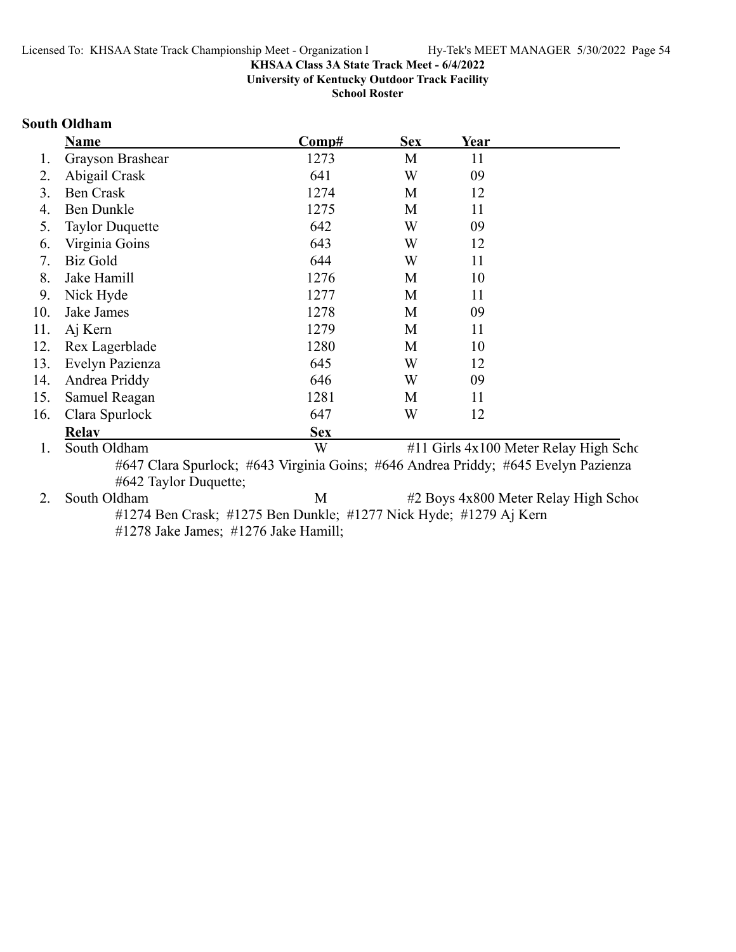**University of Kentucky Outdoor Track Facility**

**School Roster**

### **South Oldham**

|     | <b>Name</b>            | Comp#                                                                              | <b>Sex</b> | Year |                                       |
|-----|------------------------|------------------------------------------------------------------------------------|------------|------|---------------------------------------|
| 1.  | Grayson Brashear       | 1273                                                                               | M          | 11   |                                       |
| 2.  | Abigail Crask          | 641                                                                                | W          | 09   |                                       |
| 3.  | <b>Ben Crask</b>       | 1274                                                                               | M          | 12   |                                       |
| 4.  | <b>Ben Dunkle</b>      | 1275                                                                               | M          | 11   |                                       |
| 5.  | <b>Taylor Duquette</b> | 642                                                                                | W          | 09   |                                       |
| 6.  | Virginia Goins         | 643                                                                                | W          | 12   |                                       |
| 7.  | <b>Biz Gold</b>        | 644                                                                                | W          | 11   |                                       |
| 8.  | Jake Hamill            | 1276                                                                               | M          | 10   |                                       |
| 9.  | Nick Hyde              | 1277                                                                               | M          | 11   |                                       |
| 10. | Jake James             | 1278                                                                               | M          | 09   |                                       |
| 11. | Aj Kern                | 1279                                                                               | M          | 11   |                                       |
| 12. | Rex Lagerblade         | 1280                                                                               | M          | 10   |                                       |
| 13. | Evelyn Pazienza        | 645                                                                                | W          | 12   |                                       |
| 14. | Andrea Priddy          | 646                                                                                | W          | 09   |                                       |
| 15. | Samuel Reagan          | 1281                                                                               | M          | 11   |                                       |
| 16. | Clara Spurlock         | 647                                                                                | W          | 12   |                                       |
|     | <b>Relav</b>           | <b>Sex</b>                                                                         |            |      |                                       |
| 1.  | South Oldham           | W                                                                                  |            |      | #11 Girls 4x100 Meter Relay High Scho |
|     |                        | #647 Clara Spurlock; #643 Virginia Goins; #646 Andrea Priddy; #645 Evelyn Pazienza |            |      |                                       |
|     | #642 Taylor Duquette;  |                                                                                    |            |      |                                       |

2. South Oldham M #2 Boys 4x800 Meter Relay High School #1274 Ben Crask; #1275 Ben Dunkle; #1277 Nick Hyde; #1279 Aj Kern #1278 Jake James; #1276 Jake Hamill;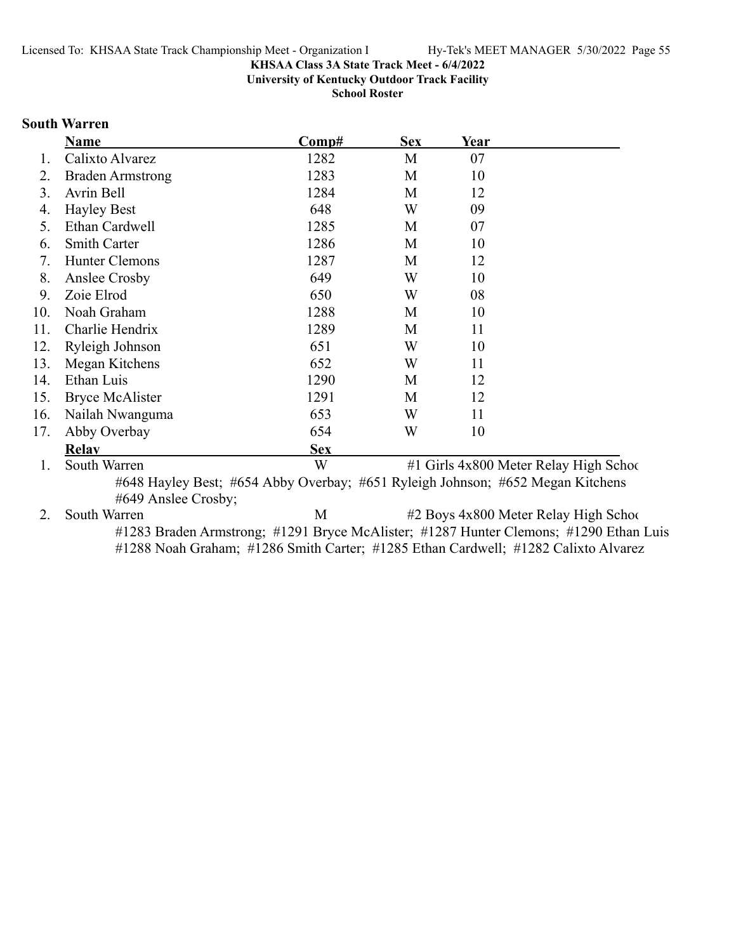**University of Kentucky Outdoor Track Facility**

**School Roster**

# **South Warren**

|     | Name                    | $\bf Comp\#$ | <b>Sex</b> | Year |                                        |
|-----|-------------------------|--------------|------------|------|----------------------------------------|
| 1.  | Calixto Alvarez         | 1282         | M          | 07   |                                        |
| 2.  | <b>Braden Armstrong</b> | 1283         | M          | 10   |                                        |
| 3.  | Avrin Bell              | 1284         | M          | 12   |                                        |
| 4.  | <b>Hayley Best</b>      | 648          | W          | 09   |                                        |
| 5.  | Ethan Cardwell          | 1285         | M          | 07   |                                        |
| 6.  | <b>Smith Carter</b>     | 1286         | M          | 10   |                                        |
| 7.  | Hunter Clemons          | 1287         | M          | 12   |                                        |
| 8.  | Anslee Crosby           | 649          | W          | 10   |                                        |
| 9.  | Zoie Elrod              | 650          | W          | 08   |                                        |
| 10. | Noah Graham             | 1288         | M          | 10   |                                        |
| 11. | Charlie Hendrix         | 1289         | M          | 11   |                                        |
| 12. | Ryleigh Johnson         | 651          | W          | 10   |                                        |
| 13. | Megan Kitchens          | 652          | W          | 11   |                                        |
| 14. | Ethan Luis              | 1290         | M          | 12   |                                        |
| 15. | Bryce McAlister         | 1291         | M          | 12   |                                        |
| 16. | Nailah Nwanguma         | 653          | W          | 11   |                                        |
| 17. | Abby Overbay            | 654          | W          | 10   |                                        |
|     | <b>Relav</b>            | <b>Sex</b>   |            |      |                                        |
|     | South Warren            | W            |            |      | #1 Girls 4x800 Meter Relay High School |

#648 Hayley Best; #654 Abby Overbay; #651 Ryleigh Johnson; #652 Megan Kitchens #649 Anslee Crosby;

2. South Warren M #2 Boys 4x800 Meter Relay High School #1283 Braden Armstrong; #1291 Bryce McAlister; #1287 Hunter Clemons; #1290 Ethan Luis #1288 Noah Graham; #1286 Smith Carter; #1285 Ethan Cardwell; #1282 Calixto Alvarez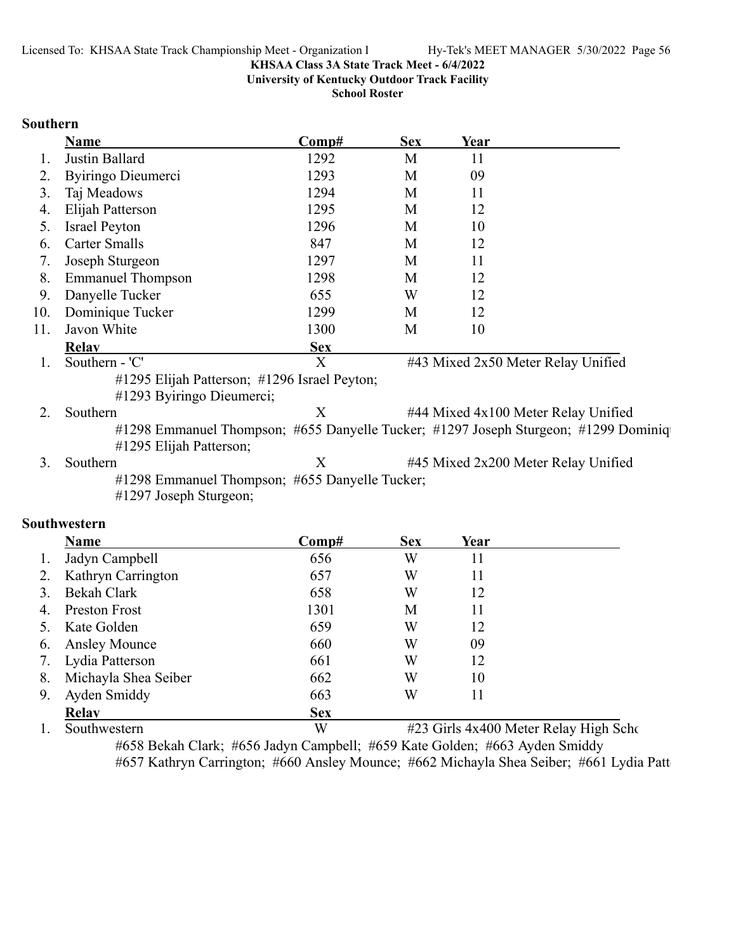**University of Kentucky Outdoor Track Facility**

**School Roster**

### **Southern**

|     | <b>Name</b>                                                                                                    | Comp#        | <b>Sex</b>                | Year                                |  |
|-----|----------------------------------------------------------------------------------------------------------------|--------------|---------------------------|-------------------------------------|--|
| 1.  | Justin Ballard                                                                                                 | 1292         | M                         | 11                                  |  |
| 2.  | Byiringo Dieumerci                                                                                             | 1293         | M                         | 09                                  |  |
| 3.  | Taj Meadows                                                                                                    | 1294         | M                         | 11                                  |  |
| 4.  | Elijah Patterson                                                                                               | 1295         | M                         | 12                                  |  |
| 5.  | <b>Israel Peyton</b>                                                                                           | 1296         | M                         | 10                                  |  |
| 6.  | <b>Carter Smalls</b>                                                                                           | 847          | M                         | 12                                  |  |
| 7.  | Joseph Sturgeon                                                                                                | 1297         | M                         | 11                                  |  |
| 8.  | <b>Emmanuel Thompson</b>                                                                                       | 1298         | M                         | 12                                  |  |
| 9.  | Danyelle Tucker                                                                                                | 655          | W                         | 12                                  |  |
| 10. | Dominique Tucker                                                                                               | 1299         | M                         | 12                                  |  |
| 11. | Javon White                                                                                                    | 1300         | M                         | 10                                  |  |
|     | <b>Relay</b>                                                                                                   | <b>Sex</b>   |                           |                                     |  |
| 1.  | Southern - 'C'                                                                                                 | $\mathbf{X}$ |                           | #43 Mixed 2x50 Meter Relay Unified  |  |
|     | #1295 Elijah Patterson; #1296 Israel Peyton;<br>#1293 Byiringo Dieumerci;                                      |              |                           |                                     |  |
| 2.  | Southern                                                                                                       | X            |                           | #44 Mixed 4x100 Meter Relay Unified |  |
|     | #1298 Emmanuel Thompson; #655 Danyelle Tucker; #1297 Joseph Sturgeon; #1299 Dominiq<br>#1295 Elijah Patterson; |              |                           |                                     |  |
| 3.  | Southern                                                                                                       | X            |                           | #45 Mixed 2x200 Meter Relay Unified |  |
|     | #1298 Emmanuel Thompson; #655 Danyelle Tucker;<br>#1297 Joseph Sturgeon;                                       |              |                           |                                     |  |
|     | outhwestern                                                                                                    |              |                           |                                     |  |
|     | Name                                                                                                           | $Comn$ #     | $\mathbf{C}_{\mathbf{A}}$ | $V_{\alpha\alpha\mu}$               |  |

# **So**

|    | <b>Name</b>          | Comp#      | <b>Sex</b> | Year |  |
|----|----------------------|------------|------------|------|--|
|    | Jadyn Campbell       | 656        | W          | 11   |  |
| 2. | Kathryn Carrington   | 657        | W          | 11   |  |
|    | Bekah Clark          | 658        | W          | 12   |  |
| 4. | Preston Frost        | 1301       | М          | 11   |  |
|    | Kate Golden          | 659        | W          | 12   |  |
| 6. | <b>Ansley Mounce</b> | 660        | W          | 09   |  |
| 7. | Lydia Patterson      | 661        | W          | 12   |  |
| 8. | Michayla Shea Seiber | 662        | W          | 10   |  |
| 9. | Ayden Smiddy         | 663        | W          | 11   |  |
|    | <b>Relav</b>         | <b>Sex</b> |            |      |  |

1. Southwestern W #23 Girls 4x400 Meter Relay High Scho #658 Bekah Clark; #656 Jadyn Campbell; #659 Kate Golden; #663 Ayden Smiddy #657 Kathryn Carrington; #660 Ansley Mounce; #662 Michayla Shea Seiber; #661 Lydia Patt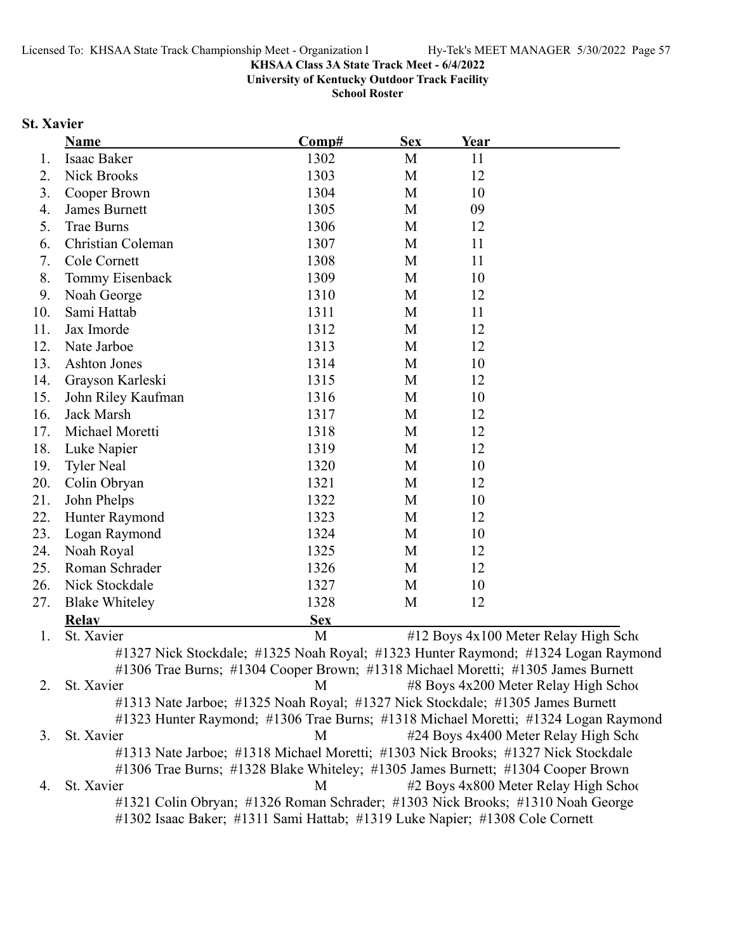**University of Kentucky Outdoor Track Facility**

**School Roster**

# **St. Xavier**

|     | <b>Name</b>                                                                       | Comp#      | <b>Sex</b> | Year |                                                                                    |
|-----|-----------------------------------------------------------------------------------|------------|------------|------|------------------------------------------------------------------------------------|
| 1.  | Isaac Baker                                                                       | 1302       | M          | 11   |                                                                                    |
| 2.  | <b>Nick Brooks</b>                                                                | 1303       | M          | 12   |                                                                                    |
| 3.  | Cooper Brown                                                                      | 1304       | M          | 10   |                                                                                    |
| 4.  | James Burnett                                                                     | 1305       | M          | 09   |                                                                                    |
| 5.  | <b>Trae Burns</b>                                                                 | 1306       | M          | 12   |                                                                                    |
| 6.  | Christian Coleman                                                                 | 1307       | M          | 11   |                                                                                    |
| 7.  | Cole Cornett                                                                      | 1308       | M          | 11   |                                                                                    |
| 8.  | Tommy Eisenback                                                                   | 1309       | M          | 10   |                                                                                    |
| 9.  | Noah George                                                                       | 1310       | M          | 12   |                                                                                    |
| 10. | Sami Hattab                                                                       | 1311       | M          | 11   |                                                                                    |
| 11. | Jax Imorde                                                                        | 1312       | M          | 12   |                                                                                    |
| 12. | Nate Jarboe                                                                       | 1313       | M          | 12   |                                                                                    |
| 13. | Ashton Jones                                                                      | 1314       | M          | 10   |                                                                                    |
| 14. | Grayson Karleski                                                                  | 1315       | M          | 12   |                                                                                    |
| 15. | John Riley Kaufman                                                                | 1316       | M          | 10   |                                                                                    |
| 16. | Jack Marsh                                                                        | 1317       | M          | 12   |                                                                                    |
| 17. | Michael Moretti                                                                   | 1318       | M          | 12   |                                                                                    |
| 18. | Luke Napier                                                                       | 1319       | M          | 12   |                                                                                    |
| 19. | <b>Tyler Neal</b>                                                                 | 1320       | M          | 10   |                                                                                    |
| 20. | Colin Obryan                                                                      | 1321       | M          | 12   |                                                                                    |
| 21. | John Phelps                                                                       | 1322       | M          | 10   |                                                                                    |
| 22. | Hunter Raymond                                                                    | 1323       | M          | 12   |                                                                                    |
| 23. | Logan Raymond                                                                     | 1324       | M          | 10   |                                                                                    |
| 24. | Noah Royal                                                                        | 1325       | M          | 12   |                                                                                    |
| 25. | Roman Schrader                                                                    | 1326       | M          | 12   |                                                                                    |
| 26. | Nick Stockdale                                                                    | 1327       | M          | 10   |                                                                                    |
| 27. | <b>Blake Whiteley</b>                                                             | 1328       | M          | 12   |                                                                                    |
|     | <b>Relay</b>                                                                      | <b>Sex</b> |            |      |                                                                                    |
| 1.  | St. Xavier                                                                        | M          |            |      | #12 Boys 4x100 Meter Relay High Scho                                               |
|     |                                                                                   |            |            |      | #1327 Nick Stockdale; #1325 Noah Royal; #1323 Hunter Raymond; #1324 Logan Raymond  |
|     | #1306 Trae Burns; #1304 Cooper Brown; #1318 Michael Moretti; #1305 James Burnett  |            |            |      |                                                                                    |
| 2.  | St. Xavier                                                                        | M          |            |      | #8 Boys 4x200 Meter Relay High School                                              |
|     | #1313 Nate Jarboe; #1325 Noah Royal; #1327 Nick Stockdale; #1305 James Burnett    |            |            |      |                                                                                    |
|     |                                                                                   |            |            |      | #1323 Hunter Raymond; #1306 Trae Burns; #1318 Michael Moretti; #1324 Logan Raymond |
| 3.  | St. Xavier                                                                        | M          |            |      | #24 Boys 4x400 Meter Relay High Scho                                               |
|     | #1313 Nate Jarboe; #1318 Michael Moretti; #1303 Nick Brooks; #1327 Nick Stockdale |            |            |      |                                                                                    |
|     | #1306 Trae Burns; #1328 Blake Whiteley; #1305 James Burnett; #1304 Cooper Brown   |            |            |      |                                                                                    |
| 4.  | St. Xavier                                                                        | М          |            |      | #2 Boys 4x800 Meter Relay High School                                              |
|     | #1321 Colin Obryan; #1326 Roman Schrader; #1303 Nick Brooks; #1310 Noah George    |            |            |      |                                                                                    |
|     | #1302 Isaac Baker; #1311 Sami Hattab; #1319 Luke Napier; #1308 Cole Cornett       |            |            |      |                                                                                    |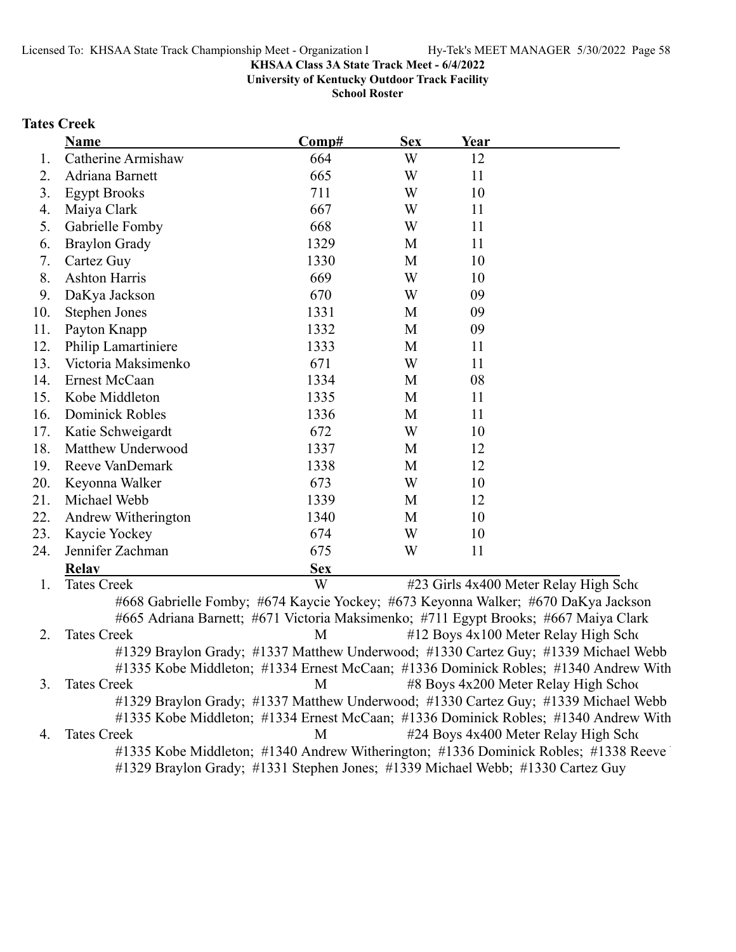**University of Kentucky Outdoor Track Facility**

**School Roster**

### **Tates Creek**

|     | Name                                                                                | Comp#      | <b>Sex</b>  | Year |                                                                                     |
|-----|-------------------------------------------------------------------------------------|------------|-------------|------|-------------------------------------------------------------------------------------|
| 1.  | Catherine Armishaw                                                                  | 664        | W           | 12   |                                                                                     |
| 2.  | Adriana Barnett                                                                     | 665        | W           | 11   |                                                                                     |
| 3.  | <b>Egypt Brooks</b>                                                                 | 711        | W           | 10   |                                                                                     |
| 4.  | Maiya Clark                                                                         | 667        | W           | 11   |                                                                                     |
| 5.  | Gabrielle Fomby                                                                     | 668        | W           | 11   |                                                                                     |
| 6.  | <b>Braylon Grady</b>                                                                | 1329       | M           | 11   |                                                                                     |
| 7.  | Cartez Guy                                                                          | 1330       | M           | 10   |                                                                                     |
| 8.  | <b>Ashton Harris</b>                                                                | 669        | W           | 10   |                                                                                     |
| 9.  | DaKya Jackson                                                                       | 670        | W           | 09   |                                                                                     |
| 10. | <b>Stephen Jones</b>                                                                | 1331       | M           | 09   |                                                                                     |
| 11. | Payton Knapp                                                                        | 1332       | M           | 09   |                                                                                     |
| 12. | Philip Lamartiniere                                                                 | 1333       | M           | 11   |                                                                                     |
| 13. | Victoria Maksimenko                                                                 | 671        | W           | 11   |                                                                                     |
| 14. | Ernest McCaan                                                                       | 1334       | M           | 08   |                                                                                     |
| 15. | Kobe Middleton                                                                      | 1335       | M           | 11   |                                                                                     |
| 16. | <b>Dominick Robles</b>                                                              | 1336       | M           | 11   |                                                                                     |
| 17. | Katie Schweigardt                                                                   | 672        | W           | 10   |                                                                                     |
| 18. | Matthew Underwood                                                                   | 1337       | M           | 12   |                                                                                     |
| 19. | Reeve VanDemark                                                                     | 1338       | M           | 12   |                                                                                     |
| 20. | Keyonna Walker                                                                      | 673        | W           | 10   |                                                                                     |
| 21. | Michael Webb                                                                        | 1339       | $\mathbf M$ | 12   |                                                                                     |
| 22. | Andrew Witherington                                                                 | 1340       | $\mathbf M$ | 10   |                                                                                     |
| 23. | Kaycie Yockey                                                                       | 674        | W           | 10   |                                                                                     |
| 24. | Jennifer Zachman                                                                    | 675        | W           | 11   |                                                                                     |
|     | <b>Relav</b>                                                                        | <b>Sex</b> |             |      |                                                                                     |
| 1.  | <b>Tates Creek</b>                                                                  | W          |             |      | #23 Girls 4x400 Meter Relay High Scho                                               |
|     | #668 Gabrielle Fomby; #674 Kaycie Yockey; #673 Keyonna Walker; #670 DaKya Jackson   |            |             |      |                                                                                     |
|     | #665 Adriana Barnett; #671 Victoria Maksimenko; #711 Egypt Brooks; #667 Maiya Clark |            |             |      |                                                                                     |
| 2.  | <b>Tates Creek</b>                                                                  | M          |             |      | #12 Boys 4x100 Meter Relay High Scho                                                |
|     |                                                                                     |            |             |      | #1329 Braylon Grady; #1337 Matthew Underwood; #1330 Cartez Guy; #1339 Michael Webb  |
|     |                                                                                     |            |             |      | #1335 Kobe Middleton; #1334 Ernest McCaan; #1336 Dominick Robles; #1340 Andrew With |
| 3.  | <b>Tates Creek</b>                                                                  | M          |             |      | #8 Boys 4x200 Meter Relay High School                                               |
|     |                                                                                     |            |             |      | #1329 Braylon Grady; #1337 Matthew Underwood; #1330 Cartez Guy; #1339 Michael Webb  |
|     |                                                                                     |            |             |      | #1335 Kobe Middleton; #1334 Ernest McCaan; #1336 Dominick Robles; #1340 Andrew With |
| 4.  | <b>Tates Creek</b>                                                                  | M          |             |      | #24 Boys 4x400 Meter Relay High Scho                                                |
|     |                                                                                     |            |             |      | #1335 Kobe Middleton; #1340 Andrew Witherington; #1336 Dominick Robles; #1338 Reeve |

#1329 Braylon Grady; #1331 Stephen Jones; #1339 Michael Webb; #1330 Cartez Guy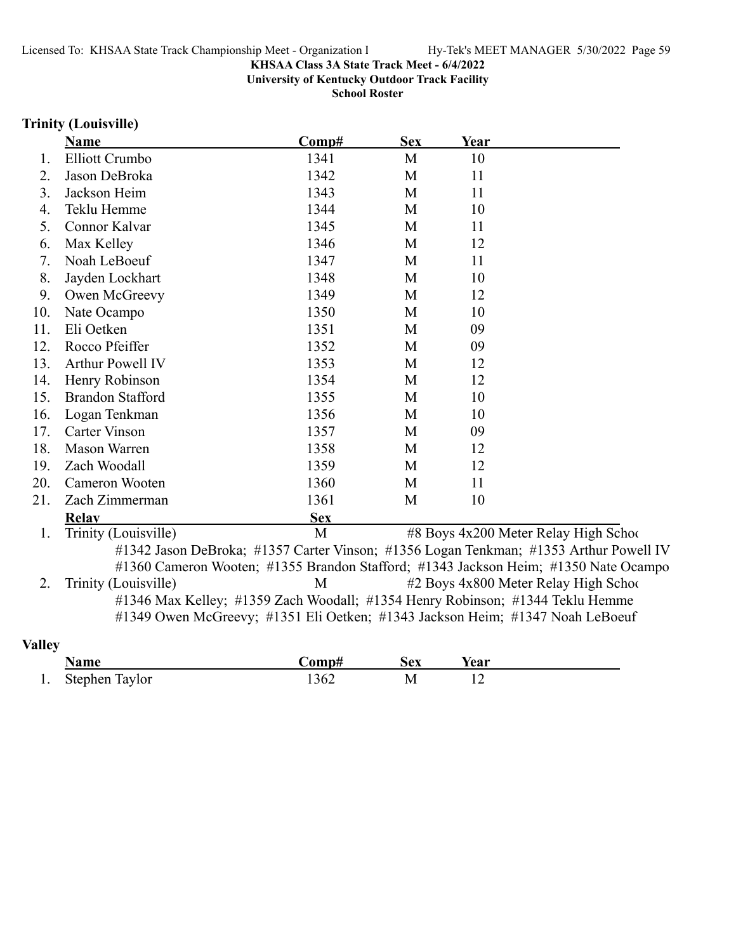**University of Kentucky Outdoor Track Facility**

**School Roster**

# **Trinity (Louisville)**

|     | <b>Name</b>                                                                                                                                                    | Comp#      | <b>Sex</b> | Year |                                                                                                                                                                              |
|-----|----------------------------------------------------------------------------------------------------------------------------------------------------------------|------------|------------|------|------------------------------------------------------------------------------------------------------------------------------------------------------------------------------|
| 1.  | Elliott Crumbo                                                                                                                                                 | 1341       | M          | 10   |                                                                                                                                                                              |
| 2.  | Jason DeBroka                                                                                                                                                  | 1342       | M          | 11   |                                                                                                                                                                              |
| 3.  | Jackson Heim                                                                                                                                                   | 1343       | M          | 11   |                                                                                                                                                                              |
| 4.  | Teklu Hemme                                                                                                                                                    | 1344       | M          | 10   |                                                                                                                                                                              |
| 5.  | Connor Kalvar                                                                                                                                                  | 1345       | M          | 11   |                                                                                                                                                                              |
| 6.  | Max Kelley                                                                                                                                                     | 1346       | M          | 12   |                                                                                                                                                                              |
| 7.  | Noah LeBoeuf                                                                                                                                                   | 1347       | M          | 11   |                                                                                                                                                                              |
| 8.  | Jayden Lockhart                                                                                                                                                | 1348       | M          | 10   |                                                                                                                                                                              |
| 9.  | Owen McGreevy                                                                                                                                                  | 1349       | M          | 12   |                                                                                                                                                                              |
| 10. | Nate Ocampo                                                                                                                                                    | 1350       | M          | 10   |                                                                                                                                                                              |
| 11. | Eli Oetken                                                                                                                                                     | 1351       | M          | 09   |                                                                                                                                                                              |
| 12. | Rocco Pfeiffer                                                                                                                                                 | 1352       | M          | 09   |                                                                                                                                                                              |
| 13. | Arthur Powell IV                                                                                                                                               | 1353       | M          | 12   |                                                                                                                                                                              |
| 14. | Henry Robinson                                                                                                                                                 | 1354       | M          | 12   |                                                                                                                                                                              |
| 15. | <b>Brandon Stafford</b>                                                                                                                                        | 1355       | M          | 10   |                                                                                                                                                                              |
| 16. | Logan Tenkman                                                                                                                                                  | 1356       | M          | 10   |                                                                                                                                                                              |
| 17. | <b>Carter Vinson</b>                                                                                                                                           | 1357       | M          | 09   |                                                                                                                                                                              |
| 18. | <b>Mason Warren</b>                                                                                                                                            | 1358       | M          | 12   |                                                                                                                                                                              |
| 19. | Zach Woodall                                                                                                                                                   | 1359       | M          | 12   |                                                                                                                                                                              |
| 20. | Cameron Wooten                                                                                                                                                 | 1360       | M          | 11   |                                                                                                                                                                              |
| 21. | Zach Zimmerman                                                                                                                                                 | 1361       | M          | 10   |                                                                                                                                                                              |
|     | <b>Relay</b>                                                                                                                                                   | <b>Sex</b> |            |      |                                                                                                                                                                              |
| 1.  | Trinity (Louisville)                                                                                                                                           | M          |            |      | #8 Boys 4x200 Meter Relay High Schoo                                                                                                                                         |
|     |                                                                                                                                                                |            |            |      | #1342 Jason DeBroka; #1357 Carter Vinson; #1356 Logan Tenkman; #1353 Arthur Powell IV<br>#1360 Cameron Wooten; #1355 Brandon Stafford; #1343 Jackson Heim; #1350 Nate Ocampo |
| 2.  | Trinity (Louisville)                                                                                                                                           | M          |            |      | #2 Boys 4x800 Meter Relay High School                                                                                                                                        |
|     | #1346 Max Kelley; #1359 Zach Woodall; #1354 Henry Robinson; #1344 Teklu Hemme<br>#1349 Owen McGreevy; #1351 Eli Oetken; #1343 Jackson Heim; #1347 Noah LeBoeuf |            |            |      |                                                                                                                                                                              |

# **Valley**

|     | Name           | 'omnt<br>m | Sex | Year |
|-----|----------------|------------|-----|------|
| . . | Stephen Taylor | 1362       |     | $-$  |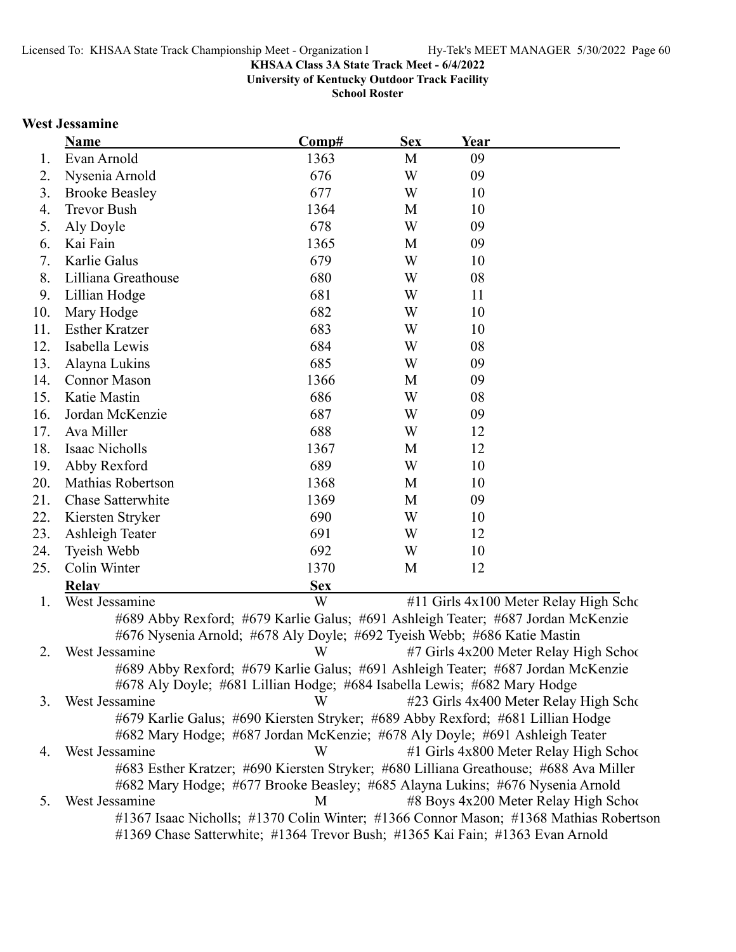**University of Kentucky Outdoor Track Facility**

**School Roster**

### **West Jessamine**

|     | Name                     | Comp#                                                                            | <b>Sex</b> | Year |                                       |
|-----|--------------------------|----------------------------------------------------------------------------------|------------|------|---------------------------------------|
| 1.  | Evan Arnold              | 1363                                                                             | M          | 09   |                                       |
| 2.  | Nysenia Arnold           | 676                                                                              | W          | 09   |                                       |
| 3.  | <b>Brooke Beasley</b>    | 677                                                                              | W          | 10   |                                       |
| 4.  | Trevor Bush              | 1364                                                                             | M          | 10   |                                       |
| 5.  | Aly Doyle                | 678                                                                              | W          | 09   |                                       |
| 6.  | Kai Fain                 | 1365                                                                             | M          | 09   |                                       |
| 7.  | Karlie Galus             | 679                                                                              | W          | 10   |                                       |
| 8.  | Lilliana Greathouse      | 680                                                                              | W          | 08   |                                       |
| 9.  | Lillian Hodge            | 681                                                                              | W          | 11   |                                       |
| 10. | Mary Hodge               | 682                                                                              | W          | 10   |                                       |
| 11. | <b>Esther Kratzer</b>    | 683                                                                              | W          | 10   |                                       |
| 12. | Isabella Lewis           | 684                                                                              | W          | 08   |                                       |
| 13. | Alayna Lukins            | 685                                                                              | W          | 09   |                                       |
| 14. | <b>Connor Mason</b>      | 1366                                                                             | M          | 09   |                                       |
| 15. | Katie Mastin             | 686                                                                              | W          | 08   |                                       |
| 16. | Jordan McKenzie          | 687                                                                              | W          | 09   |                                       |
| 17. | Ava Miller               | 688                                                                              | W          | 12   |                                       |
| 18. | Isaac Nicholls           | 1367                                                                             | M          | 12   |                                       |
| 19. | Abby Rexford             | 689                                                                              | W          | 10   |                                       |
| 20. | <b>Mathias Robertson</b> | 1368                                                                             | M          | 10   |                                       |
| 21. | Chase Satterwhite        | 1369                                                                             | M          | 09   |                                       |
| 22. | Kiersten Stryker         | 690                                                                              | W          | 10   |                                       |
| 23. | Ashleigh Teater          | 691                                                                              | W          | 12   |                                       |
| 24. | Tyeish Webb              | 692                                                                              | W          | 10   |                                       |
| 25. | Colin Winter             | 1370                                                                             | M          | 12   |                                       |
|     | <b>Relav</b>             | <b>Sex</b>                                                                       |            |      |                                       |
| 1.  | West Jessamine           | W                                                                                |            |      | #11 Girls 4x100 Meter Relay High Scho |
|     |                          | #689 Abby Rexford; #679 Karlie Galus; #691 Ashleigh Teater; #687 Jordan McKenzie |            |      |                                       |

#676 Nysenia Arnold; #678 Aly Doyle; #692 Tyeish Webb; #686 Katie Mastin 2. West Jessamine #7 Girls 4x200 Meter Relay High Scho W o #689 Abby Rexford; #679 Karlie Galus; #691 Ashleigh Teater; #687 Jordan McKenzie #678 Aly Doyle; #681 Lillian Hodge; #684 Isabella Lewis; #682 Mary Hodge 3. West Jessamine **123 Girls 4x400 Meter Relay High School** #679 Karlie Galus; #690 Kiersten Stryker; #689 Abby Rexford; #681 Lillian Hodge #682 Mary Hodge; #687 Jordan McKenzie; #678 Aly Doyle; #691 Ashleigh Teater 4. West Jessamine **12. W** 41 Girls 4x800 Meter Relay High School #683 Esther Kratzer; #690 Kiersten Stryker; #680 Lilliana Greathouse; #688 Ava Miller #682 Mary Hodge; #677 Brooke Beasley; #685 Alayna Lukins; #676 Nysenia Arnold 5. West Jessamine **12 M** 48 Boys 4x200 Meter Relay High School #1367 Isaac Nicholls; #1370 Colin Winter; #1366 Connor Mason; #1368 Mathias Robertson #1369 Chase Satterwhite; #1364 Trevor Bush; #1365 Kai Fain; #1363 Evan Arnold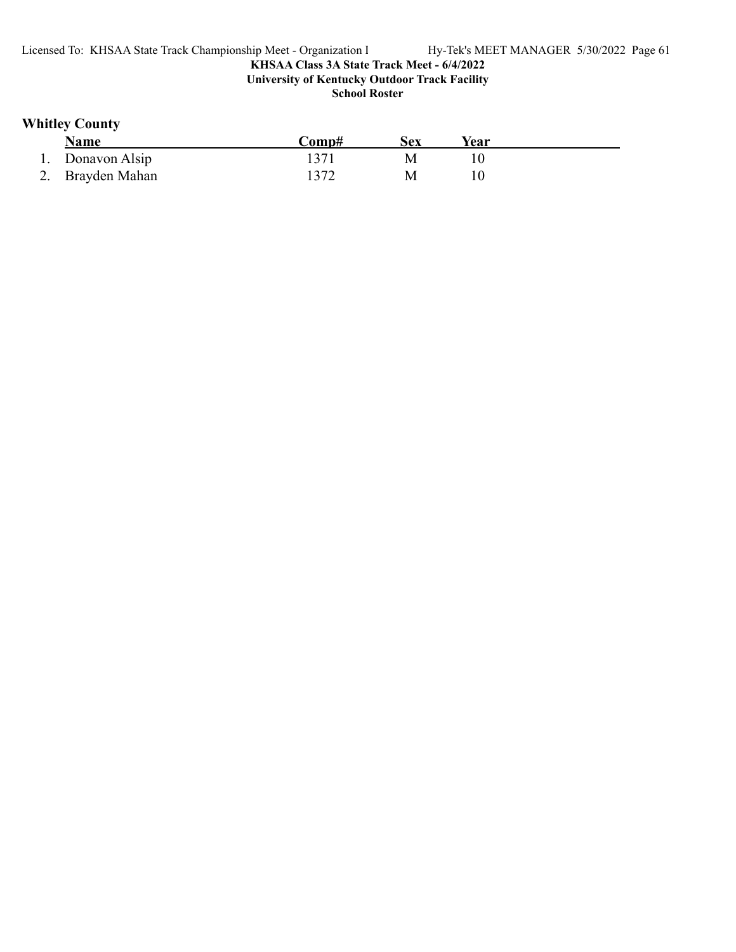# **Whitley County**

| Name             | Comp# | Sex | Year |
|------------------|-------|-----|------|
| 1. Donavon Alsip |       |     |      |
| 2. Brayden Mahan | 1372  |     |      |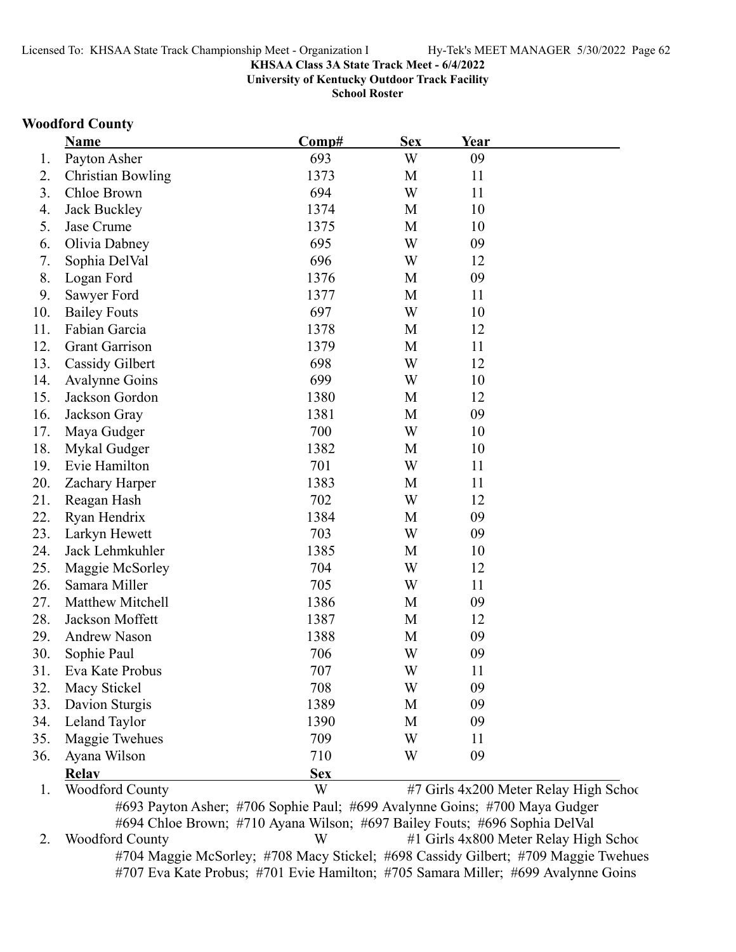**University of Kentucky Outdoor Track Facility**

**School Roster**

### **Woodford County**

| 09<br>Payton Asher<br>693<br>W<br>1.<br>2.<br><b>Christian Bowling</b><br>1373<br>11<br>M<br>694<br>3.<br>Chloe Brown<br>W<br>11<br>4.<br>Jack Buckley<br>1374<br>10<br>M<br>5.<br>10<br>Jase Crume<br>1375<br>M<br>695<br>Olivia Dabney<br>W<br>09<br>6.<br>696<br>7.<br>W<br>12<br>Sophia DelVal<br>8.<br>1376<br>09<br>Logan Ford<br>M<br>9.<br>1377<br>M<br>11<br>Sawyer Ford<br>697<br>W<br>10<br>10.<br><b>Bailey Fouts</b><br>11.<br>Fabian Garcia<br>1378<br>12<br>M<br>12.<br><b>Grant Garrison</b><br>1379<br>M<br>11<br>13.<br>698<br>W<br>12<br><b>Cassidy Gilbert</b><br>699<br>14.<br>W<br>10<br><b>Avalynne Goins</b><br>15.<br>Jackson Gordon<br>1380<br>M<br>12<br>1381<br>09<br>16.<br>M<br>Jackson Gray<br>700<br>17.<br>Maya Gudger<br>W<br>10<br>18.<br>Mykal Gudger<br>1382<br>10<br>M<br>701<br>19.<br>Evie Hamilton<br>W<br>11<br>1383<br>20.<br>M<br>11<br>Zachary Harper<br>702<br>W<br>21.<br>12<br>Reagan Hash<br>1384<br>09<br>22.<br>Ryan Hendrix<br>M<br>703<br>W<br>09<br>23.<br>Larkyn Hewett<br>24.<br>1385<br>Jack Lehmkuhler<br>M<br>10<br>704<br>25.<br>W<br>12<br>Maggie McSorley<br>705<br>26.<br>Samara Miller<br>W<br>11<br>1386<br>27.<br>Matthew Mitchell<br>M<br>09<br>28.<br>Jackson Moffett<br>1387<br>12<br>M<br>29.<br>1388<br>09<br>M<br><b>Andrew Nason</b><br>706<br>30.<br>W<br>09<br>Sophie Paul<br>707<br>W<br>31<br>11<br>Eva Kate Probus<br>32.<br>Macy Stickel<br>708<br>09<br>W<br>33.<br>1389<br>Davion Sturgis<br>09<br>M<br>Leland Taylor<br>34.<br>1390<br>M<br>09<br>35.<br>Maggie Twehues<br>709<br>W<br>11<br>710<br>09<br>36.<br>Ayana Wilson<br>W<br><b>Relav</b><br><b>Sex</b><br>W<br>#7 Girls 4x200 Meter Relay High Schoo<br><b>Woodford County</b><br>1.<br>#693 Payton Asher: #706 Sophie Paul: #699 Avalynne Goins: #700 Maya Gudger | <b>Name</b> | Comp# | <b>Sex</b> | <u>Year</u> |  |
|----------------------------------------------------------------------------------------------------------------------------------------------------------------------------------------------------------------------------------------------------------------------------------------------------------------------------------------------------------------------------------------------------------------------------------------------------------------------------------------------------------------------------------------------------------------------------------------------------------------------------------------------------------------------------------------------------------------------------------------------------------------------------------------------------------------------------------------------------------------------------------------------------------------------------------------------------------------------------------------------------------------------------------------------------------------------------------------------------------------------------------------------------------------------------------------------------------------------------------------------------------------------------------------------------------------------------------------------------------------------------------------------------------------------------------------------------------------------------------------------------------------------------------------------------------------------------------------------------------------------------------------------------------------------------------------------------------------------------------------------------------------------------------------------------------------|-------------|-------|------------|-------------|--|
|                                                                                                                                                                                                                                                                                                                                                                                                                                                                                                                                                                                                                                                                                                                                                                                                                                                                                                                                                                                                                                                                                                                                                                                                                                                                                                                                                                                                                                                                                                                                                                                                                                                                                                                                                                                                                |             |       |            |             |  |
|                                                                                                                                                                                                                                                                                                                                                                                                                                                                                                                                                                                                                                                                                                                                                                                                                                                                                                                                                                                                                                                                                                                                                                                                                                                                                                                                                                                                                                                                                                                                                                                                                                                                                                                                                                                                                |             |       |            |             |  |
|                                                                                                                                                                                                                                                                                                                                                                                                                                                                                                                                                                                                                                                                                                                                                                                                                                                                                                                                                                                                                                                                                                                                                                                                                                                                                                                                                                                                                                                                                                                                                                                                                                                                                                                                                                                                                |             |       |            |             |  |
|                                                                                                                                                                                                                                                                                                                                                                                                                                                                                                                                                                                                                                                                                                                                                                                                                                                                                                                                                                                                                                                                                                                                                                                                                                                                                                                                                                                                                                                                                                                                                                                                                                                                                                                                                                                                                |             |       |            |             |  |
|                                                                                                                                                                                                                                                                                                                                                                                                                                                                                                                                                                                                                                                                                                                                                                                                                                                                                                                                                                                                                                                                                                                                                                                                                                                                                                                                                                                                                                                                                                                                                                                                                                                                                                                                                                                                                |             |       |            |             |  |
|                                                                                                                                                                                                                                                                                                                                                                                                                                                                                                                                                                                                                                                                                                                                                                                                                                                                                                                                                                                                                                                                                                                                                                                                                                                                                                                                                                                                                                                                                                                                                                                                                                                                                                                                                                                                                |             |       |            |             |  |
|                                                                                                                                                                                                                                                                                                                                                                                                                                                                                                                                                                                                                                                                                                                                                                                                                                                                                                                                                                                                                                                                                                                                                                                                                                                                                                                                                                                                                                                                                                                                                                                                                                                                                                                                                                                                                |             |       |            |             |  |
|                                                                                                                                                                                                                                                                                                                                                                                                                                                                                                                                                                                                                                                                                                                                                                                                                                                                                                                                                                                                                                                                                                                                                                                                                                                                                                                                                                                                                                                                                                                                                                                                                                                                                                                                                                                                                |             |       |            |             |  |
|                                                                                                                                                                                                                                                                                                                                                                                                                                                                                                                                                                                                                                                                                                                                                                                                                                                                                                                                                                                                                                                                                                                                                                                                                                                                                                                                                                                                                                                                                                                                                                                                                                                                                                                                                                                                                |             |       |            |             |  |
|                                                                                                                                                                                                                                                                                                                                                                                                                                                                                                                                                                                                                                                                                                                                                                                                                                                                                                                                                                                                                                                                                                                                                                                                                                                                                                                                                                                                                                                                                                                                                                                                                                                                                                                                                                                                                |             |       |            |             |  |
|                                                                                                                                                                                                                                                                                                                                                                                                                                                                                                                                                                                                                                                                                                                                                                                                                                                                                                                                                                                                                                                                                                                                                                                                                                                                                                                                                                                                                                                                                                                                                                                                                                                                                                                                                                                                                |             |       |            |             |  |
|                                                                                                                                                                                                                                                                                                                                                                                                                                                                                                                                                                                                                                                                                                                                                                                                                                                                                                                                                                                                                                                                                                                                                                                                                                                                                                                                                                                                                                                                                                                                                                                                                                                                                                                                                                                                                |             |       |            |             |  |
|                                                                                                                                                                                                                                                                                                                                                                                                                                                                                                                                                                                                                                                                                                                                                                                                                                                                                                                                                                                                                                                                                                                                                                                                                                                                                                                                                                                                                                                                                                                                                                                                                                                                                                                                                                                                                |             |       |            |             |  |
|                                                                                                                                                                                                                                                                                                                                                                                                                                                                                                                                                                                                                                                                                                                                                                                                                                                                                                                                                                                                                                                                                                                                                                                                                                                                                                                                                                                                                                                                                                                                                                                                                                                                                                                                                                                                                |             |       |            |             |  |
|                                                                                                                                                                                                                                                                                                                                                                                                                                                                                                                                                                                                                                                                                                                                                                                                                                                                                                                                                                                                                                                                                                                                                                                                                                                                                                                                                                                                                                                                                                                                                                                                                                                                                                                                                                                                                |             |       |            |             |  |
|                                                                                                                                                                                                                                                                                                                                                                                                                                                                                                                                                                                                                                                                                                                                                                                                                                                                                                                                                                                                                                                                                                                                                                                                                                                                                                                                                                                                                                                                                                                                                                                                                                                                                                                                                                                                                |             |       |            |             |  |
|                                                                                                                                                                                                                                                                                                                                                                                                                                                                                                                                                                                                                                                                                                                                                                                                                                                                                                                                                                                                                                                                                                                                                                                                                                                                                                                                                                                                                                                                                                                                                                                                                                                                                                                                                                                                                |             |       |            |             |  |
|                                                                                                                                                                                                                                                                                                                                                                                                                                                                                                                                                                                                                                                                                                                                                                                                                                                                                                                                                                                                                                                                                                                                                                                                                                                                                                                                                                                                                                                                                                                                                                                                                                                                                                                                                                                                                |             |       |            |             |  |
|                                                                                                                                                                                                                                                                                                                                                                                                                                                                                                                                                                                                                                                                                                                                                                                                                                                                                                                                                                                                                                                                                                                                                                                                                                                                                                                                                                                                                                                                                                                                                                                                                                                                                                                                                                                                                |             |       |            |             |  |
|                                                                                                                                                                                                                                                                                                                                                                                                                                                                                                                                                                                                                                                                                                                                                                                                                                                                                                                                                                                                                                                                                                                                                                                                                                                                                                                                                                                                                                                                                                                                                                                                                                                                                                                                                                                                                |             |       |            |             |  |
|                                                                                                                                                                                                                                                                                                                                                                                                                                                                                                                                                                                                                                                                                                                                                                                                                                                                                                                                                                                                                                                                                                                                                                                                                                                                                                                                                                                                                                                                                                                                                                                                                                                                                                                                                                                                                |             |       |            |             |  |
|                                                                                                                                                                                                                                                                                                                                                                                                                                                                                                                                                                                                                                                                                                                                                                                                                                                                                                                                                                                                                                                                                                                                                                                                                                                                                                                                                                                                                                                                                                                                                                                                                                                                                                                                                                                                                |             |       |            |             |  |
|                                                                                                                                                                                                                                                                                                                                                                                                                                                                                                                                                                                                                                                                                                                                                                                                                                                                                                                                                                                                                                                                                                                                                                                                                                                                                                                                                                                                                                                                                                                                                                                                                                                                                                                                                                                                                |             |       |            |             |  |
|                                                                                                                                                                                                                                                                                                                                                                                                                                                                                                                                                                                                                                                                                                                                                                                                                                                                                                                                                                                                                                                                                                                                                                                                                                                                                                                                                                                                                                                                                                                                                                                                                                                                                                                                                                                                                |             |       |            |             |  |
|                                                                                                                                                                                                                                                                                                                                                                                                                                                                                                                                                                                                                                                                                                                                                                                                                                                                                                                                                                                                                                                                                                                                                                                                                                                                                                                                                                                                                                                                                                                                                                                                                                                                                                                                                                                                                |             |       |            |             |  |
|                                                                                                                                                                                                                                                                                                                                                                                                                                                                                                                                                                                                                                                                                                                                                                                                                                                                                                                                                                                                                                                                                                                                                                                                                                                                                                                                                                                                                                                                                                                                                                                                                                                                                                                                                                                                                |             |       |            |             |  |
|                                                                                                                                                                                                                                                                                                                                                                                                                                                                                                                                                                                                                                                                                                                                                                                                                                                                                                                                                                                                                                                                                                                                                                                                                                                                                                                                                                                                                                                                                                                                                                                                                                                                                                                                                                                                                |             |       |            |             |  |
|                                                                                                                                                                                                                                                                                                                                                                                                                                                                                                                                                                                                                                                                                                                                                                                                                                                                                                                                                                                                                                                                                                                                                                                                                                                                                                                                                                                                                                                                                                                                                                                                                                                                                                                                                                                                                |             |       |            |             |  |
|                                                                                                                                                                                                                                                                                                                                                                                                                                                                                                                                                                                                                                                                                                                                                                                                                                                                                                                                                                                                                                                                                                                                                                                                                                                                                                                                                                                                                                                                                                                                                                                                                                                                                                                                                                                                                |             |       |            |             |  |
|                                                                                                                                                                                                                                                                                                                                                                                                                                                                                                                                                                                                                                                                                                                                                                                                                                                                                                                                                                                                                                                                                                                                                                                                                                                                                                                                                                                                                                                                                                                                                                                                                                                                                                                                                                                                                |             |       |            |             |  |
|                                                                                                                                                                                                                                                                                                                                                                                                                                                                                                                                                                                                                                                                                                                                                                                                                                                                                                                                                                                                                                                                                                                                                                                                                                                                                                                                                                                                                                                                                                                                                                                                                                                                                                                                                                                                                |             |       |            |             |  |
|                                                                                                                                                                                                                                                                                                                                                                                                                                                                                                                                                                                                                                                                                                                                                                                                                                                                                                                                                                                                                                                                                                                                                                                                                                                                                                                                                                                                                                                                                                                                                                                                                                                                                                                                                                                                                |             |       |            |             |  |
|                                                                                                                                                                                                                                                                                                                                                                                                                                                                                                                                                                                                                                                                                                                                                                                                                                                                                                                                                                                                                                                                                                                                                                                                                                                                                                                                                                                                                                                                                                                                                                                                                                                                                                                                                                                                                |             |       |            |             |  |
|                                                                                                                                                                                                                                                                                                                                                                                                                                                                                                                                                                                                                                                                                                                                                                                                                                                                                                                                                                                                                                                                                                                                                                                                                                                                                                                                                                                                                                                                                                                                                                                                                                                                                                                                                                                                                |             |       |            |             |  |
|                                                                                                                                                                                                                                                                                                                                                                                                                                                                                                                                                                                                                                                                                                                                                                                                                                                                                                                                                                                                                                                                                                                                                                                                                                                                                                                                                                                                                                                                                                                                                                                                                                                                                                                                                                                                                |             |       |            |             |  |
|                                                                                                                                                                                                                                                                                                                                                                                                                                                                                                                                                                                                                                                                                                                                                                                                                                                                                                                                                                                                                                                                                                                                                                                                                                                                                                                                                                                                                                                                                                                                                                                                                                                                                                                                                                                                                |             |       |            |             |  |
|                                                                                                                                                                                                                                                                                                                                                                                                                                                                                                                                                                                                                                                                                                                                                                                                                                                                                                                                                                                                                                                                                                                                                                                                                                                                                                                                                                                                                                                                                                                                                                                                                                                                                                                                                                                                                |             |       |            |             |  |
|                                                                                                                                                                                                                                                                                                                                                                                                                                                                                                                                                                                                                                                                                                                                                                                                                                                                                                                                                                                                                                                                                                                                                                                                                                                                                                                                                                                                                                                                                                                                                                                                                                                                                                                                                                                                                |             |       |            |             |  |

#693 Payton Asher; #706 Sophie Paul; #699 Avalynne Goins; #700 Maya Gudger #694 Chloe Brown; #710 Ayana Wilson; #697 Bailey Fouts; #696 Sophia DelVal 2. Woodford County W #1 Girls 4x800 Meter Relay High School #704 Maggie McSorley; #708 Macy Stickel; #698 Cassidy Gilbert; #709 Maggie Twehues #707 Eva Kate Probus; #701 Evie Hamilton; #705 Samara Miller; #699 Avalynne Goins